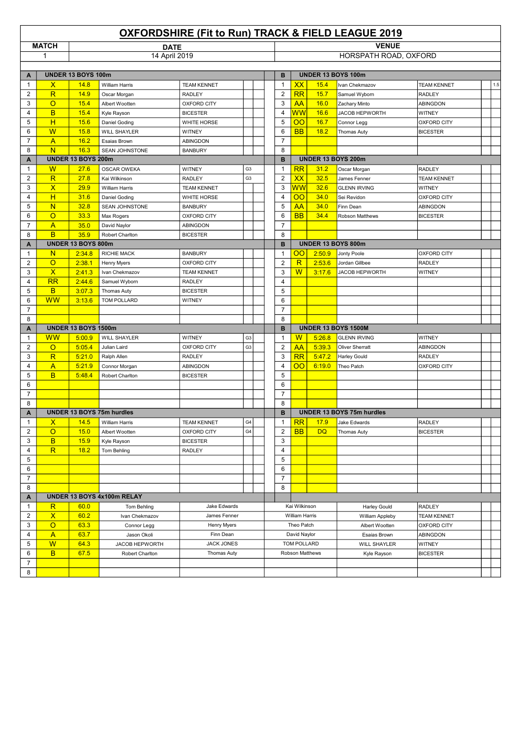|                         |                         |                            |                                        |                    |                |  |  |                         |                          |           | <b>OXFORDSHIRE (Fit to Run) TRACK &amp; FIELD LEAGUE 2019</b> |                    |     |
|-------------------------|-------------------------|----------------------------|----------------------------------------|--------------------|----------------|--|--|-------------------------|--------------------------|-----------|---------------------------------------------------------------|--------------------|-----|
|                         | <b>MATCH</b>            |                            | <b>DATE</b>                            |                    |                |  |  |                         |                          |           | <b>VENUE</b>                                                  |                    |     |
|                         | $\mathbf{1}$            |                            | 14 April 2019                          |                    |                |  |  |                         |                          |           | HORSPATH ROAD, OXFORD                                         |                    |     |
|                         |                         |                            |                                        |                    |                |  |  |                         |                          |           |                                                               |                    |     |
| A                       |                         | UNDER 13 BOYS 100m         |                                        |                    |                |  |  | B                       |                          |           | UNDER 13 BOYS 100m                                            |                    |     |
| $\mathbf{1}$            | х                       | 14.8                       | <b>William Harris</b>                  | <b>TEAM KENNET</b> |                |  |  | $\mathbf{1}$            | XX                       | 15.4      | Ivan Chekmazov                                                | <b>TEAM KENNET</b> | 1.5 |
| $\overline{\mathbf{c}}$ | R                       | 14.9                       | Oscar Morgan                           | <b>RADLEY</b>      |                |  |  | $\overline{\mathbf{c}}$ | RR                       | 15.7      | Samuel Wyborn                                                 | <b>RADLEY</b>      |     |
| 3                       | O                       | 15.4                       | Albert Wootten                         | <b>OXFORD CITY</b> |                |  |  | 3                       | <b>AA</b>                | 16.0      | Zachary Minto                                                 | ABINGDON           |     |
| $\overline{4}$          | B                       | 15.4                       | Kyle Rayson                            | <b>BICESTER</b>    |                |  |  | 4                       | $\overline{\textsf{WW}}$ | 16.6      | <b>JACOB HEPWORTH</b>                                         | WITNEY             |     |
| 5                       | н                       | 15.6                       | Daniel Goding                          | WHITE HORSE        |                |  |  | 5                       | $\overline{O}O$          | 16.7      | Connor Legg                                                   | <b>OXFORD CITY</b> |     |
| 6                       | W                       | 15.8                       | <b>WILL SHAYLER</b>                    | WITNEY             |                |  |  | 6                       | <b>BB</b>                | 18.2      | <b>Thomas Auty</b>                                            | <b>BICESTER</b>    |     |
| $\overline{7}$          | A                       | 16.2                       | Esaias Brown                           | <b>ABINGDON</b>    |                |  |  | $\overline{7}$          |                          |           |                                                               |                    |     |
| 8                       | N                       | 16.3                       | <b>SEAN JOHNSTONE</b>                  | <b>BANBURY</b>     |                |  |  | 8                       |                          |           |                                                               |                    |     |
| A                       |                         | <b>UNDER 13 BOYS 200m</b>  |                                        |                    |                |  |  | B                       |                          |           | UNDER 13 BOYS 200m                                            |                    |     |
| $\mathbf 1$             | W                       | 27.6                       | <b>OSCAR OWEKA</b>                     | WITNEY             | G <sub>3</sub> |  |  | $\mathbf{1}$            | <b>RR</b>                | 31.2      | Oscar Morgan                                                  | RADLEY             |     |
| $\sqrt{2}$              | R                       | 27.8                       | Kai Wilkinson                          | <b>RADLEY</b>      | G <sub>3</sub> |  |  | $\overline{2}$          | <b>XX</b>                | 32.5      | James Fenner                                                  | <b>TEAM KENNET</b> |     |
| 3                       | $\overline{\mathsf{x}}$ | 29.9                       | <b>William Harris</b>                  | <b>TEAM KENNET</b> |                |  |  | 3                       | ${\sf\textbf{WW}}$       | 32.6      | <b>GLENN IRVING</b>                                           | WITNEY             |     |
| $\overline{4}$          | н                       | 31.6                       | Daniel Goding                          | <b>WHITE HORSE</b> |                |  |  | 4                       | $\overline{O}O$          | 34.0      | Sei Revidon                                                   | <b>OXFORD CITY</b> |     |
| 5                       | N                       | 32.8                       | SEAN JOHNSTONE                         | <b>BANBURY</b>     |                |  |  | 5                       | <b>AA</b>                | 34.0      | Finn Dean                                                     | <b>ABINGDON</b>    |     |
| 6                       | $\overline{O}$          | 33.3                       | Max Rogers                             | <b>OXFORD CITY</b> |                |  |  | 6                       | <b>BB</b>                | 34.4      | <b>Robson Matthews</b>                                        | <b>BICESTER</b>    |     |
| $\overline{7}$          | A                       | 35.0                       | David Naylor                           | <b>ABINGDON</b>    |                |  |  | $\overline{7}$          |                          |           |                                                               |                    |     |
| 8                       | B                       | 35.9                       | <b>Robert Charlton</b>                 | <b>BICESTER</b>    |                |  |  | 8                       |                          |           |                                                               |                    |     |
| A                       |                         | UNDER 13 BOYS 800m         |                                        |                    |                |  |  | B                       |                          |           | UNDER 13 BOYS 800m                                            |                    |     |
| $\mathbf 1$             | N                       | 2:34.8                     | <b>RICHIE MACK</b>                     | <b>BANBURY</b>     |                |  |  | $\mathbf{1}$            | ΟO                       | 2:50.9    | Jonty Poole                                                   | <b>OXFORD CITY</b> |     |
| $\overline{2}$          | $\overline{O}$          | 2:38.1                     | Henry Myers                            | <b>OXFORD CITY</b> |                |  |  | $\overline{2}$          | $\mathsf R$              | 2:53.6    | Jordan Gillbee                                                | <b>RADLEY</b>      |     |
| 3                       | $\overline{\mathsf{x}}$ | 2:41.3                     | Ivan Chekmazov                         | <b>TEAM KENNET</b> |                |  |  | 3                       | W                        | 3:17.6    | <b>JACOB HEPWORTH</b>                                         | WITNEY             |     |
| $\overline{4}$          | <b>RR</b>               | 2:44.6                     | Samuel Wyborn                          | <b>RADLEY</b>      |                |  |  | $\overline{4}$          |                          |           |                                                               |                    |     |
| 5                       | B                       | 3:07.3                     | <b>Thomas Auty</b>                     | <b>BICESTER</b>    |                |  |  | 5                       |                          |           |                                                               |                    |     |
| 6                       | <b>WW</b>               | 3:13.6                     | TOM POLLARD                            | WITNEY             |                |  |  | 6                       |                          |           |                                                               |                    |     |
| $\overline{7}$          |                         |                            |                                        |                    |                |  |  | $\overline{7}$          |                          |           |                                                               |                    |     |
| 8                       |                         |                            |                                        |                    |                |  |  | 8                       |                          |           |                                                               |                    |     |
| A                       |                         | <b>UNDER 13 BOYS 1500m</b> |                                        |                    |                |  |  | B                       |                          |           | <b>UNDER 13 BOYS 1500M</b>                                    |                    |     |
| $\mathbf 1$             | <b>WW</b>               | 5:00.9                     | <b>WILL SHAYLER</b>                    | WITNEY             | G <sub>3</sub> |  |  | $\mathbf{1}$            | W                        | 5:26.8    | <b>GLENN IRVING</b>                                           | <b>WITNEY</b>      |     |
| $\overline{2}$          | $\circ$                 | 5:05.4                     | Julian Laird                           | OXFORD CITY        | G <sub>3</sub> |  |  | $\overline{2}$          | AA                       | 5:39.3    | <b>Oliver Sherratt</b>                                        | ABINGDON           |     |
| 3                       | R                       | 5:21.0                     | Ralph Allen                            | <b>RADLEY</b>      |                |  |  | 3                       | RR                       | 5:47.2    | <b>Harley Gould</b>                                           | <b>RADLEY</b>      |     |
| $\overline{4}$          | A                       | 5:21.9                     | Connor Morgan                          | ABINGDON           |                |  |  | 4                       | OO                       | 6:19.0    | Theo Patch                                                    | <b>OXFORD CITY</b> |     |
| 5                       | B                       | 5:48.4                     | Robert Charlton                        | <b>BICESTER</b>    |                |  |  | 5                       |                          |           |                                                               |                    |     |
| 6                       |                         |                            |                                        |                    |                |  |  | 6                       |                          |           |                                                               |                    |     |
| $\overline{7}$          |                         |                            |                                        |                    |                |  |  | 7                       |                          |           |                                                               |                    |     |
| 8                       |                         |                            |                                        |                    |                |  |  | 8                       |                          |           |                                                               |                    |     |
| A                       |                         |                            | <b>UNDER 13 BOYS 75m hurdles</b>       |                    |                |  |  | B                       |                          |           | <b>UNDER 13 BOYS 75m hurdles</b>                              |                    |     |
| $\mathbf{1}$            | X                       | 14.5                       | William Harris                         | <b>TEAM KENNET</b> | G4             |  |  | $\mathbf{1}$            | RR                       | 17.9      | Jake Edwards                                                  | <b>RADLEY</b>      |     |
| $\overline{2}$          | $\overline{O}$          | 15.0                       | Albert Wootten                         | OXFORD CITY        | G <sub>4</sub> |  |  | $\overline{2}$          | <b>BB</b>                | <b>DQ</b> | Thomas Auty                                                   | <b>BICESTER</b>    |     |
| 3                       | B                       | 15.9                       | Kyle Rayson                            | <b>BICESTER</b>    |                |  |  | 3                       |                          |           |                                                               |                    |     |
| $\overline{4}$          | $\overline{\mathsf{R}}$ |                            |                                        |                    |                |  |  | $\overline{4}$          |                          |           |                                                               |                    |     |
| 5                       |                         | 18.2                       | Tom Behling                            | <b>RADLEY</b>      |                |  |  | 5                       |                          |           |                                                               |                    |     |
|                         |                         |                            |                                        |                    |                |  |  |                         |                          |           |                                                               |                    |     |
| 6                       |                         |                            |                                        |                    |                |  |  | 6                       |                          |           |                                                               |                    |     |
| $\boldsymbol{7}$        |                         |                            |                                        |                    |                |  |  | $\overline{7}$          |                          |           |                                                               |                    |     |
| 8                       |                         |                            |                                        |                    |                |  |  | 8                       |                          |           |                                                               |                    |     |
| A                       |                         |                            | UNDER 13 BOYS 4x100m RELAY             |                    |                |  |  |                         |                          |           |                                                               |                    |     |
| $\mathbf{1}$            | R.                      |                            | Jake Edwards<br>60.0<br>Tom Behling    |                    |                |  |  |                         | Kai Wilkinson            |           | Harley Gould                                                  | RADLEY             |     |
| 2                       | $\overline{\mathsf{x}}$ |                            | 60.2<br>Ivan Chekmazov<br>James Fenner |                    |                |  |  |                         | William Harris           |           | William Appleby                                               | <b>TEAM KENNET</b> |     |
| 3                       | $\circ$                 | 63.3                       | Connor Legg                            | Henry Myers        |                |  |  |                         | Theo Patch               |           | Albert Wootten                                                | OXFORD CITY        |     |
| $\overline{4}$          | A                       | 63.7                       | Jason Okoli                            | Finn Dean          |                |  |  |                         | David Naylor             |           | Esaias Brown                                                  | ABINGDON           |     |
| 5                       | W                       | 64.3                       | JACOB HEPWORTH                         | <b>JACK JONES</b>  |                |  |  |                         | TOM POLLARD              |           | <b>WILL SHAYLER</b>                                           | <b>WITNEY</b>      |     |
| 6                       | B                       | 67.5                       | Robert Charlton                        | Thomas Auty        |                |  |  |                         | Robson Matthews          |           | Kyle Rayson                                                   | <b>BICESTER</b>    |     |
| $\boldsymbol{7}$        |                         |                            |                                        |                    |                |  |  |                         |                          |           |                                                               |                    |     |
| 8                       |                         |                            |                                        |                    |                |  |  |                         |                          |           |                                                               |                    |     |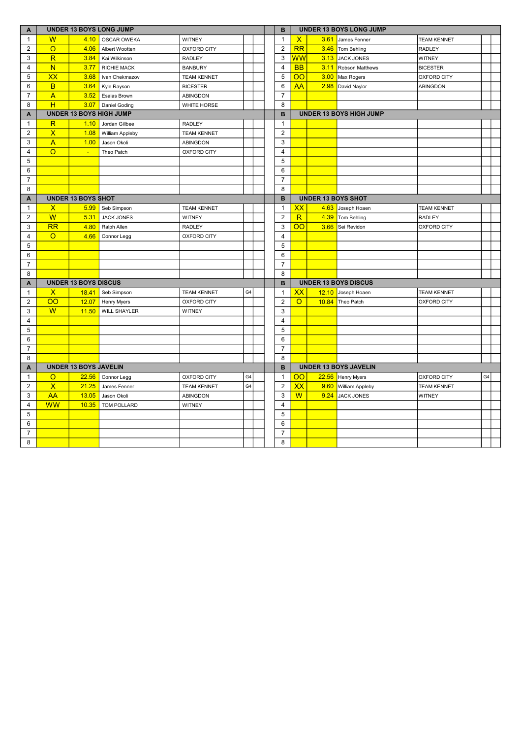| A              |                         |                              | <b>UNDER 13 BOYS LONG JUMP</b> |                    |                | B                       |                          |      | <b>UNDER 13 BOYS LONG JUMP</b> |                    |    |
|----------------|-------------------------|------------------------------|--------------------------------|--------------------|----------------|-------------------------|--------------------------|------|--------------------------------|--------------------|----|
| $\mathbf{1}$   | $\overline{\mathsf{W}}$ | 4.10                         | <b>OSCAR OWEKA</b>             | <b>WITNEY</b>      |                | $\mathbf{1}$            | $\overline{\mathsf{x}}$  | 3.61 | James Fenner                   | <b>TEAM KENNET</b> |    |
| $\overline{2}$ | $\circ$                 | 4.06                         | Albert Wootten                 | <b>OXFORD CITY</b> |                | $\overline{2}$          | RR                       |      | 3.46 Tom Behling               | RADLEY             |    |
| 3              | $\overline{\mathsf{R}}$ | 3.84                         | Kai Wilkinson                  | <b>RADLEY</b>      |                | 3                       | $\overline{\textsf{WW}}$ |      | 3.13 JACK JONES                | <b>WITNEY</b>      |    |
| 4              | N                       | 3.77                         | RICHIE MACK                    | <b>BANBURY</b>     |                | $\overline{\mathbf{4}}$ | <b>BB</b>                |      | 3.11 Robson Matthews           | <b>BICESTER</b>    |    |
| 5              | XX                      | 3.68                         | Ivan Chekmazov                 | <b>TEAM KENNET</b> |                | 5                       | $\overline{O}O$          |      | 3.00 Max Rogers                | OXFORD CITY        |    |
| 6              | B                       | 3.64                         | Kyle Rayson                    | <b>BICESTER</b>    |                | 6                       | AA                       |      | 2.98 David Naylor              | <b>ABINGDON</b>    |    |
| $\overline{7}$ | $\overline{A}$          | 3.52                         | Esaias Brown                   | <b>ABINGDON</b>    |                | $\overline{7}$          |                          |      |                                |                    |    |
| 8              | $\overline{H}$          | 3.07                         | Daniel Goding                  | WHITE HORSE        |                | 8                       |                          |      |                                |                    |    |
| Α              |                         |                              | UNDER 13 BOYS HIGH JUMP        |                    |                | B                       |                          |      | UNDER 13 BOYS HIGH JUMP        |                    |    |
| $\mathbf{1}$   | $\mathsf R$             | 1.10                         | Jordan Gillbee                 | <b>RADLEY</b>      |                | $\mathbf{1}$            |                          |      |                                |                    |    |
| $\overline{2}$ | $\overline{\mathsf{x}}$ | 1.08                         | William Appleby                | <b>TEAM KENNET</b> |                | $\overline{2}$          |                          |      |                                |                    |    |
| 3              | $\overline{A}$          | 1.00                         | Jason Okoli                    | ABINGDON           |                | 3                       |                          |      |                                |                    |    |
| $\overline{4}$ | $\circ$                 | $\blacksquare$               | Theo Patch                     | <b>OXFORD CITY</b> |                | $\overline{4}$          |                          |      |                                |                    |    |
| 5              |                         |                              |                                |                    |                | 5                       |                          |      |                                |                    |    |
| 6              |                         |                              |                                |                    |                | 6                       |                          |      |                                |                    |    |
| $\overline{7}$ |                         |                              |                                |                    |                | $\overline{7}$          |                          |      |                                |                    |    |
| 8              |                         |                              |                                |                    |                | 8                       |                          |      |                                |                    |    |
| A              |                         | <b>UNDER 13 BOYS SHOT</b>    |                                |                    |                | B                       |                          |      | <b>UNDER 13 BOYS SHOT</b>      |                    |    |
| $\mathbf{1}$   | X                       | 5.99                         | Seb Simpson                    | <b>TEAM KENNET</b> |                | $\mathbf{1}$            | XX                       |      | 4.63 Joseph Hoaen              | <b>TEAM KENNET</b> |    |
| $\overline{2}$ | W                       | 5.31                         | JACK JONES                     | WITNEY             |                | $\overline{2}$          | $\overline{\mathsf{R}}$  |      | 4.39 Tom Behling               | RADLEY             |    |
| 3              | RR                      | 4.80                         | Ralph Allen                    | <b>RADLEY</b>      |                | 3                       | $\overline{O}O$          |      | 3.66 Sei Revidon               | OXFORD CITY        |    |
| $\overline{4}$ | $\circ$                 | 4.66                         | Connor Legg                    | <b>OXFORD CITY</b> |                | $\overline{4}$          |                          |      |                                |                    |    |
| 5              |                         |                              |                                |                    |                | 5                       |                          |      |                                |                    |    |
| 6              |                         |                              |                                |                    |                | 6                       |                          |      |                                |                    |    |
| $\overline{7}$ |                         |                              |                                |                    |                | $\overline{7}$          |                          |      |                                |                    |    |
| 8              |                         |                              |                                |                    |                | 8                       |                          |      |                                |                    |    |
| A              |                         | <b>UNDER 13 BOYS DISCUS</b>  |                                |                    |                | B                       |                          |      | <b>UNDER 13 BOYS DISCUS</b>    |                    |    |
| $\mathbf{1}$   | $\mathsf{X}$            | 18.41                        | Seb Simpson                    | <b>TEAM KENNET</b> | G4             | $\mathbf{1}$            | <b>XX</b>                |      | 12.10 Joseph Hoaen             | <b>TEAM KENNET</b> |    |
| 2              | 00                      | 12.07                        | <b>Henry Myers</b>             | <b>OXFORD CITY</b> |                | $\overline{2}$          | $\overline{O}$           |      | 10.84 Theo Patch               | <b>OXFORD CITY</b> |    |
| 3              | W                       | 11.50                        | <b>WILL SHAYLER</b>            | <b>WITNEY</b>      |                | 3                       |                          |      |                                |                    |    |
| $\overline{4}$ |                         |                              |                                |                    |                | $\overline{4}$          |                          |      |                                |                    |    |
| 5              |                         |                              |                                |                    |                | 5                       |                          |      |                                |                    |    |
| 6              |                         |                              |                                |                    |                | 6                       |                          |      |                                |                    |    |
| $\overline{7}$ |                         |                              |                                |                    |                | $\overline{7}$          |                          |      |                                |                    |    |
| 8              |                         |                              |                                |                    |                | 8                       |                          |      |                                |                    |    |
| A              |                         | <b>UNDER 13 BOYS JAVELIN</b> |                                |                    |                | B                       |                          |      | <b>UNDER 13 BOYS JAVELIN</b>   |                    |    |
| $\mathbf{1}$   | $\circ$                 | 22.56                        | Connor Legg                    | OXFORD CITY        | G4             | $\mathbf{1}$            | $\overline{O}O$          |      | 22.56 Henry Myers              | <b>OXFORD CITY</b> | G4 |
| 2              | $\mathsf{X}$            | 21.25                        | James Fenner                   | <b>TEAM KENNET</b> | G <sub>4</sub> | $\overline{2}$          | XX                       |      | 9.60 William Appleby           | <b>TEAM KENNET</b> |    |
| 3              | AA                      | 13.05                        | Jason Okoli                    | <b>ABINGDON</b>    |                | 3                       | W                        |      | 9.24 JACK JONES                | <b>WITNEY</b>      |    |
| $\overline{4}$ | <b>WW</b>               | 10.35                        | TOM POLLARD                    | <b>WITNEY</b>      |                | $\overline{\mathbf{4}}$ |                          |      |                                |                    |    |
| 5              |                         |                              |                                |                    |                | 5                       |                          |      |                                |                    |    |
| $\,6\,$        |                         |                              |                                |                    |                | 6                       |                          |      |                                |                    |    |
| $\overline{7}$ |                         |                              |                                |                    |                | $\overline{7}$          |                          |      |                                |                    |    |
| 8              |                         |                              |                                |                    |                | 8                       |                          |      |                                |                    |    |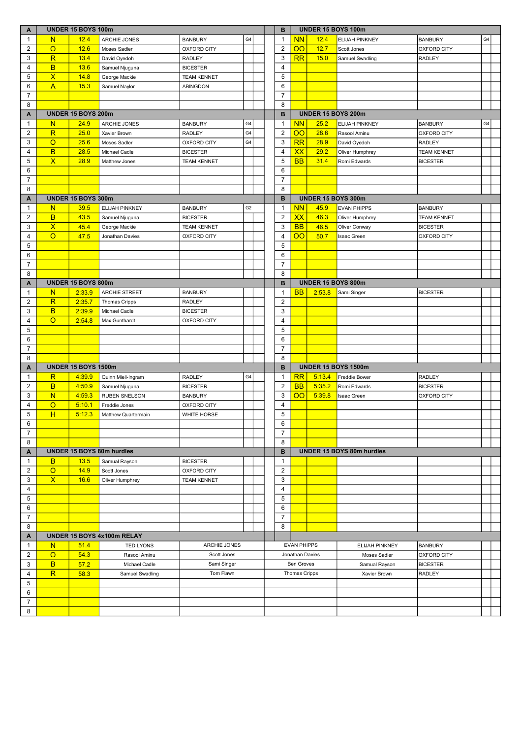| A              |                         | <b>UNDER 15 BOYS 100m</b>  |                            |                    |                |  | в              |                    | UNDER 15 BOYS 100m        |                                  |                    |    |  |
|----------------|-------------------------|----------------------------|----------------------------|--------------------|----------------|--|----------------|--------------------|---------------------------|----------------------------------|--------------------|----|--|
| $\mathbf{1}$   | N                       | 12.4                       | ARCHIE JONES               | <b>BANBURY</b>     | G4             |  | $\mathbf{1}$   | <b>NN</b>          | 12.4                      | <b>ELIJAH PINKNEY</b>            | <b>BANBURY</b>     | G4 |  |
| $\mathbf{2}$   | $\circ$                 | 12.6                       | Moses Sadler               | <b>OXFORD CITY</b> |                |  | $\mathbf{2}$   | $\overline{O}$     | 12.7                      | Scott Jones                      | <b>OXFORD CITY</b> |    |  |
| 3              | $\overline{\mathsf{R}}$ | 13.4                       | David Oyedoh               | <b>RADLEY</b>      |                |  | 3              | RR                 | 15.0                      | Samuel Swadling                  | <b>RADLEY</b>      |    |  |
| $\overline{4}$ | B                       | 13.6                       | Samuel Njuguna             | <b>BICESTER</b>    |                |  | $\overline{4}$ |                    |                           |                                  |                    |    |  |
| 5              | $\overline{\mathsf{x}}$ | 14.8                       | George Mackie              | <b>TEAM KENNET</b> |                |  | 5              |                    |                           |                                  |                    |    |  |
| 6              | A                       | 15.3                       | Samuel Naylor              | ABINGDON           |                |  | 6              |                    |                           |                                  |                    |    |  |
| $\overline{7}$ |                         |                            |                            |                    |                |  | $\overline{7}$ |                    |                           |                                  |                    |    |  |
| 8              |                         |                            |                            |                    |                |  | 8              |                    |                           |                                  |                    |    |  |
| Α              |                         | <b>UNDER 15 BOYS 200m</b>  |                            |                    |                |  | B              |                    | <b>UNDER 15 BOYS 200m</b> |                                  |                    |    |  |
| $\mathbf{1}$   | N                       | 24.9                       | ARCHIE JONES               | <b>BANBURY</b>     | G4             |  | $\mathbf{1}$   | <b>NN</b>          | 25.2                      | <b>ELIJAH PINKNEY</b>            | <b>BANBURY</b>     | G4 |  |
| $\sqrt{2}$     | $\mathsf{R}$            | 25.0                       | Xavier Brown               | <b>RADLEY</b>      | G4             |  | $\sqrt{2}$     | $\overline{O}$     | 28.6                      | Rasool Aminu                     | <b>OXFORD CITY</b> |    |  |
| 3              | $\overline{O}$          | 25.6                       | Moses Sadler               | <b>OXFORD CITY</b> | G4             |  | 3              | <b>RR</b>          | 28.9                      | David Oyedoh                     | <b>RADLEY</b>      |    |  |
| $\overline{4}$ | B                       | 28.5                       | Michael Cadle              | <b>BICESTER</b>    |                |  | $\overline{4}$ | XX                 | 29.2                      | Oliver Humphrey                  | <b>TEAM KENNET</b> |    |  |
| 5              | $\overline{\mathsf{x}}$ | 28.9                       | Matthew Jones              | <b>TEAM KENNET</b> |                |  | 5              | <b>BB</b>          | 31.4                      | Romi Edwards                     | <b>BICESTER</b>    |    |  |
| 6              |                         |                            |                            |                    |                |  | $\,6\,$        |                    |                           |                                  |                    |    |  |
| $\overline{7}$ |                         |                            |                            |                    |                |  | $\overline{7}$ |                    |                           |                                  |                    |    |  |
| 8              |                         |                            |                            |                    |                |  | 8              |                    |                           |                                  |                    |    |  |
| A              |                         | UNDER 15 BOYS 300m         |                            |                    |                |  | B              |                    | UNDER 15 BOYS 300m        |                                  |                    |    |  |
| $\mathbf{1}$   | N                       | 39.5                       | <b>ELIJAH PINKNEY</b>      | <b>BANBURY</b>     | G <sub>2</sub> |  | $\mathbf{1}$   | <b>NN</b>          | 45.9                      | <b>EVAN PHIPPS</b>               | <b>BANBURY</b>     |    |  |
| $\sqrt{2}$     | B                       | 43.5                       | Samuel Njuguna             | <b>BICESTER</b>    |                |  | $\sqrt{2}$     | XX                 | 46.3                      | Oliver Humphrey                  | <b>TEAM KENNET</b> |    |  |
| 3              | $\overline{\mathsf{x}}$ | 45.4                       | George Mackie              | <b>TEAM KENNET</b> |                |  | 3              | <b>BB</b>          | 46.5                      | Oliver Conway                    | <b>BICESTER</b>    |    |  |
| $\overline{4}$ | $\overline{O}$          | 47.5                       | Jonathan Davies            | <b>OXFORD CITY</b> |                |  | $\overline{4}$ | $\overline{O}O$    | 50.7                      | Isaac Green                      | OXFORD CITY        |    |  |
| 5              |                         |                            |                            |                    |                |  | $\overline{5}$ |                    |                           |                                  |                    |    |  |
| 6              |                         |                            |                            |                    |                |  | 6              |                    |                           |                                  |                    |    |  |
| $\overline{7}$ |                         |                            |                            |                    |                |  | $\overline{7}$ |                    |                           |                                  |                    |    |  |
| 8              |                         |                            |                            |                    |                |  | 8              |                    |                           |                                  |                    |    |  |
| A              |                         | UNDER 15 BOYS 800m         |                            |                    |                |  | B              |                    | UNDER 15 BOYS 800m        |                                  |                    |    |  |
| $\mathbf{1}$   | N                       | 2:33.9                     | ARCHIE STREET              | <b>BANBURY</b>     |                |  | 1              | <b>BB</b>          | 2:53.8                    | Sami Singer                      | <b>BICESTER</b>    |    |  |
| $\sqrt{2}$     | $\overline{\mathsf{R}}$ | 2:35.7                     | Thomas Cripps              | <b>RADLEY</b>      |                |  | $\overline{2}$ |                    |                           |                                  |                    |    |  |
| 3              | B                       | 2:39.9                     | Michael Cadle              | <b>BICESTER</b>    |                |  | 3              |                    |                           |                                  |                    |    |  |
| 4              | $\overline{O}$          | 2:54.8                     | Max Gunthardt              | OXFORD CITY        |                |  | $\overline{4}$ |                    |                           |                                  |                    |    |  |
| 5              |                         |                            |                            |                    |                |  | 5              |                    |                           |                                  |                    |    |  |
| 6              |                         |                            |                            |                    |                |  | 6              |                    |                           |                                  |                    |    |  |
| $\overline{7}$ |                         |                            |                            |                    |                |  | $\overline{7}$ |                    |                           |                                  |                    |    |  |
| 8              |                         |                            |                            |                    |                |  | 8              |                    |                           |                                  |                    |    |  |
| A              |                         | <b>UNDER 15 BOYS 1500m</b> |                            |                    |                |  | B              |                    |                           | <b>UNDER 15 BOYS 1500m</b>       |                    |    |  |
| $\mathbf{1}$   | R                       | 4:39.9                     | Quinn Miell-Ingram         | <b>RADLEY</b>      | G4             |  | $\mathbf{1}$   | RR                 | 5:13.4                    | <b>Freddie Bower</b>             | <b>RADLEY</b>      |    |  |
| $\mathbf{2}$   | B                       | 4:50.9                     | Samuel Njuguna             | <b>BICESTER</b>    |                |  | $\mathbf{2}$   | <b>BB</b>          | 5:35.2                    | Romi Edwards                     | <b>BICESTER</b>    |    |  |
| 3              | N                       | 4:59.3                     | <b>RUBEN SNELSON</b>       | <b>BANBURY</b>     |                |  | 3              | $\overline{O}O$    | 5:39.8                    | Isaac Green                      | <b>OXFORD CITY</b> |    |  |
| 4              | $\circ$                 | 5:10.1                     | Freddie Jones              | OXFORD CITY        |                |  | $\overline{4}$ |                    |                           |                                  |                    |    |  |
| 5              | H                       | 5:12.3                     | Matthew Quartermain        | WHITE HORSE        |                |  | 5              |                    |                           |                                  |                    |    |  |
| 6              |                         |                            |                            |                    |                |  | 6              |                    |                           |                                  |                    |    |  |
| $\overline{7}$ |                         |                            |                            |                    |                |  | $\overline{7}$ |                    |                           |                                  |                    |    |  |
| 8              |                         |                            |                            |                    |                |  | 8              |                    |                           |                                  |                    |    |  |
| Α              |                         |                            | UNDER 15 BOYS 80m hurdles  |                    |                |  | B              |                    |                           | <b>UNDER 15 BOYS 80m hurdles</b> |                    |    |  |
| $\mathbf{1}$   | B                       | 13.5                       | Samual Rayson              | <b>BICESTER</b>    |                |  | $\mathbf{1}$   |                    |                           |                                  |                    |    |  |
| $\sqrt{2}$     | $\overline{O}$          | 14.9                       | Scott Jones                | <b>OXFORD CITY</b> |                |  | $\mathbf{2}$   |                    |                           |                                  |                    |    |  |
| 3              | $\mathsf{X}$            | 16.6                       | Oliver Humphrey            | <b>TEAM KENNET</b> |                |  | 3              |                    |                           |                                  |                    |    |  |
| $\overline{4}$ |                         |                            |                            |                    |                |  | $\overline{4}$ |                    |                           |                                  |                    |    |  |
| 5              |                         |                            |                            |                    |                |  | 5              |                    |                           |                                  |                    |    |  |
| 6              |                         |                            |                            |                    |                |  | 6              |                    |                           |                                  |                    |    |  |
| $\overline{7}$ |                         |                            |                            |                    |                |  | $\overline{7}$ |                    |                           |                                  |                    |    |  |
| 8              |                         |                            |                            |                    |                |  | 8              |                    |                           |                                  |                    |    |  |
| Α              |                         |                            | UNDER 15 BOYS 4x100m RELAY |                    |                |  |                |                    |                           |                                  |                    |    |  |
| $\mathbf{1}$   | N                       | 51.4                       | <b>TED LYONS</b>           | ARCHIE JONES       |                |  |                | <b>EVAN PHIPPS</b> |                           | <b>ELIJAH PINKNEY</b>            | <b>BANBURY</b>     |    |  |
| $\sqrt{2}$     | $\overline{O}$          | 54.3                       | Rasool Aminu               | Scott Jones        |                |  |                | Jonathan Davies    |                           | Moses Sadler                     | OXFORD CITY        |    |  |
| 3              | B                       | 57.2                       | Michael Cadle              | Sami Singer        |                |  |                | <b>Ben Groves</b>  |                           | Samual Rayson                    | <b>BICESTER</b>    |    |  |
| $\overline{4}$ | $\overline{\mathsf{R}}$ | 58.3                       | Samuel Swadling            | Tom Flawn          |                |  |                | Thomas Cripps      |                           | Xavier Brown                     | RADLEY             |    |  |
| 5              |                         |                            |                            |                    |                |  |                |                    |                           |                                  |                    |    |  |
| 6              |                         |                            |                            |                    |                |  |                |                    |                           |                                  |                    |    |  |
| $\overline{7}$ |                         |                            |                            |                    |                |  |                |                    |                           |                                  |                    |    |  |
| 8              |                         |                            |                            |                    |                |  |                |                    |                           |                                  |                    |    |  |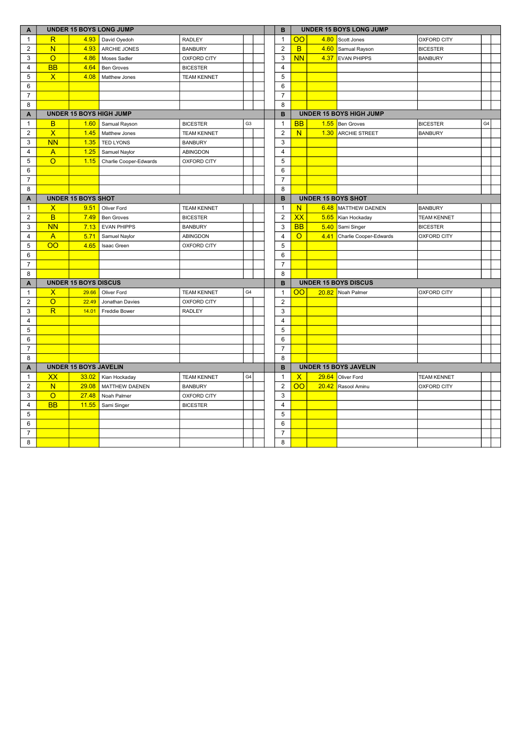| A              |                         |                              | <b>UNDER 15 BOYS LONG JUMP</b> |                    |                |  | B                       |                          | <b>UNDER 15 BOYS LONG JUMP</b> |                    |    |
|----------------|-------------------------|------------------------------|--------------------------------|--------------------|----------------|--|-------------------------|--------------------------|--------------------------------|--------------------|----|
| $\mathbf{1}$   | R                       | 4.93                         | David Oyedoh                   | <b>RADLEY</b>      |                |  | $\mathbf{1}$            | OO                       | 4.80 Scott Jones               | <b>OXFORD CITY</b> |    |
| 2              | N.                      | 4.93                         | ARCHIE JONES                   | <b>BANBURY</b>     |                |  | $\overline{2}$          | B                        | 4.60 Samual Rayson             | <b>BICESTER</b>    |    |
| 3              | $\overline{O}$          | 4.86                         | Moses Sadler                   | <b>OXFORD CITY</b> |                |  | 3                       | <b>NN</b>                | 4.37 EVAN PHIPPS               | <b>BANBURY</b>     |    |
| $\overline{4}$ | <b>BB</b>               | 4.64                         | <b>Ben Groves</b>              | <b>BICESTER</b>    |                |  | $\overline{4}$          |                          |                                |                    |    |
| 5              | $\mathsf{X}$            | 4.08                         | Matthew Jones                  | <b>TEAM KENNET</b> |                |  | 5                       |                          |                                |                    |    |
| $\,6$          |                         |                              |                                |                    |                |  | 6                       |                          |                                |                    |    |
| $\overline{7}$ |                         |                              |                                |                    |                |  | $\overline{7}$          |                          |                                |                    |    |
| 8              |                         |                              |                                |                    |                |  | 8                       |                          |                                |                    |    |
| A              |                         |                              | <b>UNDER 15 BOYS HIGH JUMP</b> |                    |                |  | B                       |                          | <b>UNDER 15 BOYS HIGH JUMP</b> |                    |    |
| $\mathbf{1}$   | B                       | 1.60                         | Samual Rayson                  | <b>BICESTER</b>    | G <sub>3</sub> |  | $\mathbf{1}$            | <b>BB</b>                | 1.55 Ben Groves                | <b>BICESTER</b>    | G4 |
| $\overline{2}$ | $\overline{\mathsf{x}}$ | 1.45                         | Matthew Jones                  | <b>TEAM KENNET</b> |                |  | $\overline{2}$          | N                        | 1.30 ARCHIE STREET             | <b>BANBURY</b>     |    |
| 3              | <b>NN</b>               | 1.35                         | <b>TED LYONS</b>               | <b>BANBURY</b>     |                |  | 3                       |                          |                                |                    |    |
| $\overline{4}$ | $\mathsf{A}$            | 1.25                         | Samuel Naylor                  | ABINGDON           |                |  | $\overline{4}$          |                          |                                |                    |    |
| $\overline{5}$ | $\overline{O}$          | 1.15                         | Charlie Cooper-Edwards         | <b>OXFORD CITY</b> |                |  | 5                       |                          |                                |                    |    |
| $\,6$          |                         |                              |                                |                    |                |  | 6                       |                          |                                |                    |    |
| $\overline{7}$ |                         |                              |                                |                    |                |  | $\overline{7}$          |                          |                                |                    |    |
| 8              |                         |                              |                                |                    |                |  | 8                       |                          |                                |                    |    |
| A              |                         | <b>UNDER 15 BOYS SHOT</b>    |                                |                    |                |  | B                       |                          | <b>UNDER 15 BOYS SHOT</b>      |                    |    |
| $\mathbf{1}$   | Х                       | 9.51                         | Oliver Ford                    | <b>TEAM KENNET</b> |                |  | $\mathbf{1}$            | N                        | 6.48 MATTHEW DAENEN            | <b>BANBURY</b>     |    |
| $\overline{2}$ | B                       | 7.49                         | <b>Ben Groves</b>              | <b>BICESTER</b>    |                |  | $\overline{2}$          | $\overline{\mathsf{xx}}$ | 5.65 Kian Hockaday             | <b>TEAM KENNET</b> |    |
| 3              | <b>NN</b>               | 7.13                         | <b>EVAN PHIPPS</b>             | <b>BANBURY</b>     |                |  | 3                       | <b>BB</b>                | 5.40 Sami Singer               | <b>BICESTER</b>    |    |
| $\overline{4}$ | $\mathsf{A}$            | 5.71                         | Samuel Naylor                  | <b>ABINGDON</b>    |                |  | $\overline{\mathbf{4}}$ | $\circ$                  | 4.41 Charlie Cooper-Edwards    | <b>OXFORD CITY</b> |    |
| 5              | 00                      | 4.65                         | Isaac Green                    | <b>OXFORD CITY</b> |                |  | 5                       |                          |                                |                    |    |
| 6              |                         |                              |                                |                    |                |  | 6                       |                          |                                |                    |    |
| $\overline{7}$ |                         |                              |                                |                    |                |  | $\overline{7}$          |                          |                                |                    |    |
| 8              |                         |                              |                                |                    |                |  | 8                       |                          |                                |                    |    |
| A              |                         | <b>UNDER 15 BOYS DISCUS</b>  |                                |                    |                |  | B                       |                          | <b>UNDER 15 BOYS DISCUS</b>    |                    |    |
| $\mathbf{1}$   | $\mathsf{x}$            | 29.66                        | Oliver Ford                    | <b>TEAM KENNET</b> | G4             |  | $\mathbf{1}$            | $\overline{O}O$          | 20.82 Noah Palmer              | <b>OXFORD CITY</b> |    |
| 2              | $\overline{O}$          | 22.49                        | Jonathan Davies                | OXFORD CITY        |                |  | $\overline{2}$          |                          |                                |                    |    |
| 3              | $\overline{\mathsf{R}}$ | 14.01                        | Freddie Bower                  | <b>RADLEY</b>      |                |  | 3                       |                          |                                |                    |    |
| $\overline{4}$ |                         |                              |                                |                    |                |  | $\overline{4}$          |                          |                                |                    |    |
| 5              |                         |                              |                                |                    |                |  | 5                       |                          |                                |                    |    |
| 6              |                         |                              |                                |                    |                |  | 6                       |                          |                                |                    |    |
| $\overline{7}$ |                         |                              |                                |                    |                |  | $\overline{7}$          |                          |                                |                    |    |
| 8              |                         |                              |                                |                    |                |  | 8                       |                          |                                |                    |    |
| A              |                         | <b>UNDER 15 BOYS JAVELIN</b> |                                |                    |                |  | B                       |                          | <b>UNDER 15 BOYS JAVELIN</b>   |                    |    |
| $\mathbf{1}$   | XX                      | 33.02                        | Kian Hockaday                  | <b>TEAM KENNET</b> | G <sub>4</sub> |  | $\mathbf{1}$            | X                        | 29.64 Oliver Ford              | <b>TEAM KENNET</b> |    |
| $\overline{2}$ | N                       | 29.08                        | <b>MATTHEW DAENEN</b>          | <b>BANBURY</b>     |                |  | $\overline{2}$          | $\overline{OO}$          | 20.42 Rasool Aminu             | <b>OXFORD CITY</b> |    |
| 3              | $\overline{O}$          | 27.48                        | Noah Palmer                    | OXFORD CITY        |                |  | 3                       |                          |                                |                    |    |
| $\overline{4}$ | <b>BB</b>               | 11.55                        | Sami Singer                    | <b>BICESTER</b>    |                |  | $\overline{4}$          |                          |                                |                    |    |
| 5              |                         |                              |                                |                    |                |  | 5                       |                          |                                |                    |    |
| $\,6$          |                         |                              |                                |                    |                |  | 6                       |                          |                                |                    |    |
| $\overline{7}$ |                         |                              |                                |                    |                |  | $\overline{7}$          |                          |                                |                    |    |
| 8              |                         |                              |                                |                    |                |  | 8                       |                          |                                |                    |    |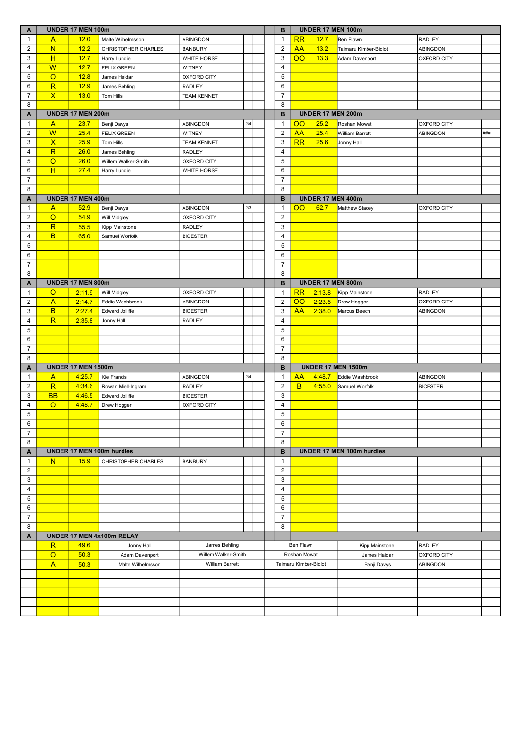| A              |                         | UNDER 17 MEN 100m         |                           |                        |                |  | в                   |                 | UNDER 17 MEN 100m     |                                  |                    |     |
|----------------|-------------------------|---------------------------|---------------------------|------------------------|----------------|--|---------------------|-----------------|-----------------------|----------------------------------|--------------------|-----|
| $\mathbf{1}$   | Α                       | 12.0                      | Malte Wilhelmsson         | ABINGDON               |                |  | $\mathbf{1}$        | RR              | 12.7                  | Ben Flawn                        | <b>RADLEY</b>      |     |
| $\sqrt{2}$     | N                       | 12.2                      | CHRISTOPHER CHARLES       | <b>BANBURY</b>         |                |  | $\overline{2}$      | <b>AA</b>       | 13.2                  | Taimaru Kimber-Bidlot            | <b>ABINGDON</b>    |     |
| 3              | $\overline{\mathsf{H}}$ | 12.7                      | Harry Lundie              | <b>WHITE HORSE</b>     |                |  | 3                   | $\overline{OO}$ | 13.3                  | Adam Davenport                   | <b>OXFORD CITY</b> |     |
| 4              | W                       | 12.7                      | <b>FELIX GREEN</b>        | <b>WITNEY</b>          |                |  | 4                   |                 |                       |                                  |                    |     |
| 5              | $\circ$                 | 12.8                      | James Haidar              | OXFORD CITY            |                |  | 5                   |                 |                       |                                  |                    |     |
| $\,6$          | $\overline{\mathsf{R}}$ | 12.9                      | James Behling             | <b>RADLEY</b>          |                |  | 6                   |                 |                       |                                  |                    |     |
| $\overline{7}$ | $\mathsf{X}$            | 13.0                      | Tom Hills                 | <b>TEAM KENNET</b>     |                |  | $\overline{7}$      |                 |                       |                                  |                    |     |
| 8              |                         |                           |                           |                        |                |  | 8                   |                 |                       |                                  |                    |     |
| Α              |                         | <b>UNDER 17 MEN 200m</b>  |                           |                        |                |  | B                   |                 | UNDER 17 MEN 200m     |                                  |                    |     |
| $\mathbf{1}$   | A                       | 23.7                      | Benji Davys               | <b>ABINGDON</b>        | G4             |  | $\mathbf{1}$        | $\overline{O}O$ | 25.2                  | Roshan Mowat                     | OXFORD CITY        |     |
| $\sqrt{2}$     | W                       | 25.4                      | <b>FELIX GREEN</b>        | WITNEY                 |                |  | $\overline{2}$      | <b>AA</b>       | 25.4                  | <b>William Barrett</b>           | <b>ABINGDON</b>    | ### |
| 3              | $\overline{\mathsf{x}}$ | 25.9                      | Tom Hills                 | <b>TEAM KENNET</b>     |                |  | 3                   | RR              | 25.6                  | Jonny Hall                       |                    |     |
| $\overline{4}$ | $\overline{\mathsf{R}}$ | 26.0                      | James Behling             | <b>RADLEY</b>          |                |  | 4                   |                 |                       |                                  |                    |     |
| 5              | $\overline{O}$          | 26.0                      | Willem Walker-Smith       | OXFORD CITY            |                |  | 5                   |                 |                       |                                  |                    |     |
| 6              | H                       | 27.4                      | Harry Lundie              | WHITE HORSE            |                |  | 6                   |                 |                       |                                  |                    |     |
| $\overline{7}$ |                         |                           |                           |                        |                |  | $\overline{7}$      |                 |                       |                                  |                    |     |
| 8              |                         |                           |                           |                        |                |  | 8                   |                 |                       |                                  |                    |     |
| A              |                         | UNDER 17 MEN 400m         |                           |                        |                |  | B                   |                 | UNDER 17 MEN 400m     |                                  |                    |     |
| $\mathbf{1}$   | A                       | 52.9                      | Benji Davys               | <b>ABINGDON</b>        | G <sub>3</sub> |  | $\mathbf{1}$        | $\overline{O}O$ | 62.7                  | Matthew Stacey                   | <b>OXFORD CITY</b> |     |
| $\sqrt{2}$     | $\overline{O}$          | 54.9                      | Will Midgley              | <b>OXFORD CITY</b>     |                |  | $\overline{2}$      |                 |                       |                                  |                    |     |
| 3              | $\overline{\mathsf{R}}$ | 55.5                      | Kipp Mainstone            | <b>RADLEY</b>          |                |  | 3                   |                 |                       |                                  |                    |     |
| $\overline{4}$ | <sub>B</sub>            | 65.0                      | Samuel Worfolk            | <b>BICESTER</b>        |                |  | 4                   |                 |                       |                                  |                    |     |
| 5              |                         |                           |                           |                        |                |  | 5                   |                 |                       |                                  |                    |     |
| 6              |                         |                           |                           |                        |                |  | 6                   |                 |                       |                                  |                    |     |
| $\overline{7}$ |                         |                           |                           |                        |                |  | $\overline{7}$      |                 |                       |                                  |                    |     |
| 8              |                         |                           |                           |                        |                |  | 8                   |                 |                       |                                  |                    |     |
| A              |                         | UNDER 17 MEN 800m         |                           |                        |                |  | B                   |                 | UNDER 17 MEN 800m     |                                  |                    |     |
| $\mathbf{1}$   | $\circ$                 | 2:11.9                    | Will Midgley              | <b>OXFORD CITY</b>     |                |  | 1                   | RR              | 2:13.8                | Kipp Mainstone                   | <b>RADLEY</b>      |     |
| $\sqrt{2}$     | A                       | 2:14.7                    | Eddie Washbrook           | ABINGDON               |                |  | $\overline{2}$      | $\overline{O}O$ | 2:23.5                | Drew Hogger                      | OXFORD CITY        |     |
| 3              | B                       | 2:27.4                    | Edward Jolliffe           | <b>BICESTER</b>        |                |  | 3                   | AA              | 2:38.0                | Marcus Beech                     | ABINGDON           |     |
| $\overline{4}$ | R                       | 2:35.8                    | Jonny Hall                | <b>RADLEY</b>          |                |  | 4                   |                 |                       |                                  |                    |     |
| 5              |                         |                           |                           |                        |                |  | 5                   |                 |                       |                                  |                    |     |
| 6              |                         |                           |                           |                        |                |  | 6                   |                 |                       |                                  |                    |     |
| $\overline{7}$ |                         |                           |                           |                        |                |  | $\overline{7}$      |                 |                       |                                  |                    |     |
| 8              |                         |                           |                           |                        |                |  | 8                   |                 |                       |                                  |                    |     |
| A              |                         | <b>UNDER 17 MEN 1500m</b> |                           |                        |                |  | B                   |                 |                       | <b>UNDER 17 MEN 1500m</b>        |                    |     |
| $\mathbf{1}$   | A                       | 4:25.7                    | Kie Francis               | <b>ABINGDON</b>        | G4             |  | 1                   | AA              | 4:48.7                | Eddie Washbrook                  | ABINGDON           |     |
| $\sqrt{2}$     | R                       | 4:34.6                    | Rowan Miell-Ingram        | <b>RADLEY</b>          |                |  | $\overline{2}$      | B               | 4:55.0                | Samuel Worfolk                   | <b>BICESTER</b>    |     |
| 3              | <b>BB</b>               | 4:46.5                    | Edward Jolliffe           | <b>BICESTER</b>        |                |  | 3                   |                 |                       |                                  |                    |     |
| $\overline{4}$ | $\overline{O}$          | 4:48.7                    | Drew Hogger               | OXFORD CITY            |                |  | 4                   |                 |                       |                                  |                    |     |
| 5              |                         |                           |                           |                        |                |  | 5                   |                 |                       |                                  |                    |     |
| 6              |                         |                           |                           |                        |                |  | 6                   |                 |                       |                                  |                    |     |
| $\overline{7}$ |                         |                           |                           |                        |                |  | $\overline{7}$      |                 |                       |                                  |                    |     |
| 8              |                         |                           |                           |                        |                |  | 8                   |                 |                       |                                  |                    |     |
| A              |                         |                           | UNDER 17 MEN 100m hurdles |                        |                |  | B                   |                 |                       | <b>UNDER 17 MEN 100m hurdles</b> |                    |     |
| $\mathbf{1}$   | N                       | 15.9                      | CHRISTOPHER CHARLES       | <b>BANBURY</b>         |                |  | $\mathbf{1}$        |                 |                       |                                  |                    |     |
| $\sqrt{2}$     |                         |                           |                           |                        |                |  | $\overline{2}$      |                 |                       |                                  |                    |     |
| 3              |                         |                           |                           |                        |                |  | 3                   |                 |                       |                                  |                    |     |
| $\overline{4}$ |                         |                           |                           |                        |                |  | $\overline{4}$      |                 |                       |                                  |                    |     |
| 5              |                         |                           |                           |                        |                |  | 5                   |                 |                       |                                  |                    |     |
| 6              |                         |                           |                           |                        |                |  | 6<br>$\overline{7}$ |                 |                       |                                  |                    |     |
| $\overline{7}$ |                         |                           |                           |                        |                |  | 8                   |                 |                       |                                  |                    |     |
| 8              |                         |                           | UNDER 17 MEN 4x100m RELAY |                        |                |  |                     |                 |                       |                                  |                    |     |
| A              |                         |                           |                           |                        |                |  |                     |                 |                       |                                  |                    |     |
|                | R                       | 49.6                      | Jonny Hall                | James Behling          |                |  |                     | Ben Flawn       |                       | Kipp Mainstone                   | <b>RADLEY</b>      |     |
|                | $\overline{O}$          | 50.3                      | Adam Davenport            | Willem Walker-Smith    |                |  |                     | Roshan Mowat    |                       | James Haidar                     | OXFORD CITY        |     |
|                | $\mathsf{A}$            | 50.3                      | Malte Wilhelmsson         | <b>William Barrett</b> |                |  |                     |                 | Taimaru Kimber-Bidlot | Benji Davys                      | ABINGDON           |     |
|                |                         |                           |                           |                        |                |  |                     |                 |                       |                                  |                    |     |
|                |                         |                           |                           |                        |                |  |                     |                 |                       |                                  |                    |     |
|                |                         |                           |                           |                        |                |  |                     |                 |                       |                                  |                    |     |
|                |                         |                           |                           |                        |                |  |                     |                 |                       |                                  |                    |     |
|                |                         |                           |                           |                        |                |  |                     |                 |                       |                                  |                    |     |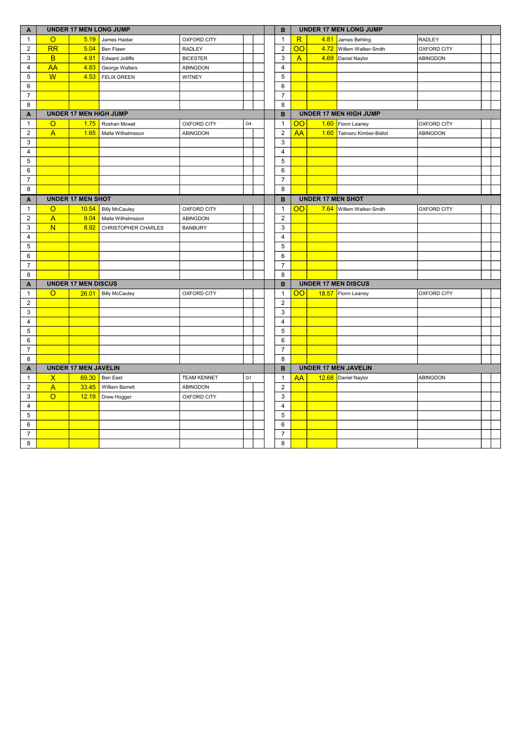| A                       |                         |                             | <b>UNDER 17 MEN LONG JUMP</b> |                    |                |  | B                       |                 |                          | <b>UNDER 17 MEN LONG JUMP</b> |                    |  |
|-------------------------|-------------------------|-----------------------------|-------------------------------|--------------------|----------------|--|-------------------------|-----------------|--------------------------|-------------------------------|--------------------|--|
| $\mathbf{1}$            | $\overline{O}$          | 5.19                        | James Haidar                  | <b>OXFORD CITY</b> |                |  | $\mathbf{1}$            | R               |                          | 4.81 James Behling            | <b>RADLEY</b>      |  |
| $\overline{2}$          | $\overline{RR}$         | 5.04                        | Ben Flawn                     | <b>RADLEY</b>      |                |  | $\overline{2}$          | $\overline{OO}$ |                          | 4.72 Willem Walker-Smith      | OXFORD CITY        |  |
| 3                       | $\overline{B}$          | 4.91                        | Edward Jolliffe               | <b>BICESTER</b>    |                |  | 3                       | $\overline{A}$  |                          | 4.69 Daniel Naylor            | ABINGDON           |  |
| 4                       | <b>AA</b>               | 4.83                        | George Walters                | ABINGDON           |                |  | $\overline{\mathbf{4}}$ |                 |                          |                               |                    |  |
| 5                       | W                       | 4.53                        | <b>FELIX GREEN</b>            | <b>WITNEY</b>      |                |  | 5                       |                 |                          |                               |                    |  |
| 6                       |                         |                             |                               |                    |                |  | 6                       |                 |                          |                               |                    |  |
| $\overline{7}$          |                         |                             |                               |                    |                |  | $\overline{7}$          |                 |                          |                               |                    |  |
| 8                       |                         |                             |                               |                    |                |  | 8                       |                 |                          |                               |                    |  |
| A                       |                         |                             | UNDER 17 MEN HIGH JUMP        |                    |                |  | B                       |                 |                          | <b>UNDER 17 MEN HIGH JUMP</b> |                    |  |
| $\mathbf{1}$            | $\overline{O}$          | 1.75                        | Roshan Mowat                  | <b>OXFORD CITY</b> | G4             |  | $\mathbf{1}$            | $\overline{O}O$ |                          | 1.60 Fionn Leaney             | <b>OXFORD CITY</b> |  |
| $\boldsymbol{2}$        | $\overline{A}$          | 1.65                        | Malte Wilhelmsson             | ABINGDON           |                |  | $\overline{2}$          | <b>AA</b>       |                          | 1.60 Taimaru Kimber-Bidlot    | ABINGDON           |  |
| $\mathbf{3}$            |                         |                             |                               |                    |                |  | 3                       |                 |                          |                               |                    |  |
| $\overline{4}$          |                         |                             |                               |                    |                |  | $\overline{\mathbf{4}}$ |                 |                          |                               |                    |  |
| $\overline{5}$          |                         |                             |                               |                    |                |  | 5                       |                 |                          |                               |                    |  |
| $\,6$                   |                         |                             |                               |                    |                |  | 6                       |                 |                          |                               |                    |  |
| $\overline{7}$          |                         |                             |                               |                    |                |  | $\overline{7}$          |                 |                          |                               |                    |  |
| 8                       |                         |                             |                               |                    |                |  | 8                       |                 |                          |                               |                    |  |
| A                       |                         | <b>UNDER 17 MEN SHOT</b>    |                               |                    |                |  | B                       |                 | <b>UNDER 17 MEN SHOT</b> |                               |                    |  |
| $\mathbf{1}$            | $\overline{O}$          | 10.54                       | <b>Billy McCauley</b>         | OXFORD CITY        |                |  | $\mathbf{1}$            | $\overline{O}O$ |                          | 7.64 Willem Walker-Smith      | <b>OXFORD CITY</b> |  |
| $\overline{2}$          | $\overline{A}$          | 9.04                        | Malte Wilhelmsson             | ABINGDON           |                |  | $\overline{2}$          |                 |                          |                               |                    |  |
| $\mathbf{3}$            | $\overline{\mathsf{N}}$ | 8.92                        | CHRISTOPHER CHARLES           | <b>BANBURY</b>     |                |  | 3                       |                 |                          |                               |                    |  |
| 4                       |                         |                             |                               |                    |                |  | $\overline{4}$          |                 |                          |                               |                    |  |
| 5                       |                         |                             |                               |                    |                |  | 5                       |                 |                          |                               |                    |  |
| 6                       |                         |                             |                               |                    |                |  | 6                       |                 |                          |                               |                    |  |
| $\overline{7}$          |                         |                             |                               |                    |                |  | $\overline{7}$          |                 |                          |                               |                    |  |
| 8                       |                         |                             |                               |                    |                |  | 8                       |                 |                          |                               |                    |  |
| $\overline{A}$          |                         | <b>UNDER 17 MEN DISCUS</b>  |                               |                    |                |  | B                       |                 |                          | <b>UNDER 17 MEN DISCUS</b>    |                    |  |
| $\mathbf{1}$            | $\overline{O}$          | 26.01                       | <b>Billy McCauley</b>         | OXFORD CITY        |                |  | $\mathbf{1}$            | $\overline{O}O$ |                          | 18.57 Fionn Leaney            | <b>OXFORD CITY</b> |  |
| $\overline{2}$          |                         |                             |                               |                    |                |  | $\overline{2}$          |                 |                          |                               |                    |  |
| 3                       |                         |                             |                               |                    |                |  | 3                       |                 |                          |                               |                    |  |
| $\overline{4}$          |                         |                             |                               |                    |                |  | $\overline{4}$          |                 |                          |                               |                    |  |
| 5                       |                         |                             |                               |                    |                |  | 5                       |                 |                          |                               |                    |  |
| $\,6$                   |                         |                             |                               |                    |                |  | 6                       |                 |                          |                               |                    |  |
| $\overline{7}$          |                         |                             |                               |                    |                |  | $\overline{7}$          |                 |                          |                               |                    |  |
| 8                       |                         |                             |                               |                    |                |  | 8                       |                 |                          |                               |                    |  |
| A                       |                         | <b>UNDER 17 MEN JAVELIN</b> |                               |                    |                |  | B                       |                 |                          | <b>UNDER 17 MEN JAVELIN</b>   |                    |  |
| $\mathbf{1}$            | $\mathsf{x}$            | 69.30                       | Ben East                      | <b>TEAM KENNET</b> | G <sub>1</sub> |  | $\mathbf{1}$            | AA              |                          | 12.68 Daniel Naylor           | ABINGDON           |  |
| $\sqrt{2}$              | $\overline{A}$          | 33.45                       | William Barrett               | ABINGDON           |                |  | $\overline{2}$          |                 |                          |                               |                    |  |
| 3                       | $\overline{O}$          | 12.19                       | Drew Hogger                   | OXFORD CITY        |                |  | 3                       |                 |                          |                               |                    |  |
| $\overline{\mathbf{4}}$ |                         |                             |                               |                    |                |  | $\overline{\mathbf{4}}$ |                 |                          |                               |                    |  |
| 5                       |                         |                             |                               |                    |                |  | 5                       |                 |                          |                               |                    |  |
| 6                       |                         |                             |                               |                    |                |  | 6                       |                 |                          |                               |                    |  |
| $\overline{7}$          |                         |                             |                               |                    |                |  | $\overline{7}$          |                 |                          |                               |                    |  |
| 8                       |                         |                             |                               |                    |                |  | 8                       |                 |                          |                               |                    |  |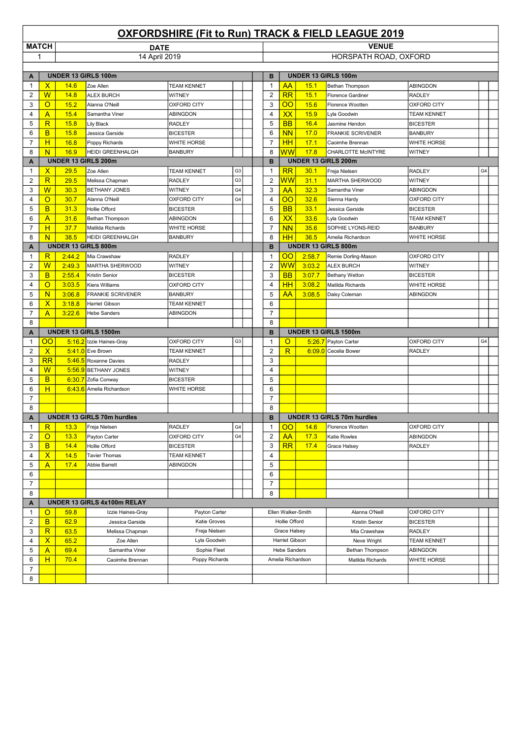|                |                         |                                                                           | OXFORDSHIRE (Fit to Run) TRACK & FIELD LEAGUE 2019<br><b>DATE</b><br>14 April 2019 |                    |                |  |                         |  |                 |                    |                            |                    |    |  |
|----------------|-------------------------|---------------------------------------------------------------------------|------------------------------------------------------------------------------------|--------------------|----------------|--|-------------------------|--|-----------------|--------------------|----------------------------|--------------------|----|--|
| <b>MATCH</b>   |                         |                                                                           |                                                                                    |                    |                |  |                         |  |                 |                    | <b>VENUE</b>               |                    |    |  |
| 1              |                         |                                                                           |                                                                                    |                    |                |  |                         |  |                 |                    | HORSPATH ROAD, OXFORD      |                    |    |  |
|                |                         |                                                                           |                                                                                    |                    |                |  |                         |  |                 |                    |                            |                    |    |  |
| A              |                         |                                                                           | <b>UNDER 13 GIRLS 100m</b>                                                         |                    |                |  | B                       |  |                 |                    | <b>UNDER 13 GIRLS 100m</b> |                    |    |  |
| $\mathbf{1}$   | X                       | 14.6                                                                      | Zoe Allen                                                                          | <b>TEAM KENNET</b> |                |  | $\mathbf{1}$            |  | AA              | 15.1               | Bethan Thompson            | ABINGDON           |    |  |
| $\overline{2}$ | W                       | 14.8                                                                      | <b>ALEX BURCH</b>                                                                  | WITNEY             |                |  | $\overline{2}$          |  | RR              | 15.1               | <b>Florence Gardiner</b>   | <b>RADLEY</b>      |    |  |
| 3              | O                       | 15.2                                                                      | Alanna O'Neill                                                                     | <b>OXFORD CITY</b> |                |  | 3                       |  | $\overline{O}O$ | 15.6               | Florence Wootten           | <b>OXFORD CITY</b> |    |  |
| 4              | $\overline{A}$          | 15.4                                                                      | Samantha Viner                                                                     | ABINGDON           |                |  | $\overline{4}$          |  | <b>XX</b>       | 15.9               | Lyla Goodwin               | TEAM KENNET        |    |  |
| 5              | R                       | 15.8                                                                      | Lily Black                                                                         | <b>RADLEY</b>      |                |  | 5                       |  | <b>BB</b>       | 16.4               | Jasmine Hendon             | <b>BICESTER</b>    |    |  |
| 6              | B                       | 15.8                                                                      | Jessica Garside                                                                    | <b>BICESTER</b>    |                |  | 6                       |  | <b>NN</b>       | 17.0               | <b>FRANKIE SCRIVENER</b>   | <b>BANBURY</b>     |    |  |
| $\overline{7}$ | H                       | 16.8                                                                      | Poppy Richards                                                                     | WHITE HORSE        |                |  | $\overline{7}$          |  | <b>HH</b>       | 17.1               | Caoimhe Brennan            | <b>WHITE HORSE</b> |    |  |
| 8              | N                       | 16.9                                                                      | <b>HEIDI GREENHALGH</b>                                                            | <b>BANBURY</b>     |                |  | 8                       |  | <b>WW</b>       | 17.8               | <b>CHARLOTTE McINTYRE</b>  | <b>WITNEY</b>      |    |  |
| A              |                         |                                                                           | UNDER 13 GIRLS 200m                                                                |                    |                |  | B                       |  |                 |                    | <b>UNDER 13 GIRLS 200m</b> |                    |    |  |
| 1              | X                       | 29.5                                                                      | Zoe Allen                                                                          | <b>TEAM KENNET</b> | G <sub>3</sub> |  | $\mathbf{1}$            |  | RR              | 30.1               | Freja Nielsen              | <b>RADLEY</b>      | G4 |  |
| 2              | $\overline{\mathsf{R}}$ | 29.5                                                                      | Melissa Chapman                                                                    | <b>RADLEY</b>      | G <sub>3</sub> |  | $\overline{2}$          |  | WW              | 31.1               | MARTHA SHERWOOD            | WITNEY             |    |  |
| 3              | W                       | 30.3                                                                      | <b>BETHANY JONES</b>                                                               | <b>WITNEY</b>      | G4             |  | 3                       |  | AA              | 32.3               | Samantha Viner             | ABINGDON           |    |  |
| 4              | $\overline{O}$          | 30.7                                                                      | Alanna O'Neill                                                                     | <b>OXFORD CITY</b> | G4             |  | $\overline{4}$          |  | $\overline{O}O$ | 32.6               | Sienna Hardy               | OXFORD CITY        |    |  |
| 5              | в                       | 31.3                                                                      | Hollie Offord                                                                      | <b>BICESTER</b>    |                |  | 5                       |  | <b>BB</b>       | 33.1               | Jessica Garside            | <b>BICESTER</b>    |    |  |
| 6              | A                       | 31.6                                                                      | Bethan Thompson                                                                    | <b>ABINGDON</b>    |                |  | 6                       |  | XX.             | 33.6               | Lyla Goodwin               | <b>TEAM KENNET</b> |    |  |
| $\overline{7}$ | H                       | 37.7                                                                      | Matilda Richards                                                                   | WHITE HORSE        |                |  | $\overline{7}$          |  | <b>NN</b>       | 35.6               | SOPHIE LYONS-REID          | <b>BANBURY</b>     |    |  |
| 8              | N                       | 38.5                                                                      | <b>HEIDI GREENHALGH</b>                                                            | <b>BANBURY</b>     |                |  | 8                       |  | <b>HH</b>       | 36.5               | Amelia Richardson          | WHITE HORSE        |    |  |
| A              |                         |                                                                           | <b>UNDER 13 GIRLS 800m</b>                                                         |                    |                |  | B                       |  |                 |                    | <b>UNDER 13 GIRLS 800m</b> |                    |    |  |
| 1              | R.                      | 2:44.2                                                                    | Mia Crawshaw                                                                       | <b>RADLEY</b>      |                |  | $\mathbf{1}$            |  | OO              | 2:58.7             | Remie Dorling-Mason        | <b>OXFORD CITY</b> |    |  |
| 2              | W                       | 2:49.3                                                                    | <b>MARTHA SHERWOOD</b>                                                             | <b>WITNEY</b>      |                |  | $\overline{2}$          |  | <b>WW</b>       | 3:03.2             | <b>ALEX BURCH</b>          | WITNEY             |    |  |
| 3              | B                       | 2:55.4                                                                    | Kristin Senior                                                                     | <b>BICESTER</b>    |                |  | 3                       |  | <b>BB</b>       | 3:07.7             | <b>Bethany Wetton</b>      | <b>BICESTER</b>    |    |  |
| 4              | $\overline{O}$          | 3:03.5                                                                    | Kiera Williams                                                                     | <b>OXFORD CITY</b> |                |  | $\overline{4}$          |  | HН              | 3:08.2             | Matilda Richards           | WHITE HORSE        |    |  |
| 5              | N                       | 3:06.8                                                                    | <b>FRANKIE SCRIVENER</b>                                                           | <b>BANBURY</b>     |                |  | 5                       |  | AA              | 3:08.5             | Daisy Coleman              | ABINGDON           |    |  |
| 6              | $\mathsf{x}$            | 3:18.8                                                                    | Harriet Gibson                                                                     | <b>TEAM KENNET</b> |                |  | 6                       |  |                 |                    |                            |                    |    |  |
| 7              | $\overline{A}$          | 3:22.6                                                                    | <b>Hebe Sanders</b>                                                                | ABINGDON           |                |  | $\overline{7}$          |  |                 |                    |                            |                    |    |  |
| 8              |                         |                                                                           |                                                                                    |                    |                |  | 8                       |  |                 |                    |                            |                    |    |  |
| A              |                         |                                                                           | UNDER 13 GIRLS 1500m                                                               |                    |                |  | B                       |  |                 |                    | UNDER 13 GIRLS 1500m       |                    |    |  |
| 1              | 00                      |                                                                           | 5:16.2 Izzie Haines-Gray                                                           | <b>OXFORD CITY</b> | G <sub>3</sub> |  | $\mathbf{1}$            |  | $\circ$         |                    | 5:26.7 Payton Carter       | <b>OXFORD CITY</b> | G4 |  |
| $\overline{2}$ | $\mathsf{X}$            |                                                                           | $5.41.0$ Eve Brown                                                                 | TEAM KENNET        |                |  | $\overline{2}$          |  | R.              |                    | 6:09.0 Cecelia Bower       | RADLEY             |    |  |
| 3              | RR                      |                                                                           | 5:46.5 Roxanne Davies                                                              | <b>RADLEY</b>      |                |  | 3                       |  |                 |                    |                            |                    |    |  |
| 4              | W                       |                                                                           | 5:56.9 BETHANY JONES                                                               | <b>WITNEY</b>      |                |  | $\overline{4}$          |  |                 |                    |                            |                    |    |  |
| 5              | в                       |                                                                           | 6:30.7 Zofia Conway                                                                | <b>BICESTER</b>    |                |  | 5                       |  |                 |                    |                            |                    |    |  |
| 6              | н                       |                                                                           | 6:43.6 Amelia Richardson                                                           | WHITE HORSE        |                |  | 6                       |  |                 |                    |                            |                    |    |  |
| $\overline{7}$ |                         |                                                                           |                                                                                    |                    |                |  | $\overline{7}$          |  |                 |                    |                            |                    |    |  |
| 8              |                         |                                                                           |                                                                                    |                    |                |  | 8                       |  |                 |                    |                            |                    |    |  |
| $\mathbf{A}$   |                         |                                                                           | UNDER 13 GIRLS 70m hurdles                                                         |                    |                |  | B                       |  |                 |                    | UNDER 13 GIRLS 70m hurdles |                    |    |  |
| $\mathbf{1}$   | $\mathsf R$             | 13.3                                                                      | Freja Nielsen                                                                      | <b>RADLEY</b>      | G4             |  | $\mathbf{1}$            |  | 00              | 14.6               | Florence Wootten           | <b>OXFORD CITY</b> |    |  |
| 2              | O                       | 13.3                                                                      | Payton Carter                                                                      | <b>OXFORD CITY</b> | G4             |  | $\overline{\mathbf{c}}$ |  | <b>AA</b>       | 17.3               | Katie Rowles               | ABINGDON           |    |  |
| 3              | в                       | 14.4                                                                      | Hollie Offord                                                                      | <b>BICESTER</b>    |                |  | 3                       |  | RR              | 17.4               | Grace Halsey               | <b>RADLEY</b>      |    |  |
| 4              | x                       | 14.5                                                                      | Tavier Thomas                                                                      | TEAM KENNET        |                |  | 4                       |  |                 |                    |                            |                    |    |  |
| 5              | $\mathsf{A}$            | 17.4                                                                      | Abbie Barrett                                                                      | ABINGDON           |                |  | 5                       |  |                 |                    |                            |                    |    |  |
| 6              |                         |                                                                           |                                                                                    |                    |                |  | 6                       |  |                 |                    |                            |                    |    |  |
| $\overline{7}$ |                         |                                                                           |                                                                                    |                    |                |  | $\overline{7}$          |  |                 |                    |                            |                    |    |  |
| 8              |                         |                                                                           |                                                                                    |                    |                |  | 8                       |  |                 |                    |                            |                    |    |  |
| A              |                         |                                                                           |                                                                                    |                    |                |  |                         |  |                 |                    |                            |                    |    |  |
| 1              | O                       | UNDER 13 GIRLS 4x100m RELAY<br>59.8<br>Payton Carter<br>Izzie Haines-Gray |                                                                                    |                    |                |  |                         |  |                 | Ellen Walker-Smith | Alanna O'Neill             | <b>OXFORD CITY</b> |    |  |
| 2              | в                       | 62.9                                                                      | Katie Groves<br>Jessica Garside                                                    |                    |                |  |                         |  | Hollie Offord   |                    | Kristin Senior             | BICESTER           |    |  |
| 3              | R                       | 63.5<br>Freja Nielsen<br>Melissa Chapman                                  |                                                                                    |                    |                |  |                         |  | Grace Halsey    |                    | Mia Crawshaw               | RADLEY             |    |  |
| 4              | x                       | 65.2                                                                      | Lyla Goodwin<br>Zoe Allen                                                          |                    |                |  |                         |  | Harriet Gibson  |                    | Neve Wright                | <b>TEAM KENNET</b> |    |  |
| 5              | A                       | 69.4                                                                      | Samantha Viner                                                                     | Sophie Fleet       |                |  |                         |  | Hebe Sanders    |                    | Bethan Thompson            | ABINGDON           |    |  |
| 6              | н                       | 70.4                                                                      | Caoimhe Brennan                                                                    | Poppy Richards     |                |  |                         |  |                 | Amelia Richardson  | Matilda Richards           | WHITE HORSE        |    |  |
| 7              |                         |                                                                           |                                                                                    |                    |                |  |                         |  |                 |                    |                            |                    |    |  |
| 8              |                         |                                                                           |                                                                                    |                    |                |  |                         |  |                 |                    |                            |                    |    |  |
|                |                         |                                                                           |                                                                                    |                    |                |  |                         |  |                 |                    |                            |                    |    |  |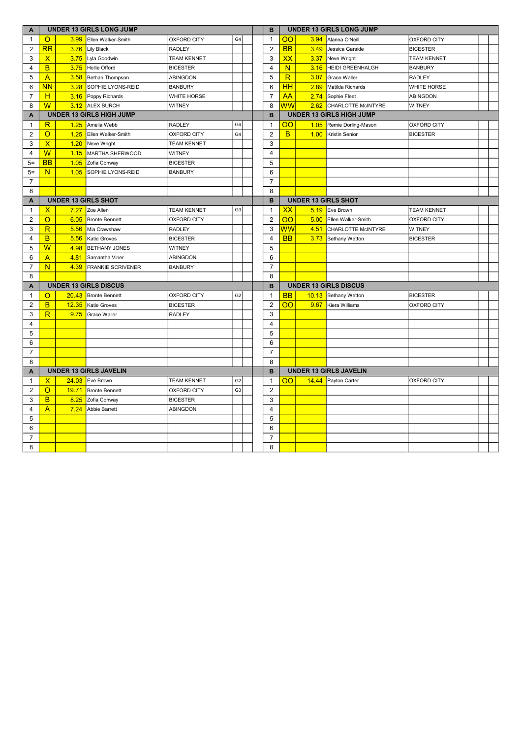| $\boldsymbol{\mathsf{A}}$ |                         |       | <b>UNDER 13 GIRLS LONG JUMP</b> |                    |                |  | B              |                         |      | <b>UNDER 13 GIRLS LONG JUMP</b> |                    |  |
|---------------------------|-------------------------|-------|---------------------------------|--------------------|----------------|--|----------------|-------------------------|------|---------------------------------|--------------------|--|
| $\mathbf{1}$              | $\circ$                 | 3.99  | Ellen Walker-Smith              | <b>OXFORD CITY</b> | G4             |  | $\mathbf{1}$   | OO                      | 3.94 | Alanna O'Neill                  | <b>OXFORD CITY</b> |  |
| $\boldsymbol{2}$          | RR                      | 3.76  | Lily Black                      | <b>RADLEY</b>      |                |  | $\overline{2}$ | <b>BB</b>               | 3.49 | Jessica Garside                 | <b>BICESTER</b>    |  |
| 3                         | $\mathsf{X}$            | 3.75  | Lyla Goodwin                    | <b>TEAM KENNET</b> |                |  | 3              | XX                      | 3.37 | Neve Wright                     | <b>TEAM KENNET</b> |  |
| 4                         | <sub>B</sub>            | 3.75  | Hollie Offord                   | <b>BICESTER</b>    |                |  | $\overline{4}$ | N                       | 3.16 | <b>HEIDI GREENHALGH</b>         | <b>BANBURY</b>     |  |
| 5                         | A                       | 3.58  | Bethan Thompson                 | ABINGDON           |                |  | 5              | $\overline{\mathsf{R}}$ | 3.07 | <b>Grace Waller</b>             | <b>RADLEY</b>      |  |
| 6                         | <b>NN</b>               | 3.28  | SOPHIE LYONS-REID               | <b>BANBURY</b>     |                |  | 6              | <b>HH</b>               | 2.89 | Matilda Richards                | WHITE HORSE        |  |
| $\overline{7}$            | H                       |       | 3.16 Poppy Richards             | WHITE HORSE        |                |  | $\overline{7}$ | AA                      | 2.74 | Sophie Fleet                    | ABINGDON           |  |
| 8                         | W                       |       | 3.12 ALEX BURCH                 | <b>WITNEY</b>      |                |  | 8              | <b>WW</b>               | 2.62 | CHARLOTTE McINTYRE              | <b>WITNEY</b>      |  |
| A                         |                         |       | <b>UNDER 13 GIRLS HIGH JUMP</b> |                    |                |  | B              |                         |      | <b>UNDER 13 GIRLS HIGH JUMP</b> |                    |  |
| $\mathbf{1}$              | R.                      | 1.25  | Amelia Webb                     | <b>RADLEY</b>      | G4             |  | $\mathbf{1}$   | $\overline{O}O$         | 1.05 | Remie Dorling-Mason             | <b>OXFORD CITY</b> |  |
| $\overline{2}$            | $\overline{O}$          | 1.25  | Ellen Walker-Smith              | <b>OXFORD CITY</b> | G <sub>4</sub> |  | $\overline{2}$ | B                       | 1.00 | <b>Kristin Senior</b>           | <b>BICESTER</b>    |  |
| 3                         | $\mathsf{X}$            | 1.20  | Neve Wright                     | <b>TEAM KENNET</b> |                |  | 3              |                         |      |                                 |                    |  |
| $\overline{4}$            | $\overline{W}$          | 1.15  | <b>MARTHA SHERWOOD</b>          | <b>WITNEY</b>      |                |  | $\overline{4}$ |                         |      |                                 |                    |  |
| $5=$                      | <b>BB</b>               | 1.05  | Zofia Conway                    | <b>BICESTER</b>    |                |  | 5              |                         |      |                                 |                    |  |
| $5=$                      | N                       | 1.05  | SOPHIE LYONS-REID               | <b>BANBURY</b>     |                |  | 6              |                         |      |                                 |                    |  |
| $\overline{7}$            |                         |       |                                 |                    |                |  | $\overline{7}$ |                         |      |                                 |                    |  |
| 8                         |                         |       |                                 |                    |                |  | 8              |                         |      |                                 |                    |  |
| A                         |                         |       | <b>UNDER 13 GIRLS SHOT</b>      |                    |                |  | B              |                         |      | <b>UNDER 13 GIRLS SHOT</b>      |                    |  |
| $\mathbf{1}$              | $\mathsf{X}$            | 7.27  | Zoe Allen                       | <b>TEAM KENNET</b> | G <sub>3</sub> |  | $\mathbf{1}$   | XX                      | 5.19 | Eve Brown                       | <b>TEAM KENNET</b> |  |
| $\overline{2}$            | $\overline{O}$          | 6.05  | <b>Bronte Bennett</b>           | <b>OXFORD CITY</b> |                |  | $\overline{2}$ | $\overline{O}O$         | 5.00 | Ellen Walker-Smith              | <b>OXFORD CITY</b> |  |
| 3                         | R.                      | 5.56  | Mia Crawshaw                    | <b>RADLEY</b>      |                |  | 3              | <b>WW</b>               | 4.51 | CHARLOTTE McINTYRE              | <b>WITNEY</b>      |  |
| 4                         | B                       | 5.56  | Katie Groves                    | <b>BICESTER</b>    |                |  | 4              | <b>BB</b>               | 3.73 | <b>Bethany Wetton</b>           | <b>BICESTER</b>    |  |
| 5                         | $\overline{\mathsf{W}}$ | 4.98  | <b>BETHANY JONES</b>            | <b>WITNEY</b>      |                |  | 5              |                         |      |                                 |                    |  |
| 6                         | $\mathsf{A}$            | 4.81  | Samantha Viner                  | <b>ABINGDON</b>    |                |  | 6              |                         |      |                                 |                    |  |
| $\overline{7}$            | N.                      | 4.39  | <b>FRANKIE SCRIVENER</b>        | <b>BANBURY</b>     |                |  | $\overline{7}$ |                         |      |                                 |                    |  |
| 8                         |                         |       |                                 |                    |                |  | 8              |                         |      |                                 |                    |  |
| A                         |                         |       | <b>UNDER 13 GIRLS DISCUS</b>    |                    |                |  | B              |                         |      | <b>UNDER 13 GIRLS DISCUS</b>    |                    |  |
| $\mathbf{1}$              | $\circ$                 | 20.43 | <b>Bronte Bennett</b>           | <b>OXFORD CITY</b> | G <sub>2</sub> |  | $\mathbf{1}$   | <b>BB</b>               |      | 10.13 Bethany Wetton            | <b>BICESTER</b>    |  |
| $\sqrt{2}$                | B                       | 12.35 | <b>Katie Groves</b>             | <b>BICESTER</b>    |                |  | $\overline{c}$ | $\overline{OO}$         | 9.67 | Kiera Williams                  | <b>OXFORD CITY</b> |  |
| 3                         | R.                      | 9.75  | <b>Grace Waller</b>             | <b>RADLEY</b>      |                |  | 3              |                         |      |                                 |                    |  |
| 4                         |                         |       |                                 |                    |                |  | $\overline{4}$ |                         |      |                                 |                    |  |
| 5                         |                         |       |                                 |                    |                |  | 5              |                         |      |                                 |                    |  |
| 6                         |                         |       |                                 |                    |                |  | 6              |                         |      |                                 |                    |  |
| $\overline{7}$            |                         |       |                                 |                    |                |  | $\overline{7}$ |                         |      |                                 |                    |  |
| 8                         |                         |       |                                 |                    |                |  | 8              |                         |      |                                 |                    |  |
| A                         |                         |       | <b>UNDER 13 GIRLS JAVELIN</b>   |                    |                |  | B              |                         |      | <b>UNDER 13 GIRLS JAVELIN</b>   |                    |  |
| $\mathbf{1}$              | X                       | 24.03 | Eve Brown                       | <b>TEAM KENNET</b> | G <sub>2</sub> |  | $\mathbf{1}$   | ΟO                      |      | 14.44 Payton Carter             | <b>OXFORD CITY</b> |  |
| $\overline{2}$            | $\overline{O}$          | 19.71 | <b>Bronte Bennett</b>           | <b>OXFORD CITY</b> | G <sub>3</sub> |  | $\overline{2}$ |                         |      |                                 |                    |  |
| 3                         | B                       | 8.25  | Zofia Conway                    | <b>BICESTER</b>    |                |  | 3              |                         |      |                                 |                    |  |
| $\overline{4}$            | $\overline{A}$          | 7.24  | Abbie Barrett                   | ABINGDON           |                |  | $\overline{4}$ |                         |      |                                 |                    |  |
| 5                         |                         |       |                                 |                    |                |  | 5              |                         |      |                                 |                    |  |
| 6                         |                         |       |                                 |                    |                |  | 6              |                         |      |                                 |                    |  |
| $\overline{7}$            |                         |       |                                 |                    |                |  | $\overline{7}$ |                         |      |                                 |                    |  |
| 8                         |                         |       |                                 |                    |                |  | 8              |                         |      |                                 |                    |  |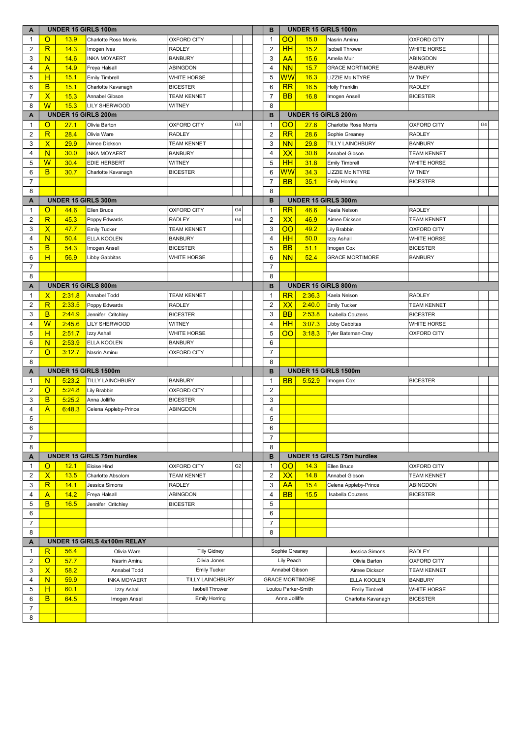| A                   |                                    |              | UNDER 15 GIRLS 100m                 |                                     |                |  | B                       |                                            |                        | <b>UNDER 15 GIRLS 100m</b>              |                    |                |
|---------------------|------------------------------------|--------------|-------------------------------------|-------------------------------------|----------------|--|-------------------------|--------------------------------------------|------------------------|-----------------------------------------|--------------------|----------------|
| $\mathbf{1}$        | $\circ$                            | 13.9         | Charlotte Rose Morris               | <b>OXFORD CITY</b>                  |                |  | $\mathbf{1}$            | 00                                         | 15.0                   | Nasrin Aminu                            | <b>OXFORD CITY</b> |                |
| 2                   | $\overline{\mathsf{R}}$            | 14.3         | Imogen Ives                         | <b>RADLEY</b>                       |                |  | $\overline{2}$          | <b>HH</b>                                  | 15.2                   | <b>Isobell Thrower</b>                  | WHITE HORSE        |                |
| 3                   | N                                  | 14.6         | <b>INKA MOYAERT</b>                 | <b>BANBURY</b>                      |                |  | 3                       | <b>AA</b>                                  | 15.6                   | Amelia Muir                             | ABINGDON           |                |
| 4                   | A                                  | 14.9         | Freya Halsall                       | ABINGDON                            |                |  | 4                       | <b>NN</b>                                  | 15.7                   | <b>GRACE MORTIMORE</b>                  | <b>BANBURY</b>     |                |
| 5                   | н                                  | 15.1         | <b>Emily Timbrell</b>               | WHITE HORSE                         |                |  | 5                       | <b>WW</b>                                  | 16.3                   | <b>LIZZIE McINTYRE</b>                  | WITNEY             |                |
| 6                   | B                                  | 15.1         | Charlotte Kavanagh                  | <b>BICESTER</b>                     |                |  | 6                       | RR                                         | 16.5                   | Holly Franklin                          | <b>RADLEY</b>      |                |
| $\overline{7}$      | $\overline{\mathsf{x}}$            | 15.3         | Annabel Gibson                      | TEAM KENNET                         |                |  | $\overline{7}$          | <b>BB</b>                                  | 16.8                   | Imogen Ansell                           | <b>BICESTER</b>    |                |
| 8                   | W                                  | 15.3         | <b>LILY SHERWOOD</b>                | WITNEY                              |                |  | 8                       |                                            |                        |                                         |                    |                |
| Α                   |                                    |              | UNDER 15 GIRLS 200m                 |                                     |                |  | B                       |                                            |                        | UNDER 15 GIRLS 200m                     |                    |                |
| $\mathbf{1}$        | O                                  | 27.1         | Olivia Barton                       | <b>OXFORD CITY</b>                  | G <sub>3</sub> |  | $\mathbf{1}$            | ΟO                                         | 27.6                   | <b>Charlotte Rose Morris</b>            | <b>OXFORD CITY</b> | G <sub>4</sub> |
| 2                   | R                                  | 28.4         | Olivia Ware                         | <b>RADLEY</b>                       |                |  | $\overline{2}$          | RR                                         | 28.6                   | Sophie Greaney                          | <b>RADLEY</b>      |                |
| 3                   | $\overline{\mathsf{x}}$            | 29.9         | Aimee Dickson                       | <b>TEAM KENNET</b>                  |                |  | 3                       | <b>NN</b>                                  | 29.8                   | TILLY LAINCHBURY                        | <b>BANBURY</b>     |                |
| 4                   | N                                  | 30.0         | <b>INKA MOYAERT</b>                 | <b>BANBURY</b>                      |                |  | 4                       | <b>XX</b>                                  | 30.8                   | Annabel Gibson                          | <b>TEAM KENNET</b> |                |
| 5                   | W                                  | 30.4         | <b>EDIE HERBERT</b>                 | WITNEY                              |                |  | 5                       | <b>HH</b>                                  | 31.8                   | <b>Emily Timbrell</b>                   | WHITE HORSE        |                |
| 6                   | B                                  | 30.7         | Charlotte Kavanagh                  | <b>BICESTER</b>                     |                |  | 6                       | WW                                         | 34.3                   | <b>IZZIE McINTYRE</b>                   | <b>WITNEY</b>      |                |
| $\overline{7}$      |                                    |              |                                     |                                     |                |  | $\overline{7}$          | <b>BB</b>                                  | 35.1                   | <b>Emily Horring</b>                    | <b>BICESTER</b>    |                |
| 8                   |                                    |              |                                     |                                     |                |  | 8                       |                                            |                        |                                         |                    |                |
| Α                   |                                    |              | <b>UNDER 15 GIRLS 300m</b>          |                                     |                |  | B                       |                                            |                        | <b>UNDER 15 GIRLS 300m</b>              |                    |                |
| $\mathbf{1}$        | O                                  | 44.6         | Ellen Bruce                         | <b>OXFORD CITY</b>                  | G4             |  | $\mathbf{1}$            | RR                                         | 46.6                   | Kaela Nelson                            | <b>RADLEY</b>      |                |
| $\overline{2}$      | $\overline{\mathsf{R}}$            | 45.3         | Poppy Edwards                       | <b>RADLEY</b>                       | G4             |  | $\overline{2}$          | <b>XX</b>                                  | 46.9                   | Aimee Dickson                           | <b>TEAM KENNET</b> |                |
| 3                   | $\overline{\mathsf{x}}$            | 47.7         | <b>Emily Tucker</b>                 | <b>TEAM KENNET</b>                  |                |  | 3                       | $\overline{O}O$                            | 49.2                   | Lily Brabbin                            | <b>OXFORD CITY</b> |                |
| 4                   | N                                  | 50.4         | <b>ELLA KOOLEN</b>                  | <b>BANBURY</b>                      |                |  | 4                       | <b>HH</b>                                  | 50.0                   | Izzy Ashall                             | WHITE HORSE        |                |
| 5                   | B                                  | 54.3         | Imogen Ansell                       | <b>BICESTER</b>                     |                |  | 5                       | <b>BB</b>                                  | 51.1                   | Imogen Cox                              | <b>BICESTER</b>    |                |
| 6                   | н                                  | 56.9         |                                     | WHITE HORSE                         |                |  | 6                       | <b>NN</b>                                  | 52.4                   | <b>GRACE MORTIMORE</b>                  | <b>BANBURY</b>     |                |
| $\overline{7}$      |                                    |              | Libby Gabbitas                      |                                     |                |  | $\overline{7}$          |                                            |                        |                                         |                    |                |
| 8                   |                                    |              |                                     |                                     |                |  | 8                       |                                            |                        |                                         |                    |                |
| A                   |                                    |              | UNDER 15 GIRLS 800m                 |                                     |                |  | B                       |                                            |                        | UNDER 15 GIRLS 800m                     |                    |                |
|                     | х                                  | 2:31.8       | Annabel Todd                        | <b>TEAM KENNET</b>                  |                |  |                         | $_{\rm RR}$                                | 2:36.3                 | Kaela Nelson                            | <b>RADLEY</b>      |                |
| $\mathbf{1}$<br>2   | R                                  | 2:33.5       |                                     | <b>RADLEY</b>                       |                |  | 1<br>$\overline{2}$     | XX                                         | 2:40.0                 |                                         | <b>TEAM KENNET</b> |                |
| 3                   | B                                  | 2:44.9       | Poppy Edwards<br>Jennifer Critchley | <b>BICESTER</b>                     |                |  | 3                       | <b>BB</b>                                  | 2:53.8                 | <b>Emily Tucker</b><br>Isabella Couzens | <b>BICESTER</b>    |                |
| 4                   | W                                  | 2:45.6       | LILY SHERWOOD                       | WITNEY                              |                |  | 4                       | <b>HH</b>                                  | 3:07.3                 | Libby Gabbitas                          | WHITE HORSE        |                |
| 5                   | н                                  | 2:51.7       |                                     | WHITE HORSE                         |                |  | 5                       |                                            |                        |                                         |                    |                |
|                     |                                    |              | Izzy Ashall                         |                                     |                |  | 6                       | 00                                         | 3:18.3                 | Tyler Bateman-Cray                      | <b>OXFORD CITY</b> |                |
| 6<br>$\overline{7}$ | N                                  | 2:53.9       | <b>ELLA KOOLEN</b>                  | <b>BANBURY</b>                      |                |  | $\overline{7}$          |                                            |                        |                                         |                    |                |
|                     | $\circ$                            | 3:12.7       | Nasrin Aminu                        | <b>OXFORD CITY</b>                  |                |  |                         |                                            |                        |                                         |                    |                |
| 8                   |                                    |              | UNDER 15 GIRLS 1500m                |                                     |                |  | 8<br>B                  |                                            |                        | UNDER 15 GIRLS 1500m                    |                    |                |
| A                   |                                    |              | <b>TILLY LAINCHBURY</b>             |                                     |                |  |                         |                                            |                        |                                         |                    |                |
| 1                   | N                                  | 5:23.2       |                                     | <b>BANBURY</b>                      |                |  | 1                       | <b>BB</b>                                  | 5:52.9                 | Imogen Cox                              | <b>BICESTER</b>    |                |
| 2                   | $\circ$                            | 5:24.8       | Lily Brabbin                        | <b>OXFORD CITY</b>                  |                |  | $\overline{\mathbf{c}}$ |                                            |                        |                                         |                    |                |
| 3<br>$\overline{4}$ | B                                  | 5:25.2       | Anna Jolliffe                       | <b>BICESTER</b>                     |                |  | 3<br>$\overline{4}$     |                                            |                        |                                         |                    |                |
|                     | A                                  | 6:48.3       | Celena Appleby-Prince               | <b>ABINGDON</b>                     |                |  |                         |                                            |                        |                                         |                    |                |
| 5<br>6              |                                    |              |                                     |                                     |                |  | 5<br>6                  |                                            |                        |                                         |                    |                |
|                     |                                    |              |                                     |                                     |                |  |                         |                                            |                        |                                         |                    |                |
| 7                   |                                    |              |                                     |                                     |                |  | $\overline{7}$          |                                            |                        |                                         |                    |                |
| 8                   |                                    |              | <b>UNDER 15 GIRLS 75m hurdles</b>   |                                     |                |  | 8<br>B                  |                                            |                        | <b>UNDER 15 GIRLS 75m hurdles</b>       |                    |                |
| A                   |                                    |              | Eloise Hind                         |                                     | G <sub>2</sub> |  |                         |                                            |                        | Ellen Bruce                             | <b>OXFORD CITY</b> |                |
| 1                   | $\circ$<br>$\overline{\mathsf{x}}$ | 12.1<br>13.5 |                                     | OXFORD CITY                         |                |  | $\mathbf{1}$            | $\overline{O}$<br>$\overline{\mathsf{xx}}$ | 14.3                   | Annabel Gibson                          | <b>TEAM KENNET</b> |                |
| 2                   | $\overline{\mathsf{R}}$            |              | Charlotte Absolom<br>Jessica Simons | <b>TEAM KENNET</b><br><b>RADLEY</b> |                |  | $\overline{c}$<br>3     |                                            | 14.8                   |                                         | <b>ABINGDON</b>    |                |
| 3                   |                                    | 14.1         |                                     |                                     |                |  |                         | <b>AA</b>                                  | 15.4                   | Celena Appleby-Prince                   |                    |                |
| 4                   | A                                  | 14.2         | Freya Halsall                       | ABINGDON                            |                |  | 4                       | <b>BB</b>                                  | 15.5                   | Isabella Couzens                        | <b>BICESTER</b>    |                |
| 5                   | B                                  | 16.5         | Jennifer Critchley                  | <b>BICESTER</b>                     |                |  | 5                       |                                            |                        |                                         |                    |                |
| 6                   |                                    |              |                                     |                                     |                |  | 6                       |                                            |                        |                                         |                    |                |
| $\overline{7}$      |                                    |              |                                     |                                     |                |  | $\overline{7}$          |                                            |                        |                                         |                    |                |
| 8                   |                                    |              |                                     |                                     |                |  | 8                       |                                            |                        |                                         |                    |                |
| Α                   |                                    |              | UNDER 15 GIRLS 4x100m RELAY         |                                     |                |  |                         |                                            |                        |                                         |                    |                |
| 1                   | R                                  | 56.4         | Olivia Ware                         | <b>Tilly Gidney</b>                 |                |  |                         | Sophie Greaney                             |                        | Jessica Simons                          | <b>RADLEY</b>      |                |
| 2                   | $\circ$                            | 57.7         | Nasrin Aminu                        | Olivia Jones                        |                |  |                         | Lily Peach                                 |                        | Olivia Barton                           | <b>OXFORD CITY</b> |                |
| 3                   | $\mathsf{x}$                       | 58.2         | Annabel Todd                        | <b>Emily Tucker</b>                 |                |  |                         | Annabel Gibson                             |                        | Aimee Dickson                           | <b>TEAM KENNET</b> |                |
| 4                   | N                                  | 59.9         | <b>INKA MOYAERT</b>                 | <b>TILLY LAINCHBURY</b>             |                |  |                         |                                            | <b>GRACE MORTIMORE</b> | <b>ELLA KOOLEN</b>                      | <b>BANBURY</b>     |                |
| 5                   | н                                  | 60.1         | Izzy Ashall                         | <b>Isobell Thrower</b>              |                |  |                         |                                            | Loulou Parker-Smith    | Emily Timbrell                          | WHITE HORSE        |                |
| 6                   | B                                  | 64.5         | Imogen Ansell                       | <b>Emily Horring</b>                |                |  |                         | Anna Jolliffe                              |                        | Charlotte Kavanagh                      | <b>BICESTER</b>    |                |
| $\overline{7}$      |                                    |              |                                     |                                     |                |  |                         |                                            |                        |                                         |                    |                |
| 8                   |                                    |              |                                     |                                     |                |  |                         |                                            |                        |                                         |                    |                |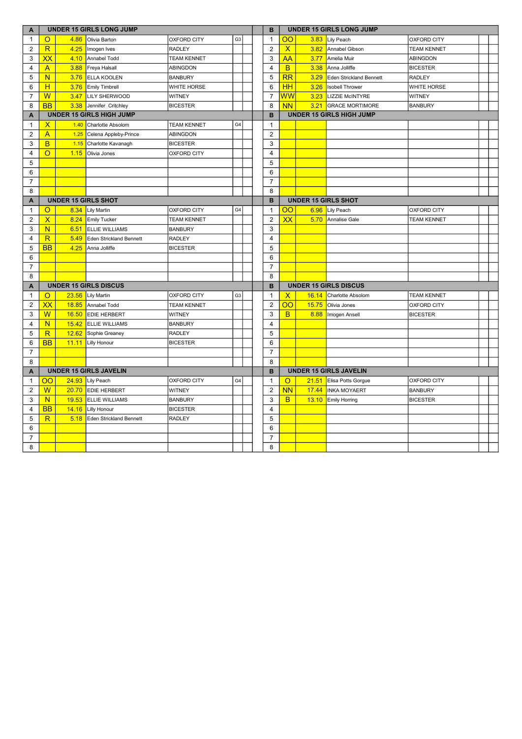| $\mathbf{A}$            |                |       | UNDER 15 GIRLS LONG JUMP        |                    |                |  | B              |                 |       | <b>UNDER 15 GIRLS LONG JUMP</b> |                    |  |
|-------------------------|----------------|-------|---------------------------------|--------------------|----------------|--|----------------|-----------------|-------|---------------------------------|--------------------|--|
| $\mathbf{1}$            | $\circ$        | 4.86  | Olivia Barton                   | <b>OXFORD CITY</b> | G <sub>3</sub> |  | $\mathbf{1}$   | $\overline{O}O$ |       | 3.83 Lily Peach                 | <b>OXFORD CITY</b> |  |
| $\boldsymbol{2}$        | R              | 4.25  | Imogen Ives                     | <b>RADLEY</b>      |                |  | $\overline{2}$ | $\mathsf{X}$    | 3.82  | Annabel Gibson                  | <b>TEAM KENNET</b> |  |
| 3                       | XX             | 4.10  | Annabel Todd                    | <b>TEAM KENNET</b> |                |  | 3              | AA              | 3.77  | Amelia Muir                     | ABINGDON           |  |
| $\overline{\mathbf{4}}$ | $\overline{A}$ | 3.88  | Freya Halsall                   | ABINGDON           |                |  | 4              | B               | 3.38  | Anna Jolliffe                   | <b>BICESTER</b>    |  |
| 5                       | N              | 3.76  | <b>ELLA KOOLEN</b>              | <b>BANBURY</b>     |                |  | 5              | RR              | 3.29  | Eden Strickland Bennett         | <b>RADLEY</b>      |  |
| 6                       | H              |       | 3.76 Emily Timbrell             | WHITE HORSE        |                |  | 6              | <b>HH</b>       | 3.26  | <b>Isobell Thrower</b>          | WHITE HORSE        |  |
| $\overline{7}$          | W              | 3.47  | LILY SHERWOOD                   | <b>WITNEY</b>      |                |  | $\overline{7}$ | <b>WW</b>       | 3.23  | LIZZIE McINTYRE                 | WITNEY             |  |
| 8                       | <b>BB</b>      | 3.38  | Jennifer Critchley              | <b>BICESTER</b>    |                |  | 8              | <b>NN</b>       | 3.21  | <b>GRACE MORTIMORE</b>          | <b>BANBURY</b>     |  |
| A                       |                |       | <b>UNDER 15 GIRLS HIGH JUMP</b> |                    |                |  | B              |                 |       | <b>UNDER 15 GIRLS HIGH JUMP</b> |                    |  |
| $\mathbf{1}$            | $\mathsf{X}$   |       | 1.40 Charlotte Absolom          | <b>TEAM KENNET</b> | G <sub>4</sub> |  | $\mathbf{1}$   |                 |       |                                 |                    |  |
| $\sqrt{2}$              | $\mathsf{A}$   | 1.25  | Celena Appleby-Prince           | <b>ABINGDON</b>    |                |  | $\overline{2}$ |                 |       |                                 |                    |  |
| 3                       | B              | 1.15  | Charlotte Kavanagh              | <b>BICESTER</b>    |                |  | 3              |                 |       |                                 |                    |  |
| $\overline{4}$          | $\overline{O}$ | 1.15  | Olivia Jones                    | <b>OXFORD CITY</b> |                |  | $\overline{4}$ |                 |       |                                 |                    |  |
| 5                       |                |       |                                 |                    |                |  | 5              |                 |       |                                 |                    |  |
| 6                       |                |       |                                 |                    |                |  | 6              |                 |       |                                 |                    |  |
| $\overline{7}$          |                |       |                                 |                    |                |  | $\overline{7}$ |                 |       |                                 |                    |  |
| 8                       |                |       |                                 |                    |                |  | 8              |                 |       |                                 |                    |  |
| A                       |                |       | <b>UNDER 15 GIRLS SHOT</b>      |                    |                |  | B              |                 |       | <b>UNDER 15 GIRLS SHOT</b>      |                    |  |
| $\mathbf{1}$            | $\circ$        | 8.34  | Lily Martin                     | <b>OXFORD CITY</b> | G <sub>4</sub> |  | $\mathbf{1}$   | OO              | 6.96  | Lily Peach                      | <b>OXFORD CITY</b> |  |
| $\overline{2}$          | $\mathsf{X}$   | 8.24  | <b>Emily Tucker</b>             | <b>TEAM KENNET</b> |                |  | $\overline{2}$ | XX              | 5.70  | Annalise Gale                   | <b>TEAM KENNET</b> |  |
| 3                       | N.             | 6.51  | <b>ELLIE WILLIAMS</b>           | <b>BANBURY</b>     |                |  | 3              |                 |       |                                 |                    |  |
| 4                       | R              | 5.49  | <b>Eden Strickland Bennett</b>  | <b>RADLEY</b>      |                |  | 4              |                 |       |                                 |                    |  |
| 5                       | <b>BB</b>      | 4.25  | Anna Jolliffe                   | <b>BICESTER</b>    |                |  | 5              |                 |       |                                 |                    |  |
| 6                       |                |       |                                 |                    |                |  | 6              |                 |       |                                 |                    |  |
| $\overline{7}$          |                |       |                                 |                    |                |  | $\overline{7}$ |                 |       |                                 |                    |  |
| 8                       |                |       |                                 |                    |                |  | 8              |                 |       |                                 |                    |  |
| A                       |                |       | <b>UNDER 15 GIRLS DISCUS</b>    |                    |                |  | B              |                 |       | <b>UNDER 15 GIRLS DISCUS</b>    |                    |  |
| $\mathbf{1}$            | $\circ$        |       | 23.56   Lily Martin             | OXFORD CITY        | G <sub>3</sub> |  | $\mathbf{1}$   | $\mathsf{X}$    |       | 16.14 Charlotte Absolom         | <b>TEAM KENNET</b> |  |
| $\sqrt{2}$              | XX             | 18.85 | Annabel Todd                    | <b>TEAM KENNET</b> |                |  | $\overline{2}$ | $\overline{O}O$ | 15.75 | Olivia Jones                    | <b>OXFORD CITY</b> |  |
| 3                       | W              |       | 16.50 EDIE HERBERT              | <b>WITNEY</b>      |                |  | 3              | B.              | 8.88  | Imogen Ansell                   | <b>BICESTER</b>    |  |
| $\overline{4}$          | N              |       | 15.42 ELLIE WILLIAMS            | <b>BANBURY</b>     |                |  | $\overline{4}$ |                 |       |                                 |                    |  |
| 5                       | R.             | 12.62 | Sophie Greaney                  | <b>RADLEY</b>      |                |  | 5              |                 |       |                                 |                    |  |
| 6                       | <b>BB</b>      |       | 11.11 Lilly Honour              | <b>BICESTER</b>    |                |  | 6              |                 |       |                                 |                    |  |
| $\overline{7}$          |                |       |                                 |                    |                |  | $\overline{7}$ |                 |       |                                 |                    |  |
| 8                       |                |       |                                 |                    |                |  | 8              |                 |       |                                 |                    |  |
| A                       |                |       | <b>UNDER 15 GIRLS JAVELIN</b>   |                    |                |  | B              |                 |       | <b>UNDER 15 GIRLS JAVELIN</b>   |                    |  |
| $\mathbf{1}$            | $00 \,$        |       | 24.93 Lily Peach                | <b>OXFORD CITY</b> | G4             |  | $\mathbf{1}$   | $\circ$         |       | 21.51 Elisa Potts Gorgue        | <b>OXFORD CITY</b> |  |
| $\overline{2}$          | W              |       | 20.70 EDIE HERBERT              | <b>WITNEY</b>      |                |  | $\overline{2}$ | <b>NN</b>       | 17.44 | <b>INKA MOYAERT</b>             | <b>BANBURY</b>     |  |
| 3                       | N.             | 19.53 | <b>ELLIE WILLIAMS</b>           | <b>BANBURY</b>     |                |  | 3              | B               |       | 13.10 Emily Horring             | <b>BICESTER</b>    |  |
| $\overline{4}$          | <b>BB</b>      | 14.16 | Lilly Honour                    | <b>BICESTER</b>    |                |  | $\overline{4}$ |                 |       |                                 |                    |  |
| 5                       | R.             | 5.18  | <b>Eden Strickland Bennett</b>  | <b>RADLEY</b>      |                |  | 5              |                 |       |                                 |                    |  |
| 6                       |                |       |                                 |                    |                |  | 6              |                 |       |                                 |                    |  |
| $\overline{7}$          |                |       |                                 |                    |                |  | $\overline{7}$ |                 |       |                                 |                    |  |
| 8                       |                |       |                                 |                    |                |  | 8              |                 |       |                                 |                    |  |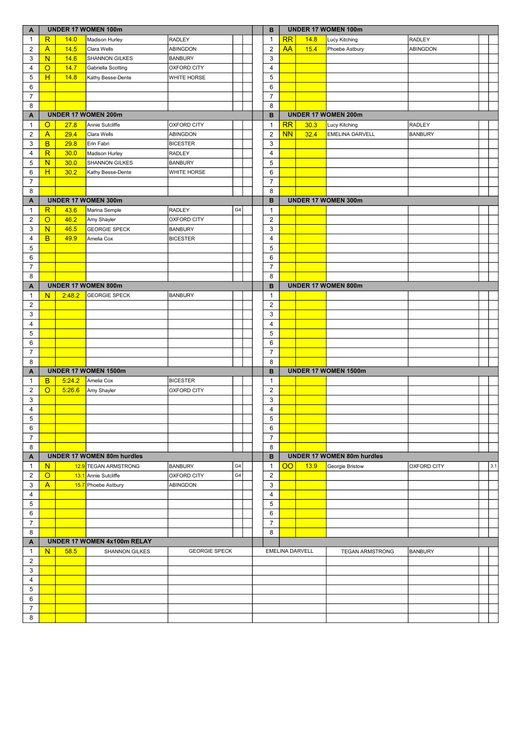| A              |                         |        | UNDER 17 WOMEN 100m               |                      |    | B                       |           |                 | <b>UNDER 17 WOMEN 100m</b>        |                    |     |
|----------------|-------------------------|--------|-----------------------------------|----------------------|----|-------------------------|-----------|-----------------|-----------------------------------|--------------------|-----|
| $\mathbf{1}$   | R                       | 14.0   | Madison Hurley                    | <b>RADLEY</b>        |    | $\mathbf{1}$            | RR        | 14.8            | Lucy Kitching                     | <b>RADLEY</b>      |     |
| $\overline{c}$ | $\overline{A}$          | 14.5   | Clara Wells                       | ABINGDON             |    | $\overline{c}$          | <b>AA</b> | 15.4            | Phoebe Astbury                    | ABINGDON           |     |
| 3              | N                       | 14.6   | SHANNON GILKES                    | <b>BANBURY</b>       |    | 3                       |           |                 |                                   |                    |     |
| 4              | $\overline{O}$          | 14.7   | Gabriella Scotting                | <b>OXFORD CITY</b>   |    | 4                       |           |                 |                                   |                    |     |
| 5              | H                       | 14.8   | Kathy Besse-Dente                 | WHITE HORSE          |    | 5                       |           |                 |                                   |                    |     |
| 6              |                         |        |                                   |                      |    | 6                       |           |                 |                                   |                    |     |
| $\overline{7}$ |                         |        |                                   |                      |    | $\overline{7}$          |           |                 |                                   |                    |     |
| 8              |                         |        |                                   |                      |    | 8                       |           |                 |                                   |                    |     |
| Α              |                         |        | <b>UNDER 17 WOMEN 200m</b>        |                      |    | $\mathbf B$             |           |                 | UNDER 17 WOMEN 200m               |                    |     |
| $\mathbf{1}$   | $\circ$                 | 27.8   | Annie Sutcliffe                   | OXFORD CITY          |    | $\mathbf{1}$            | RR        | 30.3            | Lucy Kitching                     | <b>RADLEY</b>      |     |
| 2              | A                       | 29.4   | Clara Wells                       | ABINGDON             |    | $\overline{\mathbf{c}}$ | <b>NN</b> | 32.4            | EMELINA DARVELL                   | <b>BANBURY</b>     |     |
| 3              | B                       | 29.8   | Erin Fabri                        | <b>BICESTER</b>      |    | 3                       |           |                 |                                   |                    |     |
| 4              | $\overline{\mathsf{R}}$ | 30.0   | Madison Hurley                    | <b>RADLEY</b>        |    | 4                       |           |                 |                                   |                    |     |
| $\sqrt{5}$     | N                       | 30.0   | SHANNON GILKES                    | <b>BANBURY</b>       |    | 5                       |           |                 |                                   |                    |     |
| 6              | H                       | 30.2   | Kathy Besse-Dente                 | WHITE HORSE          |    | 6                       |           |                 |                                   |                    |     |
| $\overline{7}$ |                         |        |                                   |                      |    | $\overline{7}$          |           |                 |                                   |                    |     |
| 8              |                         |        |                                   |                      |    | 8                       |           |                 |                                   |                    |     |
| Α              |                         |        | <b>UNDER 17 WOMEN 300m</b>        |                      |    | B                       |           |                 | <b>UNDER 17 WOMEN 300m</b>        |                    |     |
| $\mathbf{1}$   | $\overline{\mathsf{R}}$ | 43.6   | Marina Semple                     | <b>RADLEY</b>        | G4 | $\mathbf{1}$            |           |                 |                                   |                    |     |
| $\overline{2}$ | $\overline{O}$          | 46.2   | Amy Shayler                       | <b>OXFORD CITY</b>   |    | $\overline{2}$          |           |                 |                                   |                    |     |
| 3              | N                       | 46.5   | <b>GEORGIE SPECK</b>              | <b>BANBURY</b>       |    | 3                       |           |                 |                                   |                    |     |
| $\overline{4}$ | B                       | 49.9   | Amelia Cox                        | <b>BICESTER</b>      |    | $\overline{4}$          |           |                 |                                   |                    |     |
| 5              |                         |        |                                   |                      |    | 5                       |           |                 |                                   |                    |     |
| 6              |                         |        |                                   |                      |    | 6                       |           |                 |                                   |                    |     |
| $\overline{7}$ |                         |        |                                   |                      |    | $\overline{7}$          |           |                 |                                   |                    |     |
| 8              |                         |        |                                   |                      |    | 8                       |           |                 |                                   |                    |     |
| Α              |                         |        | UNDER 17 WOMEN 800m               |                      |    | B                       |           |                 | <b>UNDER 17 WOMEN 800m</b>        |                    |     |
| $\mathbf 1$    | N                       | 2:48.2 | <b>GEORGIE SPECK</b>              | <b>BANBURY</b>       |    | $\mathbf{1}$            |           |                 |                                   |                    |     |
| $\overline{c}$ |                         |        |                                   |                      |    | $\overline{c}$          |           |                 |                                   |                    |     |
| 3              |                         |        |                                   |                      |    | 3                       |           |                 |                                   |                    |     |
| 4              |                         |        |                                   |                      |    | 4                       |           |                 |                                   |                    |     |
| 5              |                         |        |                                   |                      |    | 5                       |           |                 |                                   |                    |     |
| 6              |                         |        |                                   |                      |    | 6                       |           |                 |                                   |                    |     |
| $\overline{7}$ |                         |        |                                   |                      |    | $\overline{7}$          |           |                 |                                   |                    |     |
| 8              |                         |        |                                   |                      |    | 8                       |           |                 |                                   |                    |     |
| A              |                         |        | <b>UNDER 17 WOMEN 1500m</b>       |                      |    | B                       |           |                 | <b>UNDER 17 WOMEN 1500m</b>       |                    |     |
| $\mathbf{1}$   | B                       | 5:24.2 | Amelia Cox                        | <b>BICESTER</b>      |    | $\mathbf{1}$            |           |                 |                                   |                    |     |
| $\overline{c}$ | $\overline{O}$          | 5:26.6 | Amy Shayler                       | <b>OXFORD CITY</b>   |    | 2                       |           |                 |                                   |                    |     |
| 3              |                         |        |                                   |                      |    | 3                       |           |                 |                                   |                    |     |
| $\overline{4}$ |                         |        |                                   |                      |    | $\overline{4}$          |           |                 |                                   |                    |     |
| $\,$ 5 $\,$    |                         |        |                                   |                      |    | 5                       |           |                 |                                   |                    |     |
| 6              |                         |        |                                   |                      |    | 6                       |           |                 |                                   |                    |     |
| $\overline{7}$ |                         |        |                                   |                      |    | $\overline{7}$          |           |                 |                                   |                    |     |
| 8              |                         |        |                                   |                      |    | 8                       |           |                 |                                   |                    |     |
| A              |                         |        | <b>UNDER 17 WOMEN 80m hurdles</b> |                      |    | B                       |           |                 | <b>UNDER 17 WOMEN 80m hurdles</b> |                    |     |
| $\mathbf{1}$   | N.                      |        | 12.9 TEGAN ARMSTRONG              | <b>BANBURY</b>       | G4 | $\mathbf{1}$            | 00        | 13.9            | Georgie Bristow                   | <b>OXFORD CITY</b> | 3.1 |
| $\overline{2}$ | $\overline{O}$          |        | 13.1 Annie Sutcliffe              | OXFORD CITY          | G4 | $\overline{2}$          |           |                 |                                   |                    |     |
| 3              | $\mathsf{A}$            |        | 15.7 Phoebe Astbury               | ABINGDON             |    | 3                       |           |                 |                                   |                    |     |
| 4              |                         |        |                                   |                      |    | $\overline{\mathbf{4}}$ |           |                 |                                   |                    |     |
| 5              |                         |        |                                   |                      |    | 5                       |           |                 |                                   |                    |     |
| 6              |                         |        |                                   |                      |    | 6                       |           |                 |                                   |                    |     |
| $\overline{7}$ |                         |        |                                   |                      |    | $\overline{7}$          |           |                 |                                   |                    |     |
| 8              |                         |        |                                   |                      |    | 8                       |           |                 |                                   |                    |     |
| A              |                         |        | UNDER 17 WOMEN 4x100m RELAY       |                      |    |                         |           |                 |                                   |                    |     |
| $\mathbf{1}$   | N                       | 58.5   | SHANNON GILKES                    | <b>GEORGIE SPECK</b> |    |                         |           | EMELINA DARVELL | <b>TEGAN ARMSTRONG</b>            | <b>BANBURY</b>     |     |
| $\overline{2}$ |                         |        |                                   |                      |    |                         |           |                 |                                   |                    |     |
| 3              |                         |        |                                   |                      |    |                         |           |                 |                                   |                    |     |
| 4              |                         |        |                                   |                      |    |                         |           |                 |                                   |                    |     |
| $\sqrt{5}$     |                         |        |                                   |                      |    |                         |           |                 |                                   |                    |     |
| 6              |                         |        |                                   |                      |    |                         |           |                 |                                   |                    |     |
| $\overline{7}$ |                         |        |                                   |                      |    |                         |           |                 |                                   |                    |     |
| 8              |                         |        |                                   |                      |    |                         |           |                 |                                   |                    |     |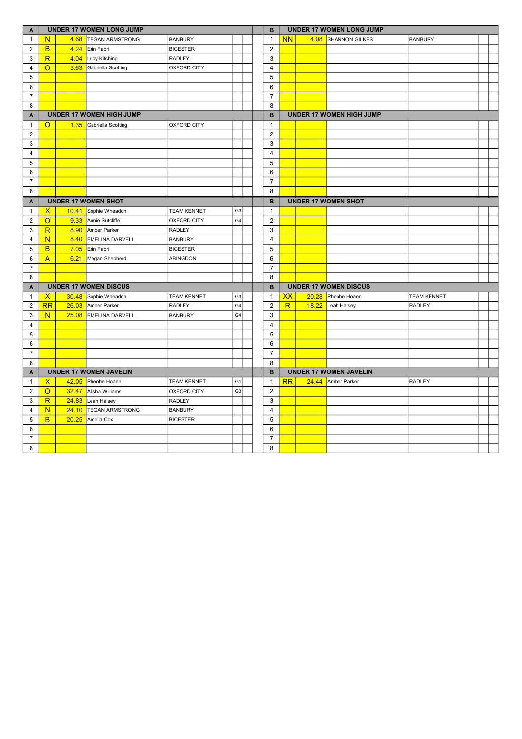| $\mathbf{A}$              |                |       | <b>UNDER 17 WOMEN LONG JUMP</b> |                    |                | B              |           |       | <b>UNDER 17 WOMEN LONG JUMP</b> |                    |  |
|---------------------------|----------------|-------|---------------------------------|--------------------|----------------|----------------|-----------|-------|---------------------------------|--------------------|--|
| $\mathbf{1}$              | N              | 4.68  | <b>TEGAN ARMSTRONG</b>          | <b>BANBURY</b>     |                | $\mathbf{1}$   | <b>NN</b> |       | 4.08 SHANNON GILKES             | <b>BANBURY</b>     |  |
| $\overline{2}$            | B.             | 4.24  | Erin Fabri                      | <b>BICESTER</b>    |                | $\overline{2}$ |           |       |                                 |                    |  |
| 3                         | R.             | 4.04  | Lucy Kitching                   | <b>RADLEY</b>      |                | 3              |           |       |                                 |                    |  |
| $\overline{4}$            | $\overline{O}$ | 3.63  | Gabriella Scotting              | <b>OXFORD CITY</b> |                | $\overline{4}$ |           |       |                                 |                    |  |
| $\sqrt{5}$                |                |       |                                 |                    |                | $\mathbf 5$    |           |       |                                 |                    |  |
| $\,6\,$                   |                |       |                                 |                    |                | 6              |           |       |                                 |                    |  |
| $\overline{7}$            |                |       |                                 |                    |                | $\overline{7}$ |           |       |                                 |                    |  |
| 8                         |                |       |                                 |                    |                | 8              |           |       |                                 |                    |  |
| A                         |                |       | UNDER 17 WOMEN HIGH JUMP        |                    |                | B              |           |       | <b>UNDER 17 WOMEN HIGH JUMP</b> |                    |  |
| $\mathbf{1}$              | $\circ$        |       | 1.35 Gabriella Scotting         | <b>OXFORD CITY</b> |                | $\mathbf{1}$   |           |       |                                 |                    |  |
| $\overline{2}$            |                |       |                                 |                    |                | $\overline{2}$ |           |       |                                 |                    |  |
| $\mathbf{3}$              |                |       |                                 |                    |                | 3              |           |       |                                 |                    |  |
| $\overline{\mathbf{4}}$   |                |       |                                 |                    |                | $\overline{4}$ |           |       |                                 |                    |  |
| 5                         |                |       |                                 |                    |                | 5              |           |       |                                 |                    |  |
| 6                         |                |       |                                 |                    |                | 6              |           |       |                                 |                    |  |
| $\boldsymbol{7}$          |                |       |                                 |                    |                | $\overline{7}$ |           |       |                                 |                    |  |
| 8                         |                |       |                                 |                    |                | 8              |           |       |                                 |                    |  |
| A                         |                |       | <b>UNDER 17 WOMEN SHOT</b>      |                    |                | B              |           |       | <b>UNDER 17 WOMEN SHOT</b>      |                    |  |
| $\mathbf{1}$              | $\mathsf{X}$   | 10.41 | Sophie Wheadon                  | <b>TEAM KENNET</b> | G <sub>3</sub> | $\mathbf{1}$   |           |       |                                 |                    |  |
| $\overline{2}$            | $\circ$        | 9.33  | Annie Sutcliffe                 | <b>OXFORD CITY</b> | G4             | $\overline{2}$ |           |       |                                 |                    |  |
| $\mathbf{3}$              | R.             | 8.90  | Amber Parker                    | <b>RADLEY</b>      |                | 3              |           |       |                                 |                    |  |
| $\overline{\mathbf{4}}$   | N              | 8.40  | <b>EMELINA DARVELL</b>          | <b>BANBURY</b>     |                | 4              |           |       |                                 |                    |  |
| 5                         | B              | 7.05  | Erin Fabri                      | <b>BICESTER</b>    |                | 5              |           |       |                                 |                    |  |
| 6                         | $\overline{A}$ | 6.21  | Megan Shepherd                  | ABINGDON           |                | 6              |           |       |                                 |                    |  |
| $\overline{7}$            |                |       |                                 |                    |                | $\overline{7}$ |           |       |                                 |                    |  |
| 8                         |                |       |                                 |                    |                | 8              |           |       |                                 |                    |  |
| A                         |                |       | <b>UNDER 17 WOMEN DISCUS</b>    |                    |                | B              |           |       | <b>UNDER 17 WOMEN DISCUS</b>    |                    |  |
| $\mathbf{1}$              | $\mathsf{X}$   |       | 30.48 Sophie Wheadon            | <b>TEAM KENNET</b> | G <sub>3</sub> | $\mathbf{1}$   | XХ        |       | 20.28 Pheobe Hoaen              | <b>TEAM KENNET</b> |  |
| $\overline{2}$            | RR             | 26.03 | Amber Parker                    | <b>RADLEY</b>      | G <sub>4</sub> | $\overline{2}$ | R         | 18.22 | Leah Halsey                     | <b>RADLEY</b>      |  |
| $\ensuremath{\mathsf{3}}$ | N.             | 25.08 | EMELINA DARVELL                 | <b>BANBURY</b>     | G <sub>4</sub> | $\mathbf{3}$   |           |       |                                 |                    |  |
| $\overline{4}$            |                |       |                                 |                    |                | $\overline{4}$ |           |       |                                 |                    |  |
| $\sqrt{5}$                |                |       |                                 |                    |                | $\sqrt{5}$     |           |       |                                 |                    |  |
| $\,6\,$                   |                |       |                                 |                    |                | 6              |           |       |                                 |                    |  |
| $\overline{7}$            |                |       |                                 |                    |                | $\overline{7}$ |           |       |                                 |                    |  |
| $\bf 8$                   |                |       |                                 |                    |                | 8              |           |       |                                 |                    |  |
| A                         |                |       | <b>UNDER 17 WOMEN JAVELIN</b>   |                    |                | B              |           |       | <b>UNDER 17 WOMEN JAVELIN</b>   |                    |  |
| $\mathbf{1}$              | $\mathsf{X}$   |       | 42.05 Pheobe Hoaen              | <b>TEAM KENNET</b> | G <sub>1</sub> | $\mathbf{1}$   | RR        |       | 24.44 Amber Parker              | <b>RADLEY</b>      |  |
| $\overline{2}$            | $\circ$        | 32.47 | Alisha Williams                 | OXFORD CITY        | G <sub>3</sub> | $\overline{2}$ |           |       |                                 |                    |  |
| $\mathbf{3}$              | R              |       | 24.83 Leah Halsey               | <b>RADLEY</b>      |                | 3              |           |       |                                 |                    |  |
| $\overline{\mathbf{4}}$   | N.             |       | 24.10 TEGAN ARMSTRONG           | <b>BANBURY</b>     |                | $\overline{4}$ |           |       |                                 |                    |  |
| 5                         | B              |       | 20.25 Amelia Cox                | <b>BICESTER</b>    |                | 5              |           |       |                                 |                    |  |
| $\,6$                     |                |       |                                 |                    |                | $\,6\,$        |           |       |                                 |                    |  |
| $\overline{7}$            |                |       |                                 |                    |                | $\overline{7}$ |           |       |                                 |                    |  |
| 8                         |                |       |                                 |                    |                | 8              |           |       |                                 |                    |  |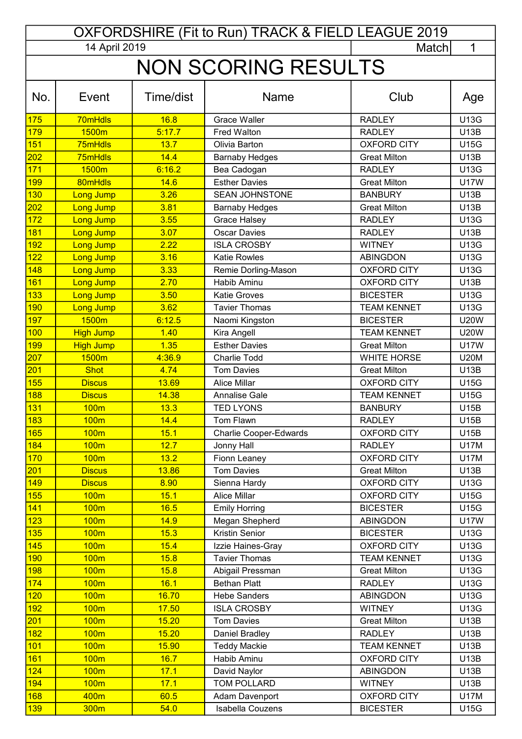|            | OXFORDSHIRE (Fit to Run) TRACK & FIELD LEAGUE 2019 |           |                               |                     |             |  |  |  |  |  |
|------------|----------------------------------------------------|-----------|-------------------------------|---------------------|-------------|--|--|--|--|--|
|            | 14 April 2019                                      |           |                               | <b>Match</b>        | 1           |  |  |  |  |  |
|            |                                                    |           | <b>NON SCORING RESULTS</b>    |                     |             |  |  |  |  |  |
|            |                                                    |           |                               |                     |             |  |  |  |  |  |
| No.        | Event                                              | Time/dist | <b>Name</b>                   | Club                | Age         |  |  |  |  |  |
| 175        | 70mHdls                                            | 16.8      | <b>Grace Waller</b>           | <b>RADLEY</b>       | <b>U13G</b> |  |  |  |  |  |
| 179        | 1500m                                              | 5:17.7    | <b>Fred Walton</b>            | <b>RADLEY</b>       | <b>U13B</b> |  |  |  |  |  |
| 151        | 75mHdls                                            | 13.7      | Olivia Barton                 | <b>OXFORD CITY</b>  | <b>U15G</b> |  |  |  |  |  |
| 202        | 75mHdls                                            | 14.4      | <b>Barnaby Hedges</b>         | <b>Great Milton</b> | <b>U13B</b> |  |  |  |  |  |
| 171        | 1500m                                              | 6:16.2    | Bea Cadogan                   | <b>RADLEY</b>       | <b>U13G</b> |  |  |  |  |  |
| 199        | 80mHdls                                            | 14.6      | <b>Esther Davies</b>          | <b>Great Milton</b> | <b>U17W</b> |  |  |  |  |  |
| 130        | <b>Long Jump</b>                                   | 3.26      | <b>SEAN JOHNSTONE</b>         | <b>BANBURY</b>      | <b>U13B</b> |  |  |  |  |  |
| 202        | <b>Long Jump</b>                                   | 3.81      | <b>Barnaby Hedges</b>         | <b>Great Milton</b> | <b>U13B</b> |  |  |  |  |  |
| 172        | <b>Long Jump</b>                                   | 3.55      | <b>Grace Halsey</b>           | <b>RADLEY</b>       | <b>U13G</b> |  |  |  |  |  |
| 181        | <b>Long Jump</b>                                   | 3.07      | <b>Oscar Davies</b>           | <b>RADLEY</b>       | <b>U13B</b> |  |  |  |  |  |
| 192        | <b>Long Jump</b>                                   | 2.22      | <b>ISLA CROSBY</b>            | <b>WITNEY</b>       | <b>U13G</b> |  |  |  |  |  |
| 122        | <b>Long Jump</b>                                   | 3.16      | <b>Katie Rowles</b>           | <b>ABINGDON</b>     | <b>U13G</b> |  |  |  |  |  |
| 148        | <b>Long Jump</b>                                   | 3.33      | Remie Dorling-Mason           | <b>OXFORD CITY</b>  | <b>U13G</b> |  |  |  |  |  |
| 161        | <b>Long Jump</b>                                   | 2.70      | <b>Habib Aminu</b>            | <b>OXFORD CITY</b>  | <b>U13B</b> |  |  |  |  |  |
| 133        | <b>Long Jump</b>                                   | 3.50      | <b>Katie Groves</b>           | <b>BICESTER</b>     | <b>U13G</b> |  |  |  |  |  |
| 190        | <b>Long Jump</b>                                   | 3.62      | <b>Tavier Thomas</b>          | <b>TEAM KENNET</b>  | <b>U13G</b> |  |  |  |  |  |
| 197        | 1500m                                              | 6:12.5    | Naomi Kingston                | <b>BICESTER</b>     | <b>U20W</b> |  |  |  |  |  |
| 100        | <b>High Jump</b>                                   | 1.40      | Kira Angell                   | <b>TEAM KENNET</b>  | <b>U20W</b> |  |  |  |  |  |
| 199        | <b>High Jump</b>                                   | 1.35      | <b>Esther Davies</b>          | <b>Great Milton</b> | <b>U17W</b> |  |  |  |  |  |
| 207        | 1500m                                              | 4:36.9    | Charlie Todd                  | <b>WHITE HORSE</b>  | <b>U20M</b> |  |  |  |  |  |
| 201        | <b>Shot</b>                                        | 4.74      | <b>Tom Davies</b>             | <b>Great Milton</b> | <b>U13B</b> |  |  |  |  |  |
| 155        | <b>Discus</b>                                      | 13.69     | <b>Alice Millar</b>           | <b>OXFORD CITY</b>  | <b>U15G</b> |  |  |  |  |  |
| <b>188</b> | <b>Discus</b>                                      | 14.38     | <b>Annalise Gale</b>          | <b>TEAM KENNET</b>  | <b>U15G</b> |  |  |  |  |  |
| 131        | <b>100m</b>                                        | 13.3      | <b>TED LYONS</b>              | <b>BANBURY</b>      | <b>U15B</b> |  |  |  |  |  |
| 183        | 100m                                               | 14.4      | Tom Flawn                     | <b>RADLEY</b>       | <b>U15B</b> |  |  |  |  |  |
| 165        | 100m                                               | 15.1      | <b>Charlie Cooper-Edwards</b> | <b>OXFORD CITY</b>  | U15B        |  |  |  |  |  |
| 184        | <b>100m</b>                                        | 12.7      | Jonny Hall                    | <b>RADLEY</b>       | <b>U17M</b> |  |  |  |  |  |
| 170        | <b>100m</b>                                        | 13.2      | Fionn Leaney                  | <b>OXFORD CITY</b>  | <b>U17M</b> |  |  |  |  |  |
| 201        | <b>Discus</b>                                      | 13.86     | <b>Tom Davies</b>             | <b>Great Milton</b> | U13B        |  |  |  |  |  |
| 149        | <b>Discus</b>                                      | 8.90      | Sienna Hardy                  | <b>OXFORD CITY</b>  | <b>U13G</b> |  |  |  |  |  |
| 155        | 100m                                               | 15.1      | <b>Alice Millar</b>           | <b>OXFORD CITY</b>  | <b>U15G</b> |  |  |  |  |  |
| 141        | 100m                                               | 16.5      | <b>Emily Horring</b>          | <b>BICESTER</b>     | <b>U15G</b> |  |  |  |  |  |
| 123        | 100m                                               | 14.9      | Megan Shepherd                | <b>ABINGDON</b>     | <b>U17W</b> |  |  |  |  |  |
| 135        | 100m                                               | 15.3      | Kristin Senior                | <b>BICESTER</b>     | <b>U13G</b> |  |  |  |  |  |
| 145        | 100m                                               | 15.4      | Izzie Haines-Gray             | <b>OXFORD CITY</b>  | U13G        |  |  |  |  |  |
| 190        | 100m                                               | 15.8      | <b>Tavier Thomas</b>          | <b>TEAM KENNET</b>  | U13G        |  |  |  |  |  |
| 198        | 100m                                               | 15.8      | Abigail Pressman              | <b>Great Milton</b> | U13G        |  |  |  |  |  |
| 174        | 100m                                               | 16.1      | <b>Bethan Platt</b>           | <b>RADLEY</b>       | <b>U13G</b> |  |  |  |  |  |
| 120        | 100m                                               | 16.70     | <b>Hebe Sanders</b>           | <b>ABINGDON</b>     | U13G        |  |  |  |  |  |
| 192        | <b>100m</b>                                        | 17.50     | <b>ISLA CROSBY</b>            | <b>WITNEY</b>       | U13G        |  |  |  |  |  |
| 201        | 100m                                               | 15.20     | <b>Tom Davies</b>             | <b>Great Milton</b> | <b>U13B</b> |  |  |  |  |  |
| 182        | 100m                                               | 15.20     | Daniel Bradley                | <b>RADLEY</b>       | <b>U13B</b> |  |  |  |  |  |
| 101        | 100m                                               | 15.90     | <b>Teddy Mackie</b>           | <b>TEAM KENNET</b>  | U13B        |  |  |  |  |  |
| 161        | 100 <sub>m</sub>                                   | 16.7      | Habib Aminu                   | <b>OXFORD CITY</b>  | <b>U13B</b> |  |  |  |  |  |
| 124        | 100m                                               | 17.1      | David Naylor                  | <b>ABINGDON</b>     | U13B        |  |  |  |  |  |
| 194        | 100m                                               | 17.1      | TOM POLLARD                   | <b>WITNEY</b>       | <b>U13B</b> |  |  |  |  |  |
| <b>168</b> | 400m                                               | 60.5      | Adam Davenport                | <b>OXFORD CITY</b>  | <b>U17M</b> |  |  |  |  |  |
| <b>139</b> | 300m                                               | 54.0      | Isabella Couzens              | <b>BICESTER</b>     | <b>U15G</b> |  |  |  |  |  |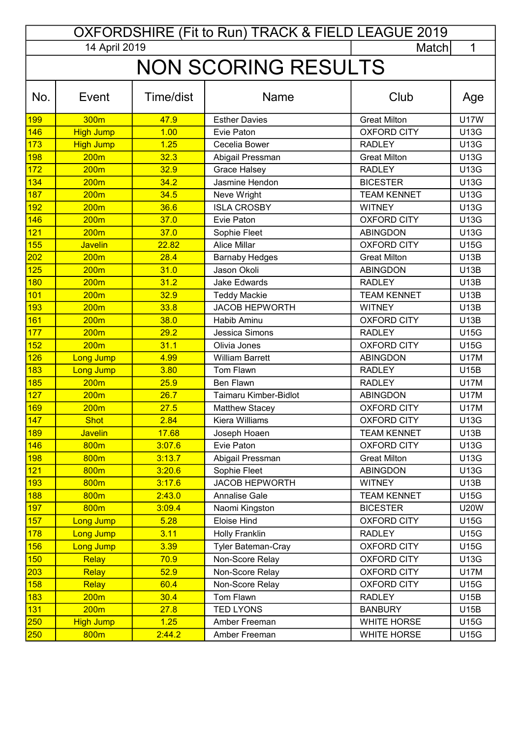|            | OXFORDSHIRE (Fit to Run) TRACK & FIELD LEAGUE 2019 |           |                            |                     |             |  |  |  |  |  |
|------------|----------------------------------------------------|-----------|----------------------------|---------------------|-------------|--|--|--|--|--|
|            | 14 April 2019                                      |           |                            | Match               | 1           |  |  |  |  |  |
|            |                                                    |           | <b>NON SCORING RESULTS</b> |                     |             |  |  |  |  |  |
|            |                                                    |           |                            |                     |             |  |  |  |  |  |
| No.        | Event                                              | Time/dist | Name                       | Club                | Age         |  |  |  |  |  |
| 199        | 300m                                               | 47.9      | <b>Esther Davies</b>       | <b>Great Milton</b> | <b>U17W</b> |  |  |  |  |  |
| 146        | <b>High Jump</b>                                   | 1.00      | Evie Paton                 | <b>OXFORD CITY</b>  | <b>U13G</b> |  |  |  |  |  |
| 173        | <b>High Jump</b>                                   | 1.25      | Cecelia Bower              | <b>RADLEY</b>       | <b>U13G</b> |  |  |  |  |  |
| 198        | 200 <sub>m</sub>                                   | 32.3      | Abigail Pressman           | <b>Great Milton</b> | <b>U13G</b> |  |  |  |  |  |
| 172        | 200 <sub>m</sub>                                   | 32.9      | <b>Grace Halsey</b>        | <b>RADLEY</b>       | <b>U13G</b> |  |  |  |  |  |
| 134        | <b>200m</b>                                        | 34.2      | Jasmine Hendon             | <b>BICESTER</b>     | <b>U13G</b> |  |  |  |  |  |
| 187        | 200 <sub>m</sub>                                   | 34.5      | Neve Wright                | <b>TEAM KENNET</b>  | <b>U13G</b> |  |  |  |  |  |
| 192        | 200m                                               | 36.6      | <b>ISLA CROSBY</b>         | <b>WITNEY</b>       | <b>U13G</b> |  |  |  |  |  |
| 146        | 200m                                               | 37.0      | Evie Paton                 | <b>OXFORD CITY</b>  | <b>U13G</b> |  |  |  |  |  |
| 121        | 200 <sub>m</sub>                                   | 37.0      | Sophie Fleet               | <b>ABINGDON</b>     | <b>U13G</b> |  |  |  |  |  |
| 155        | <b>Javelin</b>                                     | 22.82     | <b>Alice Millar</b>        | <b>OXFORD CITY</b>  | <b>U15G</b> |  |  |  |  |  |
| 202        | 200m                                               | 28.4      | <b>Barnaby Hedges</b>      | <b>Great Milton</b> | <b>U13B</b> |  |  |  |  |  |
| 125        | <b>200m</b>                                        | 31.0      | Jason Okoli                | <b>ABINGDON</b>     | <b>U13B</b> |  |  |  |  |  |
| 180        | <b>200m</b>                                        | 31.2      | <b>Jake Edwards</b>        | <b>RADLEY</b>       | <b>U13B</b> |  |  |  |  |  |
| 101        | 200 <sub>m</sub>                                   | 32.9      | <b>Teddy Mackie</b>        | <b>TEAM KENNET</b>  | <b>U13B</b> |  |  |  |  |  |
| 193        | 200 <sub>m</sub>                                   | 33.8      | <b>JACOB HEPWORTH</b>      | <b>WITNEY</b>       | <b>U13B</b> |  |  |  |  |  |
| 161        | <b>200m</b>                                        | 38.0      | <b>Habib Aminu</b>         | <b>OXFORD CITY</b>  | <b>U13B</b> |  |  |  |  |  |
| 177        | 200 <sub>m</sub>                                   | 29.2      | Jessica Simons             | <b>RADLEY</b>       | <b>U15G</b> |  |  |  |  |  |
| 152        | 200 <sub>m</sub>                                   | 31.1      | Olivia Jones               | <b>OXFORD CITY</b>  | <b>U15G</b> |  |  |  |  |  |
| 126        | <b>Long Jump</b>                                   | 4.99      | <b>William Barrett</b>     | <b>ABINGDON</b>     | <b>U17M</b> |  |  |  |  |  |
| 183        | <b>Long Jump</b>                                   | 3.80      | Tom Flawn                  | <b>RADLEY</b>       | <b>U15B</b> |  |  |  |  |  |
| 185        | 200 <sub>m</sub>                                   | 25.9      | <b>Ben Flawn</b>           | <b>RADLEY</b>       | <b>U17M</b> |  |  |  |  |  |
| 127        | 200 <sub>m</sub>                                   | 26.7      | Taimaru Kimber-Bidlot      | <b>ABINGDON</b>     | <b>U17M</b> |  |  |  |  |  |
| 169        | 200 <sub>m</sub>                                   | 27.5      | <b>Matthew Stacey</b>      | <b>OXFORD CITY</b>  | <b>U17M</b> |  |  |  |  |  |
| 147        | <b>Shot</b>                                        | 2.84      | Kiera Williams             | <b>OXFORD CITY</b>  | <b>U13G</b> |  |  |  |  |  |
| 189        | <b>Javelin</b>                                     | 17.68     | Joseph Hoaen               | <b>TEAM KENNET</b>  | <b>U13B</b> |  |  |  |  |  |
| 146        | 800m                                               | 3:07.6    | Evie Paton                 | <b>OXFORD CITY</b>  | U13G        |  |  |  |  |  |
| <b>198</b> | 800m                                               | 3:13.7    | Abigail Pressman           | <b>Great Milton</b> | U13G        |  |  |  |  |  |
| 121        | 800m                                               | 3:20.6    | Sophie Fleet               | <b>ABINGDON</b>     | U13G        |  |  |  |  |  |
| 193        | 800m                                               | 3:17.6    | <b>JACOB HEPWORTH</b>      | <b>WITNEY</b>       | <b>U13B</b> |  |  |  |  |  |
| 188        | 800m                                               | 2:43.0    | <b>Annalise Gale</b>       | <b>TEAM KENNET</b>  | <b>U15G</b> |  |  |  |  |  |
| 197        | 800m                                               | 3:09.4    | Naomi Kingston             | <b>BICESTER</b>     | <b>U20W</b> |  |  |  |  |  |
| 157        | <b>Long Jump</b>                                   | 5.28      | Eloise Hind                | <b>OXFORD CITY</b>  | <b>U15G</b> |  |  |  |  |  |
| 178        | <b>Long Jump</b>                                   | 3.11      | <b>Holly Franklin</b>      | <b>RADLEY</b>       | <b>U15G</b> |  |  |  |  |  |
| 156        | <b>Long Jump</b>                                   | 3.39      | <b>Tyler Bateman-Cray</b>  | <b>OXFORD CITY</b>  | <b>U15G</b> |  |  |  |  |  |
| 150        | <b>Relay</b>                                       | 70.9      | Non-Score Relay            | <b>OXFORD CITY</b>  | U13G        |  |  |  |  |  |
| 203        | <b>Relay</b>                                       | 52.9      | Non-Score Relay            | <b>OXFORD CITY</b>  | <b>U17M</b> |  |  |  |  |  |
| 158        | <b>Relay</b>                                       | 60.4      | Non-Score Relay            | <b>OXFORD CITY</b>  | <b>U15G</b> |  |  |  |  |  |
|            |                                                    |           |                            |                     |             |  |  |  |  |  |
| 183        | 200 <sub>m</sub>                                   | 30.4      | Tom Flawn                  | <b>RADLEY</b>       | U15B        |  |  |  |  |  |
| 131        | 200m                                               | 27.8      | <b>TED LYONS</b>           | <b>BANBURY</b>      | U15B        |  |  |  |  |  |
| 250        | <b>High Jump</b>                                   | 1.25      | Amber Freeman              | <b>WHITE HORSE</b>  | <b>U15G</b> |  |  |  |  |  |
| 250        | 800m                                               | 2:44.2    | Amber Freeman              | WHITE HORSE         | U15G        |  |  |  |  |  |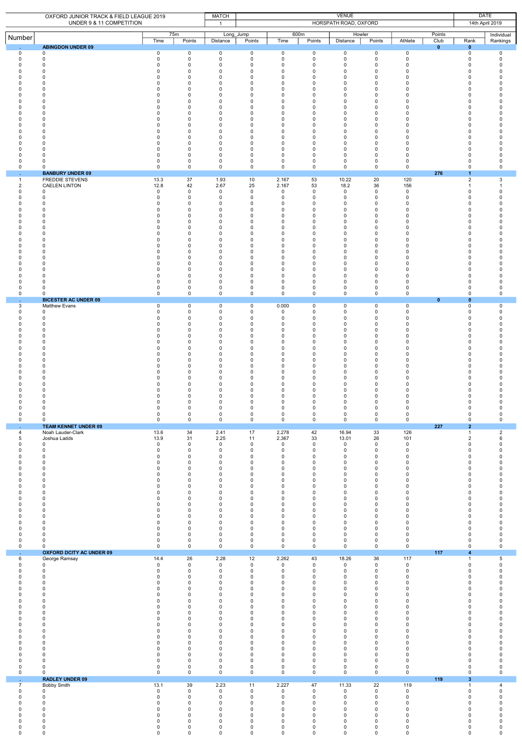|                                                                                                                                                 | OXFORD JUNIOR TRACK & FIELD LEAGUE 2019<br>UNDER 9 & 11 COMPETITION                                                                                                                           |                                                                                                                                                                                                                                                                                          |                                                                                                                                                                                                                                                                                       | <b>MATCH</b><br>$\overline{1}$                                                                                                                                                                                                                                                      |                                                                                                                                                                                                                                                                                             |                                                                                                                                                                                                                                                                            |                                                                                                                                                                                                                                        | <b>VENUE</b><br>HORSPATH ROAD, OXFORD                                                                                 |                                                                                                                                                                                                                                      |                                                                                                                                                                                                                                   |                     |                                                                                                                                                                                                                                                                                                                | <b>DATE</b><br>14th April 2019                                                                                                                                                                                                                                  |
|-------------------------------------------------------------------------------------------------------------------------------------------------|-----------------------------------------------------------------------------------------------------------------------------------------------------------------------------------------------|------------------------------------------------------------------------------------------------------------------------------------------------------------------------------------------------------------------------------------------------------------------------------------------|---------------------------------------------------------------------------------------------------------------------------------------------------------------------------------------------------------------------------------------------------------------------------------------|-------------------------------------------------------------------------------------------------------------------------------------------------------------------------------------------------------------------------------------------------------------------------------------|---------------------------------------------------------------------------------------------------------------------------------------------------------------------------------------------------------------------------------------------------------------------------------------------|----------------------------------------------------------------------------------------------------------------------------------------------------------------------------------------------------------------------------------------------------------------------------|----------------------------------------------------------------------------------------------------------------------------------------------------------------------------------------------------------------------------------------|-----------------------------------------------------------------------------------------------------------------------|--------------------------------------------------------------------------------------------------------------------------------------------------------------------------------------------------------------------------------------|-----------------------------------------------------------------------------------------------------------------------------------------------------------------------------------------------------------------------------------|---------------------|----------------------------------------------------------------------------------------------------------------------------------------------------------------------------------------------------------------------------------------------------------------------------------------------------------------|-----------------------------------------------------------------------------------------------------------------------------------------------------------------------------------------------------------------------------------------------------------------|
| Number                                                                                                                                          |                                                                                                                                                                                               | Time                                                                                                                                                                                                                                                                                     | 75m<br>Points                                                                                                                                                                                                                                                                         | Long_Jump<br>Distance                                                                                                                                                                                                                                                               | Points                                                                                                                                                                                                                                                                                      | 600m<br>Time                                                                                                                                                                                                                                                               | Points                                                                                                                                                                                                                                 | Howler<br>Distance                                                                                                    | Points                                                                                                                                                                                                                               | Athlete                                                                                                                                                                                                                           | Points<br>Club      | Rank                                                                                                                                                                                                                                                                                                           | Individual<br>Rankings                                                                                                                                                                                                                                          |
| 0<br>0<br>0<br>0<br>0<br>0<br>$\Omega$<br>0<br>$\Omega$<br>0<br>0<br>0<br>$\Omega$<br>0<br>0<br>$\Omega$<br>0<br>0<br>0<br>0<br>$\mathcal{L}$   | <b>ABINGDON UNDER 09</b><br>0<br>0<br>0<br>0<br>0<br>$\mathbf 0$<br>0<br>0<br>0<br>0<br>0<br>0<br>$\mathbf 0$<br>$\mathbf 0$<br>0<br>0<br>0<br>0<br>0<br>0<br><b>BANBURY UNDER 09</b>         | $\mathsf 0$<br>$\mathbf 0$<br>$\mathbf 0$<br>$\mathbf 0$<br>0<br>$\mathbf 0$<br>$\mathbf 0$<br>0<br>$\mathbf 0$<br>$\mathbf 0$<br>0<br>0<br>$\mathbf 0$<br>0<br>$\mathbf 0$<br>$\mathbf 0$<br>$\mathbf 0$<br>0<br>$\mathbf 0$<br>$\mathbf 0$                                             | $\mathbf 0$<br>$\mathbf 0$<br>$\mathbf 0$<br>$\mathbf 0$<br>0<br>$\mathbf{0}$<br>$\mathbf 0$<br>$\mathbf 0$<br>$\mathbf 0$<br>$\mathbf 0$<br>$\mathbf 0$<br>0<br>$\mathbf 0$<br>$\mathbf 0$<br>$\mathbf 0$<br>$\mathbf 0$<br>$\mathbf 0$<br>$\mathbf 0$<br>$\mathbf 0$<br>$\mathbf 0$ | $\pmb{0}$<br>$\mathbf 0$<br>$\mathbf 0$<br>$\mathbf 0$<br>0<br>$\mathbf 0$<br>$\mathbf 0$<br>$\mathbf 0$<br>$\mathbf 0$<br>$\mathbf 0$<br>$\mathbf 0$<br>0<br>$\mathbf 0$<br>$\mathbf 0$<br>$\mathbf 0$<br>$\mathbf 0$<br>$\mathbf 0$<br>$\mathbf 0$<br>$\mathbf 0$<br>$\mathbf 0$  | 0<br>0<br>$\mathbf 0$<br>$\mathbf 0$<br>$\mathbf 0$<br>$\mathbf 0$<br>$\mathbf 0$<br>$\pmb{0}$<br>$\mathbf 0$<br>$\mathbf 0$<br>$\mathbf 0$<br>$\mathbf 0$<br>$\mathbf 0$<br>$\mathbf 0$<br>$\pmb{0}$<br>$\mathbf 0$<br>$\mathbf 0$<br>$\mathbf 0$<br>$\mathbf 0$<br>$\mathbf 0$            | $\mathsf 0$<br>$\mathbf 0$<br>$\mathbf 0$<br>$\mathbf 0$<br>0<br>$\mathbf 0$<br>$\mathbf 0$<br>0<br>$\mathbf 0$<br>$\mathbf 0$<br>$\mathbf 0$<br>0<br>$\mathbf 0$<br>$\mathbf 0$<br>$\pmb{0}$<br>$\mathbf{0}$<br>$\mathbf 0$<br>$\mathbf 0$<br>0<br>$\mathbf 0$            | 0<br>$\mathbf 0$<br>0<br>$\mathbf 0$<br>0<br>$\mathbf 0$<br>$\mathbf 0$<br>0<br>$\Omega$<br>$\mathsf 0$<br>$\mathbf 0$<br>0<br>$\mathbf 0$<br>0<br>$\pmb{0}$<br>$\Omega$<br>$\mathbf 0$<br>$\mathbf 0$<br>$\mathbf 0$<br>$\mathbf 0$   | 0<br>0<br>0<br>0<br>0<br>0<br>0<br>0<br>$\Omega$<br>0<br>0<br>0<br>0<br>0<br>0<br>$\Omega$<br>0<br>$\Omega$<br>0<br>0 | $\mathsf 0$<br>$\mathsf 0$<br>0<br>0<br>0<br>$\mathbf 0$<br>$\mathbf 0$<br>$\mathsf 0$<br>$\mathbf 0$<br>$\pmb{0}$<br>0<br>0<br>$\mathbf 0$<br>0<br>$\pmb{0}$<br>$\mathbf 0$<br>$\mathbf 0$<br>$\mathbf 0$<br>0<br>$\mathbf 0$       | $\mathsf 0$<br>$\mathbf 0$<br>$\mathbf 0$<br>$\Omega$<br>0<br>$\Omega$<br>$\Omega$<br>0<br>$\Omega$<br>$\Omega$<br>$\Omega$<br>$\Omega$<br>$\Omega$<br>0<br>$\mathbf 0$<br>0<br>$\Omega$<br>$\mathbf 0$<br>0<br>$\mathbf 0$       | $\mathbf{0}$<br>276 | $\mathbf{0}$<br>$\mathsf 0$<br>$\pmb{0}$<br>$\pmb{0}$<br>$\mathbf 0$<br>0<br>$\mathbf 0$<br>$\mathbf 0$<br>0<br>0<br>$\mathbf 0$<br>$\mathbf 0$<br>0<br>$\mathbf 0$<br>0<br>$\pmb{0}$<br>0<br>$\mathbf 0$<br>$\mathbf 0$<br>0<br>0<br>$\mathbf{1}$                                                             | 0<br>$\mathbf 0$<br>$\mathbf 0$<br>$\Omega$<br>0<br>U<br>0<br>ŋ<br>O<br>O<br>0<br>ŋ<br>0<br>$\Omega$<br>U<br>$\Omega$<br>$\Omega$<br>0                                                                                                                          |
| 1<br>$\overline{c}$<br>0<br>0<br>0<br>0<br>$\Omega$<br>0<br>$\Omega$<br>0<br>0<br>0<br>0<br>0<br>0<br>$\Omega$<br>0<br>0<br>0<br>0              | <b>FREDDIE STEVENS</b><br><b>CAELEN LINTON</b><br>$\mathbf 0$<br>0<br>0<br>$\mathbf 0$<br>0<br>0<br>0<br>0<br>0<br>0<br>0<br>0<br>0<br>0<br>0<br>0<br>0<br>0                                  | 13.3<br>12.8<br>0<br>$\mathbf 0$<br>$\mathbf 0$<br>$\mathbf 0$<br>$\mathbf 0$<br>$\mathbf 0$<br>$\mathbf 0$<br>$\mathbf 0$<br>0<br>0<br>$\mathbf 0$<br>0<br>$\mathbf 0$<br>$\mathbf 0$<br>$\mathbf 0$<br>$\mathbf 0$<br>$\mathbf 0$<br>$\mathbf 0$                                       | 37<br>42<br>$\mathbf 0$<br>$\mathbf 0$<br>0<br>$\mathbf 0$<br>$\mathbf 0$<br>$\mathbf 0$<br>$\mathbf 0$<br>$\mathbf 0$<br>$\mathbf 0$<br>0<br>$\mathbf 0$<br>$\mathbf 0$<br>$\mathbf 0$<br>$\mathbf 0$<br>$\mathbf 0$<br>$\mathbf 0$<br>$\mathbf 0$<br>$\mathbf 0$                    | 1.93<br>2.67<br>0<br>$\pmb{0}$<br>0<br>$\mathbf 0$<br>$\mathbf 0$<br>$\mathbf 0$<br>$\mathbf 0$<br>$\mathbf 0$<br>$\mathbf 0$<br>0<br>$\mathbf 0$<br>$\mathbf 0$<br>$\mathbf 0$<br>$\mathbf 0$<br>$\mathbf 0$<br>$\mathbf 0$<br>$\mathbf 0$<br>$\mathbf 0$                          | 10<br>25<br>$\mathbf 0$<br>$\mathbf 0$<br>$\mathbf 0$<br>$\mathbf 0$<br>$\mathbf 0$<br>$\pmb{0}$<br>$\mathbf 0$<br>$\mathbf 0$<br>$\mathbf 0$<br>$\mathbf 0$<br>$\mathbf 0$<br>$\mathbf 0$<br>$\pmb{0}$<br>$\mathbf 0$<br>$\mathbf 0$<br>$\mathbf 0$<br>$\mathbf 0$<br>$\mathbf 0$          | 2.167<br>2.167<br>0<br>$\mathbf 0$<br>0<br>$\mathbf 0$<br>$\mathbf 0$<br>0<br>$\mathbf 0$<br>$\mathbf 0$<br>$\mathbf 0$<br>0<br>$\mathbf 0$<br>$\mathbf 0$<br>$\mathbf 0$<br>$\mathbf 0$<br>$\mathbf 0$<br>$\mathbf 0$<br>$\mathbf 0$<br>$\mathbf 0$                       | 53<br>53<br>0<br>$\mathbf 0$<br>0<br>$\mathbf 0$<br>$\mathbf 0$<br>$\mathsf 0$<br>$\Omega$<br>$\mathsf 0$<br>$\mathbf 0$<br>0<br>$\mathbf 0$<br>0<br>$\pmb{0}$<br>$\Omega$<br>$\mathbf 0$<br>$\mathbf 0$<br>$\mathbf 0$<br>$\mathbf 0$ | 10.22<br>18.2<br>0<br>0<br>0<br>0<br>0<br>0<br>0<br>0<br>0<br>0<br>0<br>0<br>0<br>$\Omega$<br>0<br>$\Omega$<br>0<br>0 | 20<br>36<br>0<br>0<br>0<br>$\mathbf 0$<br>$\mathbf 0$<br>$\mathbf 0$<br>$\mathbf 0$<br>$\pmb{0}$<br>0<br>0<br>$\mathbf 0$<br>0<br>$\pmb{0}$<br>$\mathbf 0$<br>$\pmb{0}$<br>$\mathbf 0$<br>0<br>0                                     | 120<br>156<br>0<br>$\mathbf 0$<br>0<br>$\Omega$<br>$\mathbf 0$<br>0<br>0<br>$\Omega$<br>$\Omega$<br>$\Omega$<br>$\Omega$<br>0<br>$\mathbf 0$<br>0<br>$\Omega$<br>$\Omega$<br>0<br>0                                               |                     | $\overline{2}$<br>$\mathbf{1}$<br>0<br>$\mathbf 0$<br>0<br>$\mathbf 0$<br>$\mathbf 0$<br>$\pmb{0}$<br>0<br>$\mathbf 0$<br>$\mathbf 0$<br>0<br>$\mathbf 0$<br>0<br>$\pmb{0}$<br>0<br>$\mathbf 0$<br>$\mathbf 0$<br>0<br>0                                                                                       | 3<br>$\overline{1}$<br>$\mathbf 0$<br>$\Omega$<br>0<br>U<br>0<br>$\Omega$<br>O<br>0<br>ŋ<br>0<br>$\Omega$<br>U<br>$\Omega$<br>$\Omega$<br>$\Omega$<br>$\mathbf 0$                                                                                               |
| 3<br>0<br>0<br>0<br>0<br>0<br>$\Omega$<br>0<br>0<br>0<br>0<br>0<br>$\Omega$<br>0<br>0<br>0<br>0<br>0<br>0<br>0                                  | <b>BICESTER AC UNDER 09</b><br>Matthew Evans<br>$\mathbf 0$<br>0<br>0<br>0<br>0<br>$\mathbf 0$<br>0<br>0<br>0<br>0<br>0<br>0<br>0<br>0<br>0<br>0<br>0<br>0<br>0                               | $\mathsf 0$<br>$\mathsf 0$<br>$\mathbf 0$<br>$\mathbf 0$<br>0<br>$\mathbf 0$<br>0<br>0<br>$\mathbf 0$<br>$\mathbf 0$<br>0<br>$\mathbf 0$<br>$\mathbf 0$<br>$\Omega$<br>$\Omega$<br>$\mathbf 0$<br>$\mathbf 0$<br>$\mathsf 0$<br>$\mathsf 0$<br>$\mathbf 0$                               | $\mathbf 0$<br>$\mathbf 0$<br>0<br>$\mathbf 0$<br>0<br>$\mathbf 0$<br>$\mathbf 0$<br>$\mathbf 0$<br>$\mathbf 0$<br>$\mathbf 0$<br>$\mathbf 0$<br>0<br>$\mathbf 0$<br>$\mathbf 0$<br>$\mathbf 0$<br>$\mathbf 0$<br>$\mathbf 0$<br>$\pmb{0}$<br>$\mathbf 0$<br>$\mathbf 0$              | $\pmb{0}$<br>$\mathbf 0$<br>$\mathbf 0$<br>$\mathbf 0$<br>0<br>$\mathbf 0$<br>$\mathbf 0$<br>$\mathbf 0$<br>$\mathbf 0$<br>$\mathbf 0$<br>$\mathbf 0$<br>0<br>$\mathbf 0$<br>$\mathbf 0$<br>$\mathbf 0$<br>$\mathbf 0$<br>$\mathsf 0$<br>$\pmb{0}$<br>$\mathbf 0$<br>$\mathbf 0$    | $\pmb{0}$<br>$\mathbf 0$<br>$\mathbf 0$<br>$\mathbf 0$<br>$\mathbf 0$<br>$\mathbf 0$<br>$\mathbf 0$<br>$\pmb{0}$<br>$\mathbf 0$<br>$\mathbf 0$<br>$\mathbf 0$<br>0<br>$\mathbf 0$<br>$\mathbf 0$<br>$\pmb{0}$<br>$\mathbf 0$<br>$\mathsf 0$<br>$\mathbf 0$<br>$\mathbf 0$<br>$\mathbf 0$    | 0.000<br>$\mathsf 0$<br>0<br>$\mathbf 0$<br>0<br>$\mathsf 0$<br>$\mathbf 0$<br>$\pmb{0}$<br>$\mathbf 0$<br>$\mathbf 0$<br>$\mathbf 0$<br>0<br>$\mathbf 0$<br>$\mathbf 0$<br>$\mathbf 0$<br>$\mathbf 0$<br>$\mathsf 0$<br>$\pmb{0}$<br>$\mathbf 0$<br>0                     | $\mathsf 0$<br>$\mathbf 0$<br>0<br>0<br>0<br>$\mathbf 0$<br>$\mathbf 0$<br>0<br>$\Omega$<br>0<br>0<br>0<br>$\mathbf 0$<br>$\Omega$<br>$\mathsf 0$<br>$\mathbf 0$<br>$\mathsf 0$<br>0<br>$\mathbf 0$<br>$\mathbf 0$                     | 0<br>0<br>0<br>0<br>0<br>0<br>0<br>0<br>$\Omega$<br>0<br>0<br>0<br>0<br>0<br>0<br>0<br>0<br>0<br>0<br>0               | $\pmb{0}$<br>$\mathbf 0$<br>0<br>0<br>0<br>$\pmb{0}$<br>$\mathbf 0$<br>0<br>$\mathbf 0$<br>0<br>0<br>0<br>$\mathbf 0$<br>$\mathbf 0$<br>$\mathsf 0$<br>$\mathbf 0$<br>$\mathsf 0$<br>0<br>$\mathsf 0$<br>$\mathbf 0$                 | $\mathsf 0$<br>$\mathbf 0$<br>0<br>$\Omega$<br>0<br>$\mathbf 0$<br>$\mathbf 0$<br>0<br>$\Omega$<br>$\Omega$<br>$\Omega$<br>$\Omega$<br>$\Omega$<br>$\Omega$<br>0<br>0<br>$\mathbf 0$<br>$\mathsf 0$<br>0<br>0                     | $\mathbf{0}$        | $\mathbf{0}$<br>$\mathsf{O}\xspace$<br>$\mathbf 0$<br>0<br>$\mathbf 0$<br>0<br>$\mathbf 0$<br>0<br>0<br>0<br>0<br>$\mathbf 0$<br>0<br>$\mathbf 0$<br>$\mathbf 0$<br>0<br>0<br>$\mathbf 0$<br>$\pmb{0}$<br>0<br>$\mathbf 0$                                                                                     | $\mathsf 0$<br>$\mathbf 0$<br>$\Omega$<br>$\Omega$<br>0<br>O<br>0<br>ŋ<br>0<br>U<br>0<br>$\Omega$<br>$\mathbf 0$<br>$\mathbf 0$<br>$\mathbf 0$<br>$\mathbf 0$                                                                                                   |
| $\mathcal{L}$<br>4<br>5<br>0<br>0<br>0<br>0<br>0<br>0<br>0<br>0<br>0<br>0<br>0<br>0<br>0<br>0<br>0<br>0<br>0<br>0                               | <b>TEAM KENNET UNDER 09</b><br>Noah Lauder-Clark<br>Joshua Ladds<br>$\mathbf 0$<br>0<br>0<br>0<br>0<br>0<br>$\mathbf 0$<br>0<br>0<br>0<br>0<br>0<br>0<br>0<br>0<br>0<br>0<br>0                | 13.6<br>13.9<br>$\mathbf 0$<br>$\mathsf 0$<br>$\mathbf 0$<br>$\mathsf 0$<br>$\mathbf 0$<br>$\mathbf 0$<br>$\mathsf 0$<br>$\mathbf 0$<br>$\mathbf 0$<br>$\mathbf 0$<br>$\mathbf{0}$<br>0<br>$\mathbf 0$<br>$\mathbf 0$<br>$\mathsf 0$<br>$\mathbf 0$<br>$\mathbf 0$<br>$\mathsf 0$        | 34<br>31<br>$\mathbf 0$<br>$\mathbf 0$<br>$\mathbf 0$<br>$\mathbf 0$<br>$\mathbf 0$<br>$\pmb{0}$<br>$\mathbf 0$<br>$\mathbf 0$<br>$\mathbf 0$<br>0<br>$\mathbf 0$<br>$\mathbf 0$<br>$\mathbf 0$<br>$\mathbf 0$<br>$\mathbf 0$<br>$\mathbf 0$<br>$\mathbf 0$<br>$\mathbf 0$            | 2.41<br>2.25<br>$\mathbf 0$<br>$\pmb{0}$<br>$\mathbf 0$<br>$\mathbf 0$<br>$\pmb{0}$<br>$\pmb{0}$<br>$\mathbf 0$<br>$\mathbf 0$<br>$\mathbf 0$<br>$\mathbf 0$<br>$\mathbf 0$<br>$\pmb{0}$<br>$\pmb{0}$<br>$\mathbf 0$<br>$\pmb{0}$<br>$\mathbf 0$<br>$\mathbf 0$<br>$\mathsf 0$      | 17<br>11<br>$\mathbf 0$<br>$\mathsf 0$<br>$\mathbf 0$<br>$\mathsf 0$<br>$\mathbf 0$<br>$\pmb{0}$<br>$\mathbf 0$<br>$\mathbf 0$<br>$\mathbf 0$<br>$\mathbf 0$<br>$\mathsf 0$<br>$\mathbf 0$<br>$\pmb{0}$<br>$\mathbf 0$<br>$\mathbf 0$<br>$\mathbf 0$<br>$\mathbf 0$<br>$\mathsf 0$          | 2.278<br>2.367<br>0<br>$\mathbf 0$<br>$\mathbf 0$<br>$\mathsf 0$<br>0<br>0<br>$\mathbf 0$<br>$\mathbf 0$<br>$\mathbf 0$<br>0<br>$\mathsf 0$<br>$\mathbf 0$<br>$\mathbf 0$<br>$\mathbf 0$<br>$\pmb{0}$<br>$\mathbf 0$<br>$\mathbf 0$<br>$\mathsf 0$                         | 42<br>33<br>0<br>$\mathbf 0$<br>$\mathbf 0$<br>$\mathsf 0$<br>$\mathbf 0$<br>$\mathsf 0$<br>$\mathbf 0$<br>0<br>$\mathbf 0$<br>0<br>$\mathsf 0$<br>$\mathbf 0$<br>$\mathsf 0$<br>$\mathbf 0$<br>0<br>0<br>$\mathbf 0$<br>$\mathsf 0$   | 16.94<br>13.01<br>$\mathbf 0$<br>0<br>0<br>0<br>0<br>0<br>0<br>0<br>0<br>0<br>0<br>0<br>0<br>0<br>0<br>0<br>0<br>0    | 33<br>26<br>0<br>0<br>$\mathbf 0$<br>$\mathsf 0$<br>$\mathbf 0$<br>$\mathsf 0$<br>$\mathbf 0$<br>0<br>$\mathbf 0$<br>0<br>$\mathbf 0$<br>$\mathbf 0$<br>$\mathsf 0$<br>$\mathbf 0$<br>$\mathbf 0$<br>$\mathbf 0$<br>0<br>$\mathsf 0$ | 126<br>101<br>0<br>$\mathbf 0$<br>$\mathbf 0$<br>$\mathsf 0$<br>$\mathbf 0$<br>0<br>$\Omega$<br>0<br>$\mathbf 0$<br>0<br>$\mathbf 0$<br>$\mathbf 0$<br>0<br>$\mathbf 0$<br>$\mathbf 0$<br>$\mathbf 0$<br>0<br>$\mathbf 0$         | 227                 | $\overline{2}$<br>$\mathbf{1}$<br>$\overline{2}$<br>$\pmb{0}$<br>$\mathbf 0$<br>$\mathbf 0$<br>$\mathbf 0$<br>$\pmb{0}$<br>$\pmb{0}$<br>$\mathbf 0$<br>$\pmb{0}$<br>$\mathbf 0$<br>0<br>$\mathbf 0$<br>$\pmb{0}$<br>$\pmb{0}$<br>$\mathbf 0$<br>$\pmb{0}$<br>$\mathbf 0$<br>0<br>$\mathbf 0$                   | $\overline{2}$<br>6<br>$\mathbf 0$<br>$\mathbf 0$<br>$\Omega$<br>$\Omega$<br>0<br>$\mathsf 0$<br>$\Omega$<br>$\mathbf 0$<br>$\mathbf 0$<br>0<br>$\Omega$<br>$\mathbf 0$<br>$\mathbf 0$<br>$\Omega$<br>$\mathbf 0$<br>$\mathbf 0$<br>0<br>0                      |
| ¥.<br>6<br>$\mathbf 0$<br>0<br>0<br>0<br>0<br>0<br>0<br>0<br>0<br>0<br>0<br>0<br>0<br>0<br>0<br>0<br>0<br>0<br>0<br>$\mathcal{L}_{\mathcal{C}}$ | <b>OXFORD DCITY AC UNDER 09</b><br>George Ramsay<br>$\mathbf 0$<br>0<br>0<br>0<br>0<br>0<br>0<br>$\mathbf 0$<br>0<br>0<br>0<br>0<br>0<br>0<br>0<br>0<br>0<br>0<br>0<br><b>RADLEY UNDER 09</b> | 14.4<br>$\mathsf 0$<br>$\mathsf 0$<br>$\mathsf 0$<br>$\mathbf 0$<br>$\mathsf 0$<br>$\mathbf 0$<br>$\mathbf 0$<br>$\mathbf{0}$<br>$\mathbf 0$<br>$\mathbf 0$<br>$\mathbf 0$<br>$\mathsf 0$<br>0<br>$\mathbf 0$<br>$\mathbf 0$<br>$\mathsf 0$<br>$\mathbf 0$<br>$\mathbf 0$<br>$\mathsf 0$ | 26<br>$\mathbf 0$<br>$\mathbf 0$<br>$\mathbf 0$<br>$\mathbf 0$<br>$\mathbf 0$<br>$\mathbf 0$<br>$\pmb{0}$<br>$\mathbf 0$<br>$\mathbf 0$<br>$\mathbf 0$<br>0<br>$\mathbf 0$<br>$\mathbf 0$<br>$\mathbf 0$<br>$\mathbf 0$<br>$\mathbf 0$<br>$\mathbf 0$<br>$\mathbf 0$<br>$\mathbf 0$   | 2.28<br>$\mathbf 0$<br>$\mathbf 0$<br>$\pmb{0}$<br>$\mathbf 0$<br>$\mathbf 0$<br>$\pmb{0}$<br>$\pmb{0}$<br>$\mathbf 0$<br>$\mathbf 0$<br>$\pmb{0}$<br>$\mathbf 0$<br>$\mathbf 0$<br>$\pmb{0}$<br>$\pmb{0}$<br>$\mathbf 0$<br>$\pmb{0}$<br>$\mathbf 0$<br>$\mathbf 0$<br>$\mathsf 0$ | 12<br>$\mathsf 0$<br>$\mathsf 0$<br>$\mathbf 0$<br>$\mathbf 0$<br>$\mathsf 0$<br>$\mathbf 0$<br>$\pmb{0}$<br>$\mathbf 0$<br>$\mathbf 0$<br>$\mathbf 0$<br>$\mathbf 0$<br>$\mathsf 0$<br>$\mathbf 0$<br>$\pmb{0}$<br>$\mathbf 0$<br>$\mathbf 0$<br>$\mathbf 0$<br>$\mathsf 0$<br>$\mathsf 0$ | 2.262<br>$\mathsf 0$<br>$\mathbf 0$<br>$\mathbf 0$<br>$\mathbf 0$<br>$\mathsf 0$<br>$\mathbf 0$<br>0<br>$\mathbf 0$<br>$\mathbf 0$<br>$\mathbf 0$<br>0<br>$\pmb{0}$<br>$\mathbf 0$<br>$\mathsf 0$<br>$\mathbf 0$<br>$\pmb{0}$<br>$\mathbf 0$<br>$\mathbf 0$<br>$\mathsf 0$ | 43<br>$\mathbf 0$<br>0<br>0<br>$\mathbf 0$<br>$\mathsf 0$<br>$\mathbf 0$<br>$\mathsf 0$<br>$\mathbf 0$<br>0<br>0<br>0<br>$\mathsf 0$<br>$\mathbf 0$<br>$\mathsf 0$<br>$\mathbf 0$<br>0<br>0<br>$\mathbf 0$<br>$\mathsf 0$              | 18.26<br>0<br>0<br>0<br>0<br>0<br>0<br>0<br>$\mathbf 0$<br>0<br>0<br>0<br>0<br>0<br>0<br>0<br>0<br>0<br>0<br>0        | 36<br>$\mathbf 0$<br>0<br>0<br>$\mathbf 0$<br>$\mathsf 0$<br>$\mathbf 0$<br>$\mathsf 0$<br>$\mathbf 0$<br>0<br>0<br>0<br>$\pmb{0}$<br>$\mathbf 0$<br>$\mathsf 0$<br>$\mathbf 0$<br>$\mathbf 0$<br>0<br>0<br>$\mathsf 0$              | 117<br>$\mathbf 0$<br>0<br>$\mathbf 0$<br>$\mathbf 0$<br>$\mathsf 0$<br>$\mathbf 0$<br>0<br>$\Omega$<br>0<br>$\mathbf 0$<br>0<br>$\mathbf 0$<br>$\mathbf 0$<br>0<br>$\mathbf 0$<br>$\mathbf 0$<br>$\mathbf 0$<br>0<br>$\mathsf 0$ | 117<br>119          | $\overline{\mathbf{4}}$<br>$\mathbf{1}$<br>$\mathbf 0$<br>$\pmb{0}$<br>$\pmb{0}$<br>$\mathbf 0$<br>$\mathbf 0$<br>$\pmb{0}$<br>$\pmb{0}$<br>$\mathbf 0$<br>$\pmb{0}$<br>$\pmb{0}$<br>0<br>$\mathbf 0$<br>$\pmb{0}$<br>$\pmb{0}$<br>$\mathbf 0$<br>$\pmb{0}$<br>$\mathbf 0$<br>0<br>$\mathbf 0$<br>$\mathbf{3}$ | $5\overline{)}$<br>$\mathsf 0$<br>$\mathbf 0$<br>$\mathbf 0$<br>$\Omega$<br>$\mathbf 0$<br>$\mathbf 0$<br>$\mathbf 0$<br>$\mathbf 0$<br>$\mathbf 0$<br>$\Omega$<br>0<br>$\Omega$<br>$\mathbf 0$<br>$\mathsf 0$<br>$\Omega$<br>$\Omega$<br>$\mathbf 0$<br>0<br>0 |
| $\overline{7}$<br>0<br>0<br>0<br>0<br>0<br>0<br>0<br>$\mathsf 0$                                                                                | <b>Bobby Smith</b><br>$\mathbf 0$<br>0<br>0<br>0<br>0<br>0<br>0<br>$\mathsf 0$                                                                                                                | 13.1<br>$\mathsf 0$<br>$\mathbf 0$<br>$\mathsf 0$<br>$\mathbf 0$<br>$\mathsf 0$<br>$\mathbf 0$<br>$\mathsf 0$<br>$\mathsf 0$                                                                                                                                                             | 39<br>$\mathbf 0$<br>$\mathbf 0$<br>$\mathbf 0$<br>$\mathbf 0$<br>$\mathbf 0$<br>$\pmb{0}$<br>$\mathbf 0$<br>$\pmb{0}$                                                                                                                                                                | 2.23<br>$\mathbf 0$<br>$\mathsf 0$<br>$\mathbf 0$<br>$\mathbf 0$<br>$\mathbf 0$<br>$\pmb{0}$<br>$\mathsf 0$<br>$\pmb{0}$                                                                                                                                                            | 11<br>$\mathsf 0$<br>$\mathbf 0$<br>$\mathsf 0$<br>$\mathbf 0$<br>$\mathsf 0$<br>$\mathbf 0$<br>$\mathsf 0$<br>$\pmb{0}$                                                                                                                                                                    | 2.227<br>$\mathsf 0$<br>$\mathbf 0$<br>$\mathsf 0$<br>$\mathbf 0$<br>$\mathsf 0$<br>$\mathbf 0$<br>$\mathbf 0$<br>$\mathsf 0$                                                                                                                                              | 47<br>$\mathbf 0$<br>0<br>$\mathsf 0$<br>$\mathbf 0$<br>$\mathsf 0$<br>0<br>$\mathsf 0$<br>$\mathsf 0$                                                                                                                                 | 11.33<br>0<br>0<br>0<br>0<br>0<br>0<br>0<br>0                                                                         | 22<br>$\mathbf 0$<br>$\mathbf 0$<br>$\mathsf 0$<br>$\mathbf 0$<br>$\pmb{0}$<br>$\mathbf 0$<br>0<br>$\mathsf 0$                                                                                                                       | 119<br>$\mathsf 0$<br>0<br>$\mathsf 0$<br>$\mathbf 0$<br>$\mathsf 0$<br>0<br>0<br>$\mathsf 0$                                                                                                                                     |                     | $\mathbf{1}$<br>$\mathbf 0$<br>$\pmb{0}$<br>$\pmb{0}$<br>$\mathbf 0$<br>0<br>0<br>$\mathbf 0$<br>$\mathbf 0$                                                                                                                                                                                                   | $\overline{4}$<br>$\mathsf 0$<br>$\mathbf 0$<br>$\mathbf 0$<br>$\Omega$<br>$\mathbf 0$<br>0<br>0<br>$\mathsf 0$                                                                                                                                                 |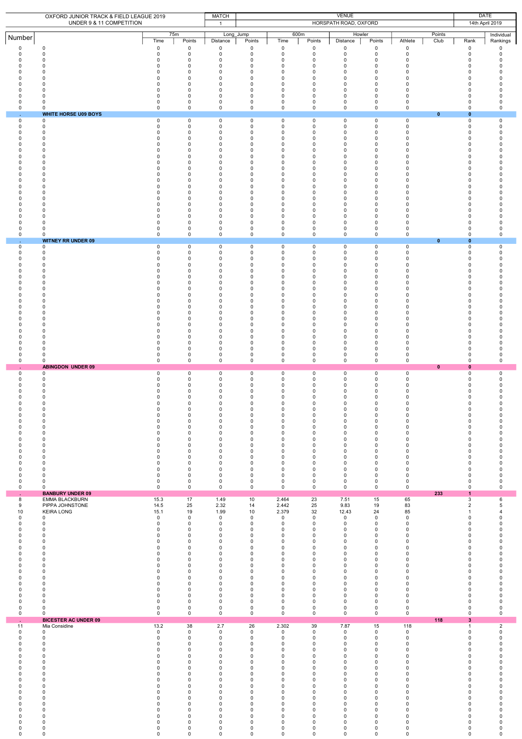|                                                                                                                                                                                                                                                                                                                                                                                                                                                                                                                                           | OXFORD JUNIOR TRACK & FIELD LEAGUE 2019<br>UNDER 9 & 11 COMPETITION                                                     |                                                                                                                                                                                                                              |                                                                                                                                                                                              | <b>MATCH</b><br>$\mathbf{1}$                                                                                                                                | <b>VENUE</b><br>HORSPATH ROAD, OXFORD                                                                                                                                                      |                                                                                                                                                                                            |                                                                                                                                                                                                                                                                            |                                                                                                                                                                                                                              | DATE<br>14th April 2019                                                                                                                                                                                                                      |                                                                                                                                                                                                                                                             |              |                                                                                                                                                                     |                                                                                                                                                   |
|-------------------------------------------------------------------------------------------------------------------------------------------------------------------------------------------------------------------------------------------------------------------------------------------------------------------------------------------------------------------------------------------------------------------------------------------------------------------------------------------------------------------------------------------|-------------------------------------------------------------------------------------------------------------------------|------------------------------------------------------------------------------------------------------------------------------------------------------------------------------------------------------------------------------|----------------------------------------------------------------------------------------------------------------------------------------------------------------------------------------------|-------------------------------------------------------------------------------------------------------------------------------------------------------------|--------------------------------------------------------------------------------------------------------------------------------------------------------------------------------------------|--------------------------------------------------------------------------------------------------------------------------------------------------------------------------------------------|----------------------------------------------------------------------------------------------------------------------------------------------------------------------------------------------------------------------------------------------------------------------------|------------------------------------------------------------------------------------------------------------------------------------------------------------------------------------------------------------------------------|----------------------------------------------------------------------------------------------------------------------------------------------------------------------------------------------------------------------------------------------|-------------------------------------------------------------------------------------------------------------------------------------------------------------------------------------------------------------------------------------------------------------|--------------|---------------------------------------------------------------------------------------------------------------------------------------------------------------------|---------------------------------------------------------------------------------------------------------------------------------------------------|
| Number                                                                                                                                                                                                                                                                                                                                                                                                                                                                                                                                    |                                                                                                                         | Time                                                                                                                                                                                                                         | 75m<br>Points                                                                                                                                                                                | Long_Jump<br>Distance                                                                                                                                       | Points                                                                                                                                                                                     | 600m<br>Time                                                                                                                                                                               | Points                                                                                                                                                                                                                                                                     | Howler<br>Distance                                                                                                                                                                                                           | Points                                                                                                                                                                                                                                       | Points<br>Club<br>Athlete                                                                                                                                                                                                                                   |              | Rank                                                                                                                                                                | Individual<br>Rankings                                                                                                                            |
| 0<br>$\Omega$<br>$\mathsf 0$<br>$\Omega$<br>$\mathsf 0$<br>$\mathbf 0$<br>$\mathbf 0$<br>$\mathbf 0$<br>$\mathbf 0$<br>0<br>$\mathbf 0$<br>$\mathbf 0$<br>$\mathbf 0$<br>$\mathbf 0$<br>$\mathbf 0$<br>$\mathbf 0$<br>$\mathbf 0$<br>0<br>$\mathbf 0$<br>$\mathbf 0$<br>$\mathsf 0$<br>$\mathsf 0$<br>$\epsilon$                                                                                                                                                                                                                          | <b>WHITE HORSE U09 BOYS</b>                                                                                             | $\mathbf 0$<br>$\mathbf 0$<br>$\mathbf 0$<br>$\Omega$<br>$\Omega$<br>$\Omega$<br>0<br>$\Omega$<br>0<br>$\mathbf 0$<br>$\mathsf 0$                                                                                            | 0<br>0<br>$\mathbf 0$<br>0<br>0<br>$\Omega$<br>0<br>0<br>0<br>$\mathbf 0$<br>$\mathsf 0$                                                                                                     | 0<br>0<br>$\mathbf 0$<br>0<br>$\Omega$<br>$\mathbf 0$<br>0<br>0<br>0<br>0<br>$\mathsf 0$                                                                    | 0<br>0<br>$\mathbf 0$<br>0<br>0<br>$\mathbf 0$<br>$\mathbf 0$<br>$\mathbf 0$<br>0<br>$\mathbf 0$<br>$\mathsf 0$                                                                            | 0<br>0<br>$\mathbf 0$<br>0<br>$\mathbf 0$<br>$\mathbf 0$<br>0<br>$\mathbf 0$<br>0<br>$\mathbf 0$<br>0                                                                                      | $\mathsf 0$<br>$\mathsf 0$<br>$\mathbf 0$<br>0<br>$\mathbf 0$<br>$\mathbf 0$<br>$\mathbf 0$<br>$\mathbf 0$<br>0<br>$\mathbf 0$<br>$\mathbf 0$                                                                                                                              | $\pmb{0}$<br>$\pmb{0}$<br>$\mathbf 0$<br>0<br>$\mathbf 0$<br>$\mathbf 0$<br>$\mathbf 0$<br>$\pmb{0}$<br>$\pmb{0}$<br>$\mathbf 0$<br>$\mathsf 0$                                                                              | $\pmb{0}$<br>$\mathsf 0$<br>$\mathbf 0$<br>$\mathbf 0$<br>$\mathbf 0$<br>$\mathbf 0$<br>$\mathbf 0$<br>$\mathbf 0$<br>0<br>$\mathbf 0$<br>$\mathsf 0$                                                                                        | 0<br>$\mathbf 0$<br>$\mathbf 0$<br>$\mathbf 0$<br>$\mathbf 0$<br>$\Omega$<br>$\mathbf 0$<br>0<br>$\mathbf 0$<br>$\mathbf 0$<br>$\mathsf 0$                                                                                                                  | $\mathbf{0}$ | $\mathbf 0$<br>$\mathsf 0$<br>0<br>0<br>0<br>0<br>$\mathsf 0$<br>0<br>0<br>0<br>$\mathsf 0$<br>$\mathbf{0}$                                                         | 0<br>0<br>0<br>0<br>0<br>$\Omega$<br>0<br>0<br>0<br>0<br>0                                                                                        |
| $\mathbf 0$<br>$\mathbf 0$<br>$\mathbf 0$<br>0<br>$\mathbf 0$<br>0<br>$\mathbf 0$<br>$\Omega$<br>$\mathbf 0$<br>$\mathbf 0$<br>$\mathbf 0$<br>$\mathbf 0$<br>$\mathbf 0$<br>0<br>$\mathbf 0$<br>$\mathbf 0$<br>0<br>$\mathbf 0$<br>$\mathbf 0$<br>0<br>$\mathbf 0$<br>$\mathbf 0$<br>$\mathbf 0$<br>$\mathbf 0$<br>0<br>0<br>$\mathbf 0$<br>$\mathbf 0$<br>$\mathbf 0$<br>$\mathbf 0$<br>$\mathbf 0$<br>$\mathbf 0$<br>$\mathbf 0$<br>0<br>$\mathbf 0$<br>0<br>$\mathbf 0$<br>$\mathbf 0$<br>$\mathsf 0$<br>$\mathsf 0$                   | <b>WITNEY RR UNDER 09</b>                                                                                               | $\mathsf 0$<br>$\mathbf 0$<br>0<br>$\Omega$<br>$\Omega$<br>$\Omega$<br>$\Omega$<br>$\Omega$<br>0<br>$\Omega$<br>$\Omega$<br>$\Omega$<br>$\Omega$<br>$\Omega$<br>$\Omega$<br>0<br>$\Omega$<br>0<br>$\mathbf 0$<br>$\mathsf 0$ | $\mathbf 0$<br>$\mathbf 0$<br>0<br>0<br>$\Omega$<br>$\Omega$<br>0<br>$\Omega$<br>0<br>0<br>$\mathbf 0$<br>$\Omega$<br>$\mathbf 0$<br>0<br>$\Omega$<br>0<br>$\Omega$<br>0<br>0<br>$\mathsf 0$ | $\mathsf{O}\xspace$<br>0<br>0<br>0<br>0<br>$\mathbf 0$<br>0<br>0<br>0<br>0<br>0<br>$\mathbf 0$<br>0<br>0<br>0<br>0<br>0<br>0<br>0<br>$\mathsf{O}\xspace$    | 0<br>0<br>0<br>0<br>$\mathbf 0$<br>$\mathbf 0$<br>0<br>$\mathbf 0$<br>0<br>0<br>0<br>$\mathbf 0$<br>0<br>0<br>$\mathbf 0$<br>$\mathbf 0$<br>$\mathbf 0$<br>0<br>$\mathbf 0$<br>$\mathsf 0$ | $\mathsf 0$<br>0<br>0<br>0<br>$\mathbf 0$<br>$\mathbf 0$<br>0<br>$\mathbf 0$<br>0<br>0<br>0<br>$\mathbf 0$<br>0<br>0<br>$\mathbf 0$<br>0<br>$\mathbf 0$<br>0<br>$\mathbf 0$<br>$\mathsf 0$ | $\mathsf 0$<br>$\mathbf 0$<br>$\mathbf 0$<br>0<br>$\mathbf 0$<br>$\mathbf 0$<br>0<br>$\mathbf 0$<br>$\mathbf 0$<br>$\mathbf 0$<br>$\mathbf 0$<br>$\mathbf 0$<br>0<br>$\mathbf 0$<br>$\mathbf 0$<br>$\mathbf 0$<br>$\mathbf 0$<br>0<br>$\mathbf 0$<br>$\mathsf 0$           | $\mathsf{O}\xspace$<br>0<br>0<br>0<br>$\mathbf 0$<br>$\mathbf 0$<br>$\pmb{0}$<br>0<br>$\pmb{0}$<br>$\pmb{0}$<br>0<br>$\mathbf 0$<br>0<br>$\pmb{0}$<br>0<br>$\pmb{0}$<br>$\pmb{0}$<br>$\pmb{0}$<br>$\mathbf 0$<br>$\mathsf 0$ | $\mathbf 0$<br>0<br>$\mathbf 0$<br>0<br>$\mathbf 0$<br>$\mathbf 0$<br>0<br>$\mathbf 0$<br>$\mathbf 0$<br>$\mathbf 0$<br>0<br>$\mathbf 0$<br>0<br>$\mathbf 0$<br>$\mathbf 0$<br>$\mathbf 0$<br>$\mathbf 0$<br>0<br>$\mathbf 0$<br>$\mathsf 0$ | $\mathsf 0$<br>$\mathbf 0$<br>$\mathbf 0$<br>0<br>$\Omega$<br>$\Omega$<br>0<br>$\Omega$<br>$\mathbf 0$<br>$\mathbf 0$<br>0<br>$\Omega$<br>0<br>$\mathbf 0$<br>$\Omega$<br>$\mathbf 0$<br>0<br>0<br>$\mathbf 0$<br>$\mathsf 0$                               | $\mathbf{0}$ | $\mathbf 0$<br>0<br>0<br>0<br>0<br>0<br>0<br>0<br>$\mathsf 0$<br>0<br>0<br>0<br>0<br>0<br>0<br>0<br>0<br>0<br>0<br>$\mathsf 0$<br>$\mathbf{0}$                      | 0<br>0<br>0<br>0<br>$\Omega$<br>$\Omega$<br>0<br>$\Omega$<br>0<br>0<br>$\Omega$<br>$\Omega$<br>$\Omega$<br>0<br>0<br>0<br>$\Omega$<br>0<br>0<br>0 |
| $\epsilon$<br>$\mathbf 0$<br>$\mathbf 0$<br>$\mathbf 0$<br>0<br>$\mathbf 0$<br>0<br>$\mathbf 0$<br>$\Omega$<br>$\mathbf 0$<br>$\mathbf 0$<br>$\mathbf 0$<br>$\mathbf 0$<br>$\Omega$<br>0<br>$\mathbf 0$<br>$\mathbf 0$<br>0<br>$\mathbf 0$<br>$\mathbf 0$<br>0<br>$\Omega$<br>0<br>$\mathbf 0$<br>$\mathbf 0$<br>$\mathbf 0$<br>0<br>$\mathbf 0$<br>$\mathbf 0$<br>$\mathbf 0$<br>$\mathbf 0$<br>$\mathbf 0$<br>$\mathbf 0$<br>$\mathbf 0$<br>0<br>$\mathbf 0$<br>$\mathbf 0$<br>$\mathbf 0$<br>$\mathbf 0$<br>$\mathsf 0$<br>$\mathbf 0$ |                                                                                                                         | $\overline{0}$<br>0<br>0<br>$\Omega$<br>$\Omega$<br>$\Omega$<br>$\Omega$<br>$\Omega$<br>0<br>$\Omega$<br>$\Omega$<br>$\Omega$<br>$\Omega$<br>$\Omega$<br>$\Omega$<br>0<br>$\Omega$<br>0<br>$\mathbf 0$<br>$\mathsf 0$        | $\overline{0}$<br>0<br>0<br>0<br>0<br>$\Omega$<br>0<br>$\Omega$<br>0<br>0<br>$\mathbf 0$<br>0<br>$\mathbf 0$<br>0<br>$\Omega$<br>0<br>0<br>0<br>0<br>$\mathbf 0$                             | $\mathbf 0$<br>0<br>0<br>0<br>0<br>$\mathbf 0$<br>0<br>0<br>0<br>0<br>0<br>$\mathbf 0$<br>0<br>0<br>0<br>0<br>0<br>0<br>0<br>$\mathbf 0$                    | 0<br>0<br>0<br>0<br>$\mathbf 0$<br>$\mathbf 0$<br>0<br>$\mathbf 0$<br>$\mathbf 0$<br>0<br>0<br>$\mathbf 0$<br>0<br>0<br>$\mathbf 0$<br>$\mathbf 0$<br>$\mathbf 0$<br>0<br>0<br>$\mathsf 0$ | $\overline{0}$<br>0<br>0<br>0<br>$\mathbf 0$<br>$\mathbf 0$<br>0<br>$\mathbf 0$<br>0<br>0<br>0<br>$\mathbf 0$<br>0<br>0<br>$\mathbf 0$<br>0<br>0<br>0<br>0<br>0                            | $\overline{0}$<br>$\mathbf 0$<br>$\mathbf 0$<br>$\mathbf 0$<br>$\mathbf 0$<br>$\mathbf 0$<br>0<br>$\mathbf 0$<br>$^{\circ}$<br>$\mathbf 0$<br>$^{\circ}$<br>$\mathbf 0$<br>0<br>$\mathbf 0$<br>$^{\circ}$<br>$\mathbf 0$<br>$\mathbf 0$<br>0<br>$\mathbf 0$<br>$\mathsf 0$ | $\mathbf 0$<br>0<br>0<br>0<br>$\mathbf 0$<br>$\mathbf 0$<br>0<br>0<br>$\pmb{0}$<br>$\pmb{0}$<br>0<br>$\mathbf 0$<br>0<br>$\pmb{0}$<br>0<br>$\mathbf 0$<br>$\pmb{0}$<br>$\pmb{0}$<br>$\mathbf 0$<br>$\mathbf 0$               | $\mathbf 0$<br>0<br>$\mathbf 0$<br>0<br>$\mathbf 0$<br>$\mathbf 0$<br>0<br>$\mathbf 0$<br>$\mathbf 0$<br>$\mathbf 0$<br>0<br>$\mathbf 0$<br>0<br>$\mathbf 0$<br>$\mathbf 0$<br>$\mathbf 0$<br>$\mathbf 0$<br>0<br>$\mathbf 0$<br>$\mathsf 0$ | $\overline{0}$<br>$\mathbf 0$<br>$\mathbf 0$<br>0<br>$\Omega$<br>$\Omega$<br>0<br>$\Omega$<br>$\mathbf 0$<br>$\mathbf 0$<br>0<br>$\Omega$<br>0<br>$\mathbf 0$<br>$\Omega$<br>$\mathbf 0$<br>$\mathbf 0$<br>0<br>$\mathbf 0$<br>$\mathsf 0$                  |              | $\mathbf 0$<br>0<br>0<br>0<br>0<br>0<br>0<br>0<br>$\mathsf 0$<br>0<br>0<br>0<br>0<br>0<br>0<br>$\mathsf 0$<br>0<br>0<br>0<br>$\mathsf 0$                            | 0<br>0<br>0<br>0<br>0<br>$\Omega$<br>$\Omega$<br>$\Omega$<br>0<br>0<br>0<br>$\Omega$<br>$\Omega$<br>0<br>0<br>0<br>0<br>0<br>0<br>$\mathbf 0$     |
| $\bullet$<br>$\mathbf 0$<br>0<br>0<br>0<br>0<br>$\mathbf 0$<br>$\mathbf 0$<br>$\Omega$<br>$\mathsf 0$<br>$\mathbf 0$<br>$\mathbf 0$<br>0<br>0<br>0<br>$\mathbf 0$<br>$\mathbf 0$<br>$\mathbf 0$<br>$\mathbf 0$<br>$\mathbf 0$<br>0<br>$\mathbf 0$<br>0<br>$\mathbf 0$<br>0<br>$\mathbf 0$<br>$\mathbf 0$<br>$\mathbf 0$<br>$\mathbf 0$<br>$\mathbf 0$<br>$\mathbf 0$<br>$\mathbf 0$<br>$\pmb{0}$<br>$\pmb{0}$<br>0<br>$\mathbf 0$<br>$\mathbf 0$<br>$\mathbf 0$<br>$\mathsf 0$<br>$\mathbf 0$<br>$\mathbf 0$                              | <b>ABINGDON UNDER 09</b>                                                                                                | $\mathsf 0$<br>0<br>0<br>0<br>$\Omega$<br>0<br>0<br>$\mathbf 0$<br>$\mathbf 0$<br>$\mathbf 0$<br>0<br>$\mathbf 0$<br>$\Omega$<br>0<br>$\Omega$<br>0<br>$\mathbf 0$<br>0<br>$\mathbf 0$<br>$\mathbf 0$                        | $\mathbf 0$<br>0<br>$\mathbf 0$<br>0<br>0<br>0<br>0<br>0<br>0<br>0<br>0<br>0<br>0<br>0<br>0<br>0<br>0<br>0<br>$\mathsf 0$<br>$\mathbf 0$                                                     | $\mathsf{O}\xspace$<br>0<br>0<br>0<br>0<br>$\mathbf 0$<br>0<br>0<br>0<br>0<br>0<br>0<br>0<br>0<br>0<br>0<br>0<br>0<br>0<br>$\mathbf 0$                      | $\mathsf 0$<br>0<br>0<br>0<br>$\pmb{0}$<br>$\mathbf 0$<br>$\mathsf 0$<br>$\mathbf 0$<br>0<br>0<br>0<br>$\mathbf 0$<br>$\mathbf 0$<br>0<br>$\mathbf 0$<br>0<br>0<br>0<br>$\mathbf 0$<br>0   | $\mathsf 0$<br>0<br>0<br>$\mathbf 0$<br>$\mathbf 0$<br>0<br>0<br>$\mathbf 0$<br>0<br>0<br>0<br>$\mathbf 0$<br>$\mathbf 0$<br>0<br>$\mathbf 0$<br>0<br>0<br>0<br>$\mathbf 0$<br>0           | $\mathsf 0$<br>0<br>$\mathbf 0$<br>0<br>$\mathbf 0$<br>$\mathbf 0$<br>0<br>$\mathbf 0$<br>$\mathbf 0$<br>$\mathbf 0$<br>0<br>$\mathbf 0$<br>$\mathbf 0$<br>0<br>$\mathbf 0$<br>$\mathbf 0$<br>$\mathbf 0$<br>0<br>$\mathbf 0$<br>$\mathbf 0$                               | $\mathsf 0$<br>0<br>0<br>0<br>$\pmb{0}$<br>$\mathbf 0$<br>0<br>$\pmb{0}$<br>$\pmb{0}$<br>0<br>0<br>$\mathbf 0$<br>$\pmb{0}$<br>$\pmb{0}$<br>0<br>$\pmb{0}$<br>0<br>0<br>$\mathbf 0$<br>$\mathbf 0$                           | $\mathsf 0$<br>0<br>$\mathbf 0$<br>0<br>$\mathbf 0$<br>$\mathbf 0$<br>0<br>$\mathbf 0$<br>$\mathbf 0$<br>$\mathbf 0$<br>0<br>$\mathbf 0$<br>$\mathbf 0$<br>0<br>$\mathbf 0$<br>$\mathbf 0$<br>$\mathbf 0$<br>0<br>$\mathbf 0$<br>$\mathbf 0$ | $\mathsf 0$<br>0<br>$\mathbf 0$<br>0<br>$\mathbf 0$<br>$\mathbf 0$<br>0<br>$\mathbf 0$<br>$\mathbf 0$<br>$\mathsf 0$<br>0<br>$\mathbf 0$<br>$\mathbf 0$<br>$\mathsf 0$<br>$\mathbf 0$<br>$\pmb{0}$<br>$\mathsf 0$<br>0<br>$\mathsf 0$<br>$\mathbf 0$        | $\mathbf 0$  | $\mathbf 0$<br>0<br>0<br>0<br>0<br>0<br>$\mathbf 0$<br>$\mathsf 0$<br>0<br>0<br>0<br>0<br>0<br>0<br>0<br>0<br>$\mathsf 0$<br>0<br>0<br>0<br>0                       | $\mathbf 0$<br>0<br>0<br><sup>0</sup><br>0<br>0<br>0<br>0<br>0<br>0<br>0<br>0<br>0<br>0<br>0<br>0<br>0<br>0<br>0                                  |
| $\sim$<br>8<br>9<br>10<br>$\mathbf 0$<br>$\mathbf 0$<br>$\mathbf 0$<br>$\mathbf 0$<br>$\mathbf 0$<br>0<br>$\mathbf 0$<br>0<br>$\mathbf 0$<br>$\mathbf 0$<br>$\mathbf 0$<br>$\mathbf 0$<br>$\mathbf 0$<br>0<br>$\mathbf 0$<br>$\mathbf 0$<br>$\pmb{0}$<br>$\mathsf 0$<br>$\mathbf 0$<br>0<br>$\mathbf 0$<br>0<br>$\mathbf 0$<br>$\mathbf 0$<br>$\mathbf 0$<br>$\mathbf 0$<br>$\pmb{0}$<br>0<br>$\mathbf 0$<br>$\mathbf 0$<br>$\mathbf 0$<br>$\mathsf 0$<br>$\mathbf 0$<br>$\mathbf 0$                                                      | <b>BANBURY UNDER 09</b><br><b>EMMA BLACKBURN</b><br>PIPPA JOHNSTONE<br><b>KEIRA LONG</b><br><b>BICESTER AC UNDER 09</b> | 15.3<br>14.5<br>15.1<br>$\mathbf 0$<br>$\mathbf 0$<br>$\mathbf 0$<br>0<br>$\mathbf 0$<br>0<br>$\mathsf 0$<br>0<br>0<br>$\Omega$<br>0<br>$\Omega$<br>0<br>$\mathsf 0$<br>0<br>$\mathbf 0$<br>$\mathbf 0$                      | 17<br>25<br>19<br>$\mathbf 0$<br>$\mathsf 0$<br>$\pmb{0}$<br>0<br>$\mathbf 0$<br>0<br>0<br>0<br>$\mathsf 0$<br>0<br>0<br>0<br>0<br>0<br>0<br>$\mathbf 0$<br>0                                | 1.49<br>2.32<br>1.99<br>$\mathbf 0$<br>0<br>0<br>0<br>$\mathbf 0$<br>0<br>0<br>0<br>$\mathsf 0$<br>0<br>0<br>$\mathbf 0$<br>0<br>0<br>0<br>0<br>$\mathbf 0$ | 10<br>14<br>10<br>$\mathbf 0$<br>$\mathsf 0$<br>0<br>0<br>$\mathbf 0$<br>0<br>0<br>0<br>$\pmb{0}$<br>0<br>0<br>$\mathbf 0$<br>0<br>0<br>0<br>$\mathbf 0$<br>0                              | 2.464<br>2.442<br>2.379<br>0<br>0<br>$\mathbf 0$<br>0<br>$\mathbf 0$<br>0<br>0<br>0<br>0<br>$\mathbf 0$<br>0<br>$\mathbf 0$<br>0<br>0<br>0<br>$\mathbf 0$<br>0                             | 23<br>25<br>32<br>$\mathbf 0$<br>$\mathsf 0$<br>$\mathbf 0$<br>$\mathbf 0$<br>$\mathbf 0$<br>0<br>$\mathbf 0$<br>0<br>$\mathbf 0$<br>0<br>0<br>$\mathbf 0$<br>$\mathbf 0$<br>$\mathbf 0$<br>0<br>$\mathbf 0$<br>$\mathbf 0$                                                | 7.51<br>9.83<br>12.43<br>$\mathbf 0$<br>$\mathbf 0$<br>$\pmb{0}$<br>$\pmb{0}$<br>$\mathbf 0$<br>0<br>0<br>0<br>$\pmb{0}$<br>$\pmb{0}$<br>0<br>$\mathbf 0$<br>$\pmb{0}$<br>0<br>0<br>$\mathbf 0$<br>$\mathbf 0$               | 15<br>19<br>24<br>$\mathbf 0$<br>$\mathbf 0$<br>$\mathbf 0$<br>0<br>$\mathbf 0$<br>0<br>$\pmb{0}$<br>0<br>$\pmb{0}$<br>$\mathbf 0$<br>$\mathbf 0$<br>$\mathbf 0$<br>0<br>$\mathbf 0$<br>0<br>$\mathbf 0$<br>$\mathbf 0$                      | 233<br>65<br>83<br>85<br>$\mathbf 0$<br>$\pmb{0}$<br>$\mathbf 0$<br>$\mathsf 0$<br>$\mathbf 0$<br>$\mathbf 0$<br>$\mathsf 0$<br>0<br>$\mathsf 0$<br>0<br>$\mathsf 0$<br>$\mathbf 0$<br>$\mathbf 0$<br>$\mathsf 0$<br>0<br>$\mathsf 0$<br>$\mathbf 0$<br>118 |              | $\overline{1}$<br>3<br>$\overline{2}$<br>$\mathbf{1}$<br>0<br>$\mathsf 0$<br>0<br>0<br>0<br>0<br>0<br>0<br>$\mathsf 0$<br>0<br>0<br>0<br>0<br>0<br>0<br>0<br>0<br>3 | 6<br>5<br>$\overline{4}$<br>0<br>0<br>0<br>0<br>0<br>0<br>0<br>0<br>0<br>0<br>0<br>0<br>0<br>0<br>0<br>$\mathbf{0}$<br>0                          |
| $\sim$<br>11<br>0<br>0<br>$\mathbf 0$<br>0<br>$\mathbf 0$<br>$\mathbf 0$<br>$\pmb{0}$<br>$\mathsf 0$<br>$\mathbf 0$<br>$\mathbf 0$<br>$\mathbf 0$<br>$\mathbf 0$<br>$\mathbf 0$<br>$\mathbf 0$<br>0<br>0<br>$\mathbf 0$<br>0<br>$\mathbf 0$<br>$\mathbf 0$<br>$\pmb{0}$<br>$\mathsf 0$<br>$\mathbf 0$<br>$\mathbf 0$<br>$\mathbf 0$<br>$\mathbf 0$<br>$\mathbf 0$<br>$\mathbf 0$<br>$\mathbf 0$<br>$\mathbf 0$<br>$\mathbf 0$<br>0<br>$\mathbf 0$<br>0<br>$\pmb{0}$<br>$\pmb{0}$                                                          | Mia Considine                                                                                                           | 13.2<br>0<br>0<br>$\mathbf 0$<br>0<br>$\Omega$<br>0<br>$\mathbf 0$<br>0<br>$\mathsf 0$<br>0<br>0<br>$\Omega$<br>0<br>0<br>0<br>0<br>$\mathbf 0$<br>$\mathsf 0$                                                               | 38<br>0<br>$\mathbf 0$<br>0<br>$\mathsf 0$<br>0<br>0<br>0<br>0<br>0<br>0<br>$\mathsf 0$<br>0<br>0<br>0<br>0<br>0<br>0<br>$\mathsf 0$                                                         | 2.7<br>0<br>0<br>0<br>0<br>0<br>0<br>0<br>0<br>0<br>0<br>$\mathsf 0$<br>0<br>0<br>0<br>0<br>0<br>0<br>$\mathsf 0$                                           | 26<br>0<br>0<br>$\mathbf 0$<br>0<br>$\mathbf 0$<br>0<br>$\mathbf 0$<br>0<br>0<br>0<br>$\pmb{0}$<br>$\mathbf 0$<br>0<br>$\mathbf 0$<br>0<br>0<br>0<br>$\mathsf 0$                           | 2.302<br>0<br>0<br>$\mathbf 0$<br>0<br>$\mathbf 0$<br>0<br>$\mathbf 0$<br>0<br>0<br>0<br>0<br>$\mathbf 0$<br>0<br>$\mathbf 0$<br>0<br>0<br>0<br>$\mathsf 0$                                | 39<br>0<br>$\mathsf 0$<br>$\mathbf 0$<br>$\mathbf 0$<br>$\mathbf 0$<br>$\mathbf 0$<br>$\mathbf 0$<br>0<br>$\mathbf 0$<br>0<br>$\mathbf 0$<br>$\mathbf 0$<br>$\mathbf 0$<br>$\mathbf 0$<br>$\mathbf 0$<br>$\mathbf 0$<br>0<br>$\pmb{0}$                                     | 7.87<br>0<br>$\mathbf 0$<br>$\pmb{0}$<br>$\pmb{0}$<br>$\pmb{0}$<br>$\pmb{0}$<br>$\mathbf 0$<br>0<br>0<br>0<br>$\pmb{0}$<br>$\pmb{0}$<br>$\pmb{0}$<br>0<br>0<br>0<br>0<br>$\mathsf 0$                                         | 15<br>0<br>0<br>$\mathbf 0$<br>$\mathbf 0$<br>$\mathbf 0$<br>$\mathbf 0$<br>$\mathbf 0$<br>0<br>$\pmb{0}$<br>0<br>$\pmb{0}$<br>$\mathbf 0$<br>0<br>$\mathbf 0$<br>0<br>$\pmb{0}$<br>0<br>$\pmb{0}$                                           | 118<br>$\mathbf 0$<br>0<br>$\mathbf 0$<br>$\pmb{0}$<br>$\mathbf 0$<br>$\mathsf 0$<br>$\mathbf 0$<br>$\mathbf 0$<br>$\mathsf 0$<br>0<br>$\mathsf 0$<br>0<br>$\mathsf 0$<br>$\mathbf 0$<br>$\mathbf 0$<br>0<br>0<br>$\mathsf 0$                               |              | $\mathbf{1}$<br>0<br>0<br>0<br>$\mathsf 0$<br>0<br>0<br>0<br>0<br>0<br>0<br>$\mathsf 0$<br>0<br>0<br>0<br>0<br>0<br>0<br>$\mathsf{O}\xspace$                        | $\overline{2}$<br>0<br>0<br>0<br>0<br>0<br>0<br>0<br>0<br>0<br>0<br>0<br>0<br>0<br>0<br>0<br>0<br>0<br>$\mathbf 0$                                |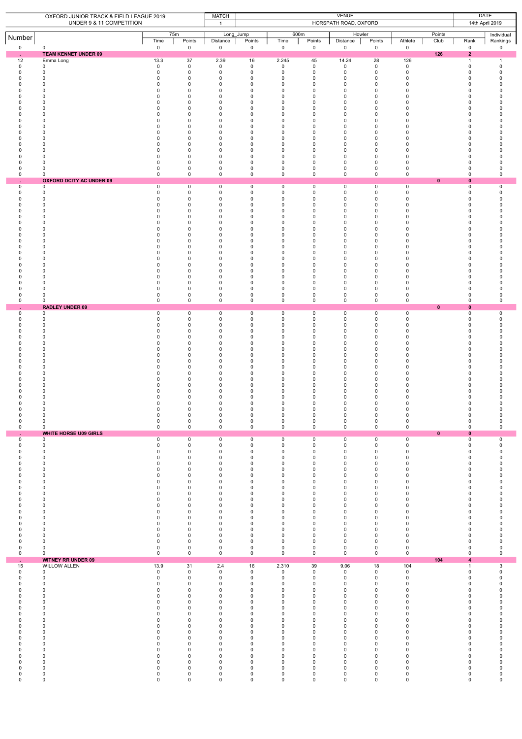|                                            | OXFORD JUNIOR TRACK & FIELD LEAGUE 2019<br>UNDER 9 & 11 COMPETITION |                                 |                                 | <b>MATCH</b><br>$\mathbf{1}$       |                               |                            |                        | <b>VENUE</b><br>HORSPATH ROAD, OXFORD |                            |                            |                |                                           | <b>DATE</b><br>14th April 2019            |
|--------------------------------------------|---------------------------------------------------------------------|---------------------------------|---------------------------------|------------------------------------|-------------------------------|----------------------------|------------------------|---------------------------------------|----------------------------|----------------------------|----------------|-------------------------------------------|-------------------------------------------|
| Number                                     |                                                                     | Time                            | 75m<br>Points                   | Distance                           | Long_Jump<br>Points           | Time                       | 600m<br>Points         | Howler<br>Distance                    | Points                     | Athlete                    | Points<br>Club | Rank                                      | Individual<br>Rankings                    |
| $\mathsf 0$<br>÷.                          | $\pmb{0}$<br><b>TEAM KENNET UNDER 09</b>                            | $\mathsf 0$                     | 0                               | $\mathsf{O}\xspace$                | $\mathsf 0$                   | $\mathsf 0$                | $\mathsf 0$            | 0                                     | 0                          | $\mathsf 0$                | 126            | $\pmb{0}$<br>$\mathbf 2$                  | $\pmb{0}$                                 |
| 12<br>$\mathbf 0$                          | Emma Long<br>$\mathsf 0$<br>$\mathsf 0$                             | 13.3<br>$\Omega$<br>0           | 37<br>0                         | 2.39<br>$\mathbf 0$<br>$\mathbf 0$ | 16<br>$\pmb{0}$               | 2.245<br>$\mathbf 0$<br>0  | 45<br>$\mathsf 0$<br>0 | 14.24<br>$\mathbf 0$<br>0             | 28<br>$\mathsf 0$<br>0     | 126<br>0<br>0              |                | $\overline{1}$<br>$\mathbf 0$             | $\mathbf{1}$<br>$\pmb{0}$<br>$\mathbf 0$  |
| 0<br>$\mathbf 0$<br>$\mathbf 0$            | $\pmb{0}$<br>$\pmb{0}$                                              | 0<br>0                          | 0<br>$\mathsf 0$<br>$\mathbf 0$ | $\mathbf 0$<br>$\mathbf 0$         | 0<br>$\pmb{0}$<br>$\mathbf 0$ | $\mathsf 0$<br>$\mathbf 0$ | 0<br>0                 | 0<br>0                                | $\mathsf 0$<br>0           | $\mathsf 0$<br>0           |                | 0<br>$\mathbf 0$<br>$\mathbf 0$           | $\mathbf 0$<br>$\Omega$                   |
| 0                                          | $\mathbf 0$                                                         | 0                               | 0                               | $\mathbf 0$                        | $\mathbf 0$                   | $\mathsf 0$                | 0                      | 0                                     | 0                          | $\mathsf 0$                |                | $\Omega$                                  | 0                                         |
| $\mathbf 0$                                | $\mathsf 0$                                                         | 0                               | $\mathbf 0$                     | $\mathbf 0$                        | $\mathbf 0$                   | $\mathbf 0$                | 0                      | 0                                     | 0                          | 0                          |                | $\mathbf 0$                               | $\Omega$                                  |
| $\mathbf 0$                                | $\mathbf 0$                                                         | $\Omega$                        | $\mathsf 0$                     | $\pmb{0}$                          | $\mathbf 0$                   | $\mathsf 0$                | 0                      | 0                                     | $\pmb{0}$                  | $\mathsf 0$                |                | $\mathbf 0$                               | $\Omega$                                  |
| $\mathbf 0$                                | 0                                                                   | $\Omega$                        | $\mathsf 0$                     | $\mathbf 0$                        | $\mathbf 0$                   | $\mathsf 0$                | 0                      | 0                                     | 0                          | 0                          |                | $\mathbf 0$                               | $\Omega$                                  |
| $\Omega$                                   | $\mathbf 0$                                                         | 0                               | 0                               | 0                                  | 0                             | 0                          | 0                      | 0                                     | 0                          | $\mathsf 0$                |                | $^{\circ}$                                | $\Omega$                                  |
| $\mathbf 0$                                | $\pmb{0}$                                                           | <sup>n</sup>                    | $\mathbf 0$                     | $\mathbf 0$                        | $\mathbf 0$                   | $\mathbf 0$                | 0                      | 0                                     | $\mathsf 0$                | 0                          |                | $\mathbf 0$                               | $\Omega$                                  |
| $\mathbf 0$                                | 0                                                                   | 0                               | $\mathbf 0$                     | $\pmb{0}$                          | $\mathbf 0$                   | $\mathbf 0$                | 0                      | 0                                     | 0                          | 0                          |                | $\mathbf 0$                               | $\Omega$                                  |
| 0                                          | $\pmb{0}$                                                           | 0                               | 0                               | $\mathbf 0$                        | $\mathbf 0$                   | $\mathbf 0$                | $\mathsf 0$            | 0                                     | $\mathsf 0$                | $\mathsf 0$                |                | $\Omega$                                  | 0                                         |
| $\mathbf 0$                                | $\mathsf 0$                                                         | $\Omega$                        | $\mathbf 0$                     | $\mathbf 0$                        | $\mathbf 0$                   | $\mathbf 0$                | 0                      | 0                                     | 0                          | 0                          |                | $\mathbf 0$                               | $\Omega$                                  |
| $\mathbf 0$                                | $\pmb{0}$                                                           | 0                               | $\mathbf 0$                     | $\pmb{0}$                          | $\pmb{0}$                     | $\mathsf 0$                | 0                      | 0                                     | $\mathsf 0$                | $\mathsf 0$                |                | $\mathbf 0$                               | $\mathbf 0$                               |
| $\mathbf 0$                                | 0                                                                   | $\Omega$                        | 0                               | $\mathbf 0$                        | $\mathbf 0$                   | $\pmb{0}$                  | 0                      | 0                                     | $\pmb{0}$                  | $\mathsf 0$                |                | $\mathbf 0$                               | $\Omega$                                  |
| $\mathbf 0$                                | $\mathbf 0$                                                         | $\Omega$                        | 0                               | 0                                  | 0                             | 0                          | 0                      | 0                                     | 0                          | 0                          |                | $^{\circ}$                                | $\Omega$                                  |
| $\mathbf 0$                                | $\mathsf 0$                                                         | 0                               | $\mathbf 0$                     | $\mathbf 0$                        | $\mathbf 0$                   | $\mathbf 0$                | 0                      | 0                                     | $\mathsf 0$                | 0                          |                | $\mathbf 0$                               | $\mathbf 0$                               |
| $\mathbf 0$                                | $\mathsf 0$                                                         | 0                               | 0                               | $\mathbf 0$                        | $\mathbf 0$                   | $\mathbf 0$                | 0                      | 0                                     | 0                          | 0                          |                | 0                                         | $\mathsf 0$                               |
| $\mathsf 0$                                | $\mathbf 0$                                                         | 0                               | $\pmb{0}$                       | $\mathsf{O}\xspace$                | $\pmb{0}$                     | $\mathsf 0$                | $\mathsf{O}\xspace$    | 0                                     | 0                          | $\mathsf 0$                |                | $\pmb{0}$                                 | $\pmb{0}$                                 |
| à.<br>0                                    | <b>OXFORD DCITY AC UNDER 09</b><br>0                                | $\overline{0}$                  | $\mathsf 0$                     | $\mathsf 0$                        | $\mathbf 0$                   | $\mathsf 0$                | $\mathsf 0$            | 0                                     | 0                          | 0                          | $\mathbf{0}$   | $\pmb{0}$<br>$\mathbf 0$                  | $\mathbf 0$                               |
| $\mathbf 0$                                | $\pmb{0}$                                                           | $\Omega$                        | 0                               | $\mathbf 0$                        | $\mathbf 0$                   | $\mathsf 0$                | 0                      | 0                                     | $\mathsf 0$                | 0                          |                | $\mathbf 0$                               | $\mathbf 0$                               |
| $\mathbf 0$                                | $\mathsf 0$                                                         | 0                               | $\mathbf 0$                     | $\mathbf 0$                        | $\mathbf 0$                   | $\mathbf 0$                | 0                      | 0                                     | 0                          | 0                          |                | $\mathbf 0$                               | $\mathbf 0$                               |
| 0                                          | $\pmb{0}$                                                           | 0                               | $\mathsf 0$                     | $\mathbf 0$                        | $\mathbf 0$                   | $\mathsf 0$                | 0                      | 0                                     | $\mathsf 0$                | $\mathsf 0$                |                | $\mathbf 0$                               | $\mathsf 0$                               |
| $\mathbf 0$                                | $\pmb{0}$                                                           | 0                               | $\mathsf 0$                     | $\mathbf 0$                        | $\mathbf 0$                   | $\mathbf 0$                | 0                      | 0                                     | 0                          | 0                          |                | $\mathbf 0$                               | $\Omega$                                  |
| 0                                          | $\pmb{0}$                                                           | 0                               | 0                               | $\mathbf 0$                        | $\mathbf 0$                   | $\mathsf 0$                | 0                      | 0                                     | 0                          | $\mathsf 0$                |                | $^{\circ}$                                | 0                                         |
| $\mathbf 0$                                | $\pmb{0}$                                                           | $\Omega$                        | $\mathbf 0$                     | $\mathbf 0$                        | $\mathbf 0$                   | $\mathbf{0}$               | 0                      | 0                                     | $\mathsf 0$                | $\mathsf 0$                |                | $\mathbf 0$                               | $\mathbf 0$                               |
| 0                                          | $\mathbf 0$                                                         | $\Omega$                        | 0                               | $\pmb{0}$                          | $\mathbf 0$                   | $\mathbf 0$                | 0                      | 0                                     | 0                          | 0                          |                | 0                                         | $\Omega$                                  |
| $\mathbf 0$                                | 0                                                                   | $\Omega$                        | $\mathsf 0$                     | $\mathbf 0$                        | $\mathbf 0$                   | $\mathsf 0$                | 0                      | 0                                     | 0                          | 0                          |                | $\mathbf 0$                               | $\Omega$                                  |
| $\Omega$                                   | $\mathbf 0$                                                         | 0                               | 0                               | 0                                  | 0                             | 0                          | 0                      | 0                                     | 0                          | 0                          |                | $^{\circ}$                                | $\Omega$                                  |
| $\mathbf 0$                                | $\pmb{0}$                                                           | <sup>n</sup>                    | $\mathbf 0$                     | $\mathbf 0$                        | $\mathbf 0$                   | $\mathbf 0$                | 0                      | 0                                     | $\mathsf 0$                | 0                          |                | $\mathbf 0$                               | $\Omega$                                  |
| $\mathbf 0$                                | 0                                                                   | 0                               | $\mathbf 0$                     | $\pmb{0}$                          | $\mathbf 0$                   | $\mathbf 0$                | 0                      | 0                                     | 0                          | 0                          |                | $\mathbf 0$                               | $\Omega$                                  |
| 0                                          | $\pmb{0}$                                                           | 0                               | 0                               | $\mathbf 0$                        | $\mathbf 0$                   | $\mathbf 0$                | $\mathsf 0$            | 0                                     | $\mathsf 0$                | $\mathsf 0$                |                | $\Omega$                                  | 0                                         |
| $\mathbf 0$                                | $\mathsf 0$                                                         | $\Omega$                        | $\mathbf 0$                     | $\mathbf 0$                        | $\mathbf 0$                   | $\mathbf 0$                | 0                      | 0                                     | 0                          | 0                          |                | $\mathbf 0$                               | $\Omega$                                  |
| $\mathbf 0$                                | $\pmb{0}$                                                           | 0                               | $\mathbf 0$                     | $\pmb{0}$                          | $\pmb{0}$                     | $\mathsf 0$                | 0                      | 0                                     | $\mathsf 0$                | $\mathsf 0$                |                | $\mathbf 0$                               | $\mathbf 0$                               |
| $\mathbf 0$                                | 0                                                                   | $\Omega$                        | 0                               | $\mathbf 0$                        | $\mathbf 0$                   | $\pmb{0}$                  | 0                      | 0                                     | $\pmb{0}$                  | $\mathsf 0$                |                | $\mathbf 0$                               | $\Omega$                                  |
| 0                                          | $\mathbf 0$                                                         | $\Omega$                        | 0                               | 0                                  | 0                             | 0                          | 0                      | 0                                     | 0                          | 0                          |                | $^{\circ}$                                | $\Omega$                                  |
| $\mathbf 0$                                | $\mathsf 0$                                                         | 0                               | $\mathbf 0$                     | $\mathbf 0$                        | $\mathbf 0$                   | $\mathbf 0$                | 0                      | 0                                     | $\mathsf 0$                | 0                          |                | $\mathbf 0$                               | $\mathbf 0$                               |
| $\mathbf 0$                                | $\mathsf 0$                                                         | 0                               | 0                               | $\mathbf 0$                        | $\mathbf 0$                   | $\mathbf 0$                | 0                      | 0                                     | 0                          | 0                          |                | 0                                         | $\mathsf 0$                               |
| $\mathsf 0$                                | $\pmb{0}$                                                           | 0                               | $\pmb{0}$                       | $\mathsf{O}\xspace$                | $\pmb{0}$                     | $\mathsf 0$                | $\mathsf{O}\xspace$    | 0                                     | 0                          | $\mathsf 0$                |                | $\pmb{0}$                                 | $\pmb{0}$                                 |
| ×.<br>0<br>$\mathbf 0$                     | <b>RADLEY UNDER 09</b><br>0<br>$\mathsf 0$                          | $\mathsf 0$<br>$\mathbf 0$      | $\mathsf 0$<br>0                | $\mathsf 0$<br>$\mathbf 0$         | $\mathbf 0$<br>$\mathbf 0$    | $\mathsf 0$<br>$\mathsf 0$ | $\mathsf 0$<br>0       | 0<br>0                                | 0<br>0                     | 0<br>0                     | $\mathbf{0}$   | $\pmb{0}$<br>$\mathbf 0$<br>$\mathbf 0$   | $\mathbf 0$<br>$\mathsf 0$                |
| $\mathbf 0$                                | $\mathsf 0$                                                         | 0                               | $\mathbf 0$                     | $\mathbf 0$                        | $\mathbf 0$                   | $\mathbf 0$                | 0                      | 0                                     | 0                          | 0                          |                | $\mathbf 0$                               | $\mathbf 0$                               |
| 0                                          | $\pmb{0}$                                                           | 0                               | $\pmb{0}$                       | $\mathbf 0$                        | $\mathbf 0$                   | $\mathsf 0$                | 0                      | 0                                     | $\mathsf 0$                | $\mathsf 0$                |                | $\mathbf 0$                               | $\mathsf 0$                               |
| $\mathbf 0$                                | $\pmb{0}$                                                           | 0                               | 0                               | $\mathbf 0$                        | $\mathbf 0$                   | $\mathbf 0$                | 0                      | 0                                     | 0                          | 0                          |                | $\Omega$                                  | $\Omega$                                  |
| 0                                          | $\pmb{0}$                                                           | 0                               | 0                               | $\mathbf 0$                        | $\mathbf 0$                   | $\mathsf 0$                | $\mathsf 0$            | 0                                     | 0                          | $\mathsf 0$                |                | $\Omega$                                  | 0                                         |
| $\mathbf 0$                                | $\pmb{0}$                                                           | $\Omega$                        | $\mathbf 0$                     | $\mathbf 0$                        | $\mathbf 0$                   | $\mathbf 0$                | 0                      | 0                                     | $\mathsf 0$                | $\mathsf 0$                |                | $\mathbf 0$                               | $\Omega$                                  |
| 0                                          | $\mathbf 0$                                                         | $\Omega$                        | 0                               | $\pmb{0}$                          | $\mathbf 0$                   | $\mathbf 0$                | 0                      | 0                                     | 0                          | 0                          |                | 0                                         | $\Omega$                                  |
| $\mathbf 0$                                | 0                                                                   | <sup>0</sup>                    | $\mathsf 0$                     | $\mathbf 0$                        | $\mathbf 0$                   | $\mathbf 0$                | 0                      | 0                                     | 0                          | 0                          |                | $\mathbf 0$                               | $\Omega$                                  |
| $\Omega$                                   | $\mathbf 0$                                                         | 0                               | 0                               | 0                                  | 0                             | 0                          | 0                      | 0                                     | 0                          | $\mathsf 0$                |                | $^{\circ}$                                | $\Omega$                                  |
| $\mathbf 0$                                | 0                                                                   | 0                               | $\mathbf 0$                     | $\pmb{0}$                          | $\mathbf 0$                   | $\mathsf 0$                | 0                      | 0                                     | $\mathsf 0$                | $\mathsf 0$                |                | $\mathbf 0$                               | $\mathbf 0$                               |
| $\mathbf 0$                                | $\pmb{0}$                                                           | 0                               | $\mathbf 0$                     | $\mathbf 0$                        | $\mathbf 0$                   | $\mathsf 0$                | 0                      | 0                                     | 0                          | 0                          |                | $\Omega$                                  | $\Omega$                                  |
| $\mathbf 0$                                | $\pmb{0}$                                                           | 0                               | 0                               | $\mathbf 0$                        | $\mathbf 0$                   | $\mathbf 0$                | 0                      | 0                                     | 0                          | 0                          |                | $\Omega$                                  | $\mathbf 0$                               |
| $\mathbf 0$                                | $\mathsf 0$                                                         | n                               | $\Omega$                        | $\mathbf 0$                        | $\mathbf 0$                   | $\Omega$                   | $\Omega$               | 0                                     | 0                          | 0                          |                | $\Omega$                                  | $\Omega$                                  |
| $\mathbf 0$                                | $\mathsf 0$                                                         | $\Omega$                        | 0                               | $\pmb{0}$                          | $\mathbf 0$                   | 0                          | 0                      | 0                                     | 0                          | $\mathsf 0$                |                | $\mathbf 0$                               | $\Omega$                                  |
| $\mathbf 0$                                | 0                                                                   | $\Omega$                        | $\mathbf 0$                     | $\mathbf 0$                        | $\mathbf 0$                   | $\mathbf 0$                | 0                      | 0                                     | $\mathbf 0$                | $\mathbf 0$                |                | $\Omega$                                  | $\Omega$                                  |
| 0                                          | 0                                                                   | 0                               | 0                               | 0                                  | 0                             | 0                          | 0                      | 0                                     | 0                          | 0                          |                | 0                                         | 0                                         |
| $\pmb{0}$                                  | $\pmb{0}$                                                           | 0                               | 0                               | $\mathbf 0$                        | $\mathsf 0$                   | $\mathsf 0$                | $\mathsf 0$            | 0                                     | $\mathsf 0$                | $\mathsf 0$                |                | $\mathbf 0$                               | $\mathbf 0$                               |
| $\mathbf 0$                                | $\mathsf 0$                                                         | 0                               | 0                               | $\mathbf 0$                        | $\mathbf 0$                   | $\mathbf 0$                | 0                      | 0                                     | 0                          | $\mathsf 0$                |                | $\mathbf 0$                               | $\mathsf 0$                               |
| $\mathsf 0$<br>$\mathcal{L}^{\mathcal{L}}$ | $\mathsf 0$<br><b>WHITE HORSE U09 GIRLS</b>                         | $\mathsf 0$                     | $\pmb{0}$                       | $\mathsf{O}\xspace$                | $\mathsf 0$                   | $\mathsf 0$                | $\mathsf{O}\xspace$    | 0                                     | $\mathsf 0$                | $\mathsf 0$                | $\mathbf{0}$   | $\mathbf 0$<br>$\pmb{\mathsf{o}}$         | $\mathsf 0$                               |
| 0                                          | 0                                                                   | $\overline{0}$                  | $\mathsf 0$                     | $\mathbf 0$                        | $\mathsf 0$                   | $\mathsf 0$                | $\mathsf 0$            | 0                                     | $\mathsf 0$                | $\mathsf 0$                |                | $\mathbf 0$                               | $\overline{0}$                            |
| $\mathbf 0$                                | $\pmb{0}$                                                           | $\mathsf 0$                     | $\mathsf 0$                     | $\mathsf 0$                        | $\mathsf 0$                   | $\mathsf 0$                | 0                      | 0                                     | 0                          | $\mathsf 0$                |                | $\mathbf 0$                               | $\mathsf 0$                               |
| $\mathbf 0$                                | $\mathsf 0$                                                         | $\mathbf 0$                     | $\mathbf 0$                     | $\mathbf 0$                        | $\mathbf 0$                   | $\mathbf 0$                | 0                      | 0                                     | $\mathbf 0$                | 0                          |                | $\mathbf 0$                               | $\mathbf 0$                               |
| $\mathbf 0$                                | $\mathbf 0$                                                         | 0                               | $\mathsf 0$                     | $\mathbf 0$                        | $\pmb{0}$                     | $\mathsf 0$                | 0                      | 0                                     | $\mathsf 0$                | $\mathsf 0$                |                | $\mathbf 0$                               | $\mathsf 0$                               |
| $\mathbf 0$                                | $\pmb{0}$                                                           | $\mathbf 0$                     | $\mathsf 0$                     | $\mathbf 0$                        | $\mathbf 0$                   | $\mathbf 0$                | 0                      | 0                                     | 0                          | 0                          |                | $\mathbf 0$                               | $\mathsf 0$                               |
| $\mathbf 0$                                | $\mathbf 0$                                                         | 0                               | $\mathsf 0$                     | $\mathbf 0$                        | $\mathbf 0$                   | $\mathbf 0$                | $\mathsf 0$            | 0                                     | $\mathsf 0$                | $\mathsf 0$                |                | $\mathbf 0$                               | $\mathsf 0$                               |
| $\pmb{0}$                                  | $\mathbf 0$                                                         | $\mathbf 0$                     | $\mathbf 0$                     | $\mathbf 0$                        | $\mathbf 0$                   | $\mathsf 0$                | $\mathsf 0$            | 0                                     | $\mathsf 0$                | $\mathsf 0$                |                | $\mathbf 0$                               | $\mathbf 0$                               |
| $\mathbf 0$                                | $\mathsf 0$                                                         | 0                               | 0                               | $\pmb{0}$                          | $\mathbf 0$                   | $\mathbf 0$                | 0                      | 0                                     | 0                          | $\mathsf 0$                |                | $\mathbf 0$                               | $\mathbf 0$                               |
| $\mathbf 0$                                | $\mathsf 0$                                                         | $\mathbf 0$                     | 0                               | $\pmb{0}$                          | $\mathbf 0$                   | 0                          | 0                      | 0                                     | 0                          | 0                          |                | $\mathbf 0$                               | $\Omega$                                  |
| $\mathbf 0$                                | $\mathsf 0$                                                         | $\mathbf 0$                     | $\mathbf 0$                     | $\mathbf 0$                        | $\mathbf 0$                   | $\mathbf 0$                | 0                      | 0                                     | $\mathbf 0$                | $\mathbf 0$                |                | $\mathbf 0$                               | $\Omega$                                  |
| $\mathbf 0$                                | $\pmb{0}$                                                           | 0                               | 0                               | $\mathbf 0$                        | $\mathbf 0$                   | $\mathsf 0$                | 0                      | 0                                     | $\mathsf 0$                | $\mathsf 0$                |                | $\mathbf 0$                               | $\mathsf 0$                               |
| $\mathbf 0$                                | $\pmb{0}$                                                           | $\mathbf 0$                     | 0                               | $\mathbf 0$                        | $\mathbf 0$                   | 0                          | 0                      | 0                                     | 0                          | 0                          |                | $\mathbf 0$                               | $\mathsf 0$                               |
| $\mathbf 0$                                | $\pmb{0}$                                                           | 0                               | 0                               | $\mathbf 0$                        | $\mathbf 0$                   | $\mathsf 0$                | 0                      | 0                                     | $\mathsf 0$                | $\mathsf 0$                |                | $\mathbf 0$                               | $\pmb{0}$                                 |
| $\pmb{0}$<br>$\mathbf 0$                   | $\mathbf 0$<br>$\mathsf 0$                                          | $\mathbf 0$<br>0<br>$\mathbf 0$ | $\mathbf 0$<br>0                | $\mathbf 0$<br>$\pmb{0}$           | $\mathbf 0$<br>$\mathbf 0$    | $\mathbf{0}$<br>0          | $\mathsf 0$<br>0       | 0<br>0<br>0                           | $\mathsf 0$<br>$\mathsf 0$ | $\mathsf 0$<br>$\mathsf 0$ |                | $\mathbf 0$<br>$\mathbf 0$                | $\mathbf 0$<br>$\mathbf 0$<br>$\mathbf 0$ |
| $\mathbf 0$<br>0<br>$\pmb{0}$              | $\pmb{0}$<br>$\mathsf 0$<br>$\pmb{0}$                               | 0<br>$\mathbf 0$                | 0<br>0<br>$\pmb{0}$             | $\pmb{0}$<br>0<br>$\mathbf 0$      | $\mathbf 0$<br>0<br>$\pmb{0}$ | 0<br>0<br>$\mathsf 0$      | 0<br>0<br>0            | 0<br>0                                | 0<br>0<br>$\mathsf 0$      | 0<br>0<br>$\mathsf 0$      |                | $\mathbf 0$<br>0<br>$\mathbf 0$           | 0<br>$\pmb{0}$                            |
| $\mathbf 0$                                | $\mathsf 0$                                                         | $\mathbf 0$                     | 0                               | $\mathbf 0$                        | $\mathbf 0$                   | $\mathbf 0$                | 0                      | 0                                     | 0                          | 0                          |                | $\mathbf 0$                               | $\pmb{0}$                                 |
| $\mathsf 0$                                | $\mathsf 0$                                                         | $\mathbf 0$                     | $\pmb{0}$                       | $\mathsf{O}\xspace$                | $\mathsf 0$                   | $\mathsf 0$                | $\mathsf{O}\xspace$    | $\mathsf{O}$                          | $\mathsf 0$                | $\mathsf 0$                |                | $\pmb{0}$                                 | $\mathsf 0$                               |
| $\mathcal{L}$<br>15                        | <b>WITNEY RR UNDER 09</b><br><b>WILLOW ALLEN</b>                    | 13.9                            | 31                              | 2.4                                | 16                            | 2.310                      | 39                     | 9.06                                  | 18                         | 104                        | 104            | $\overline{\mathbf{4}}$<br>$\overline{1}$ | $\overline{\mathbf{3}}$                   |
| $\mathsf 0$                                | $\pmb{0}$                                                           | $\mathsf 0$                     | $\pmb{0}$                       | $\mathbf 0$                        | $\mathsf 0$                   | $\mathsf 0$                | $\mathsf 0$            | $\mathsf{O}$                          | 0                          | $\mathsf 0$                |                | $\mathbf 0$                               | $\pmb{0}$                                 |
| $\mathbf 0$                                | $\mathsf 0$                                                         | 0                               | $\mathbf 0$                     | $\mathbf 0$                        | $\mathbf 0$                   | 0                          | 0                      | 0                                     | 0                          | 0                          |                | $\mathbf 0$                               | $\mathbf 0$                               |
| $\mathbf 0$                                | $\mathbf 0$                                                         | 0                               | $\mathsf 0$                     | $\mathsf 0$                        | $\mathsf 0$                   | $\mathsf 0$                | $\mathsf 0$            | 0                                     | $\mathsf 0$                | $\mathsf 0$                |                | $\mathbf 0$                               | $\mathsf 0$                               |
| $\mathbf 0$                                | $\pmb{0}$                                                           | $\mathbf 0$                     | 0                               | $\mathbf 0$                        | $\mathbf 0$                   | 0                          | 0                      | 0                                     | 0                          | 0                          |                | $\mathbf 0$                               | $\mathsf 0$                               |
| $\mathbf 0$                                | $\mathbf 0$                                                         | 0                               | 0                               | $\mathbf 0$                        | $\mathbf 0$                   | $\mathbf 0$                | $\mathsf 0$            | 0                                     | $\mathsf 0$                | $\mathsf 0$                |                | $\mathbf 0$                               | $\mathsf 0$                               |
| $\mathbf 0$                                | $\mathbf 0$                                                         | $\mathbf 0$                     | $\mathbf 0$                     | $\mathbf 0$                        | $\mathbf 0$                   | $\mathbf{0}$               | $\mathsf 0$            | 0                                     | $\mathsf 0$                | $\mathsf 0$                |                | $\mathbf 0$                               | $\mathbf 0$                               |
| $\mathbf 0$                                | $\mathsf 0$                                                         | 0                               | 0                               | $\pmb{0}$                          | $\mathbf 0$                   | $\mathbf 0$                | 0                      | 0                                     | 0                          | $\mathsf 0$                |                | $\mathbf 0$                               | $\mathbf 0$                               |
| $\mathbf 0$                                | $\mathsf 0$                                                         | $\mathbf 0$                     | 0                               | $\pmb{0}$                          | $\mathbf 0$                   | 0                          | 0                      | 0                                     | 0                          | 0                          |                | $\mathbf 0$                               | $\Omega$                                  |
| $\mathbf 0$                                | $\mathsf 0$                                                         | $\mathbf 0$                     | $\mathbf 0$                     | $\mathbf 0$                        | $\mathbf 0$                   | $\mathbf 0$                | 0                      | 0                                     | $\mathbf 0$                | $\mathbf 0$                |                | $\mathbf 0$                               | $\Omega$                                  |
| $\mathbf 0$                                | $\mathbf 0$                                                         | 0                               | 0                               | $\mathbf 0$                        | $\pmb{0}$                     | $\mathsf 0$                | 0                      | 0                                     | $\mathsf 0$                | $\mathsf 0$                |                | $\mathbf 0$                               | $\mathsf 0$                               |
| $\mathbf 0$                                | $\pmb{0}$                                                           | $\mathbf 0$                     | 0                               | $\pmb{0}$                          | $\mathbf 0$                   | 0                          | 0                      | 0                                     | 0                          | 0                          |                | $\mathbf 0$                               | $\mathsf 0$                               |
| $\mathbf 0$                                | $\pmb{0}$                                                           | 0                               | $\mathsf 0$                     | $\mathbf 0$                        | $\mathbf 0$                   | $\mathsf 0$                | 0                      | 0                                     | $\mathsf 0$                | $\mathsf 0$                |                | $\mathbf 0$                               | $\mathbf 0$                               |
| $\pmb{0}$                                  | $\mathbf 0$                                                         | $\mathbf 0$                     | $\mathbf 0$                     | $\mathbf 0$                        | $\mathbf 0$                   | $\mathbf{0}$               | $\mathsf 0$            | 0                                     | $\mathbf 0$                | $\mathsf 0$                |                | $\mathbf 0$                               | $\mathbf 0$                               |
| $\mathbf 0$                                | $\mathsf 0$                                                         | 0                               | $\mathsf 0$                     | $\pmb{0}$                          | $\mathbf 0$                   | $\mathsf 0$                | 0                      | 0                                     | 0                          | $\mathsf 0$                |                | $\mathbf 0$                               | $\mathbf 0$                               |
| $\mathbf 0$                                | $\mathsf 0$                                                         | $\mathbf 0$                     | 0                               | $\pmb{0}$                          | $\mathbf 0$                   | 0                          | 0                      | 0                                     | 0                          | 0                          |                | $\mathbf 0$                               | $\mathbf 0$                               |
| $\mathbf 0$                                | $\mathsf 0$                                                         | 0                               | 0                               | 0                                  | 0                             | 0                          | 0                      | 0                                     | 0                          | 0                          |                | 0                                         | 0                                         |
| $\pmb{0}$                                  | $\pmb{0}$                                                           | 0                               | $\pmb{0}$                       | $\mathbf 0$                        | $\mathsf 0$                   | $\mathsf 0$                | $\mathsf 0$            | 0                                     | $\mathsf 0$                | $\mathsf 0$                |                | $\mathbf 0$                               | $\pmb{0}$                                 |
| 0                                          | $\pmb{0}$                                                           | 0                               | 0                               | $\mathbf 0$                        | 0                             | 0                          | $\mathbf 0$            | 0                                     | 0                          | 0                          |                | $\pmb{0}$                                 | 0                                         |
| $\mathsf 0$                                | $\mathsf 0$                                                         | $\mathsf 0$                     | 0                               | $\mathsf 0$                        | $\mathsf 0$                   | $\mathsf{O}\xspace$        | $\mathsf 0$            | 0                                     | $\mathsf 0$                | $\mathsf 0$                |                | $\pmb{0}$                                 | $\mathbf 0$                               |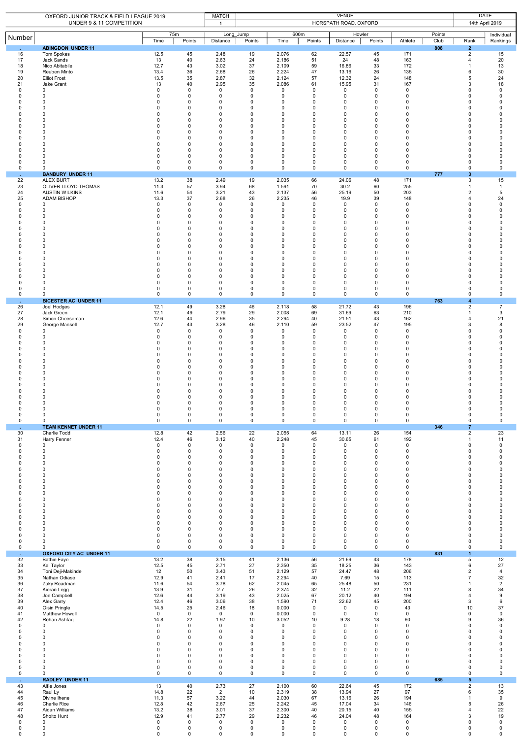|                                                                                                                                 | OXFORD JUNIOR TRACK & FIELD LEAGUE 2019<br>UNDER 9 & 11 COMPETITION                                                                                                                                                                                                                                       |                                                                                                                                                                                                                                                                            |                                                                                                                                                                                                                                                                    | <b>MATCH</b><br>$\mathbf{1}$                                                                                                                                                                                                                    |                                                                                                                                                                                              |                                                                                                                                                                                                                             |                                                                                                                                                                                                                                                       | <b>VENUE</b><br>HORSPATH ROAD, OXFORD                                                                                                                                                                 |                                                                                                                                                                                                                                                                    |                                                                                                                                                                          |                |                                                                                                                                                                                                                                                                    | <b>DATE</b><br>14th April 2019                                                                                                                                                                                                                         |
|---------------------------------------------------------------------------------------------------------------------------------|-----------------------------------------------------------------------------------------------------------------------------------------------------------------------------------------------------------------------------------------------------------------------------------------------------------|----------------------------------------------------------------------------------------------------------------------------------------------------------------------------------------------------------------------------------------------------------------------------|--------------------------------------------------------------------------------------------------------------------------------------------------------------------------------------------------------------------------------------------------------------------|-------------------------------------------------------------------------------------------------------------------------------------------------------------------------------------------------------------------------------------------------|----------------------------------------------------------------------------------------------------------------------------------------------------------------------------------------------|-----------------------------------------------------------------------------------------------------------------------------------------------------------------------------------------------------------------------------|-------------------------------------------------------------------------------------------------------------------------------------------------------------------------------------------------------------------------------------------------------|-------------------------------------------------------------------------------------------------------------------------------------------------------------------------------------------------------|--------------------------------------------------------------------------------------------------------------------------------------------------------------------------------------------------------------------------------------------------------------------|--------------------------------------------------------------------------------------------------------------------------------------------------------------------------|----------------|--------------------------------------------------------------------------------------------------------------------------------------------------------------------------------------------------------------------------------------------------------------------|--------------------------------------------------------------------------------------------------------------------------------------------------------------------------------------------------------------------------------------------------------|
| Number                                                                                                                          |                                                                                                                                                                                                                                                                                                           | Time                                                                                                                                                                                                                                                                       | 75m<br>Points                                                                                                                                                                                                                                                      | Long Jump<br>Distance                                                                                                                                                                                                                           | Points                                                                                                                                                                                       | 600m<br>Time                                                                                                                                                                                                                | Points                                                                                                                                                                                                                                                | Howler<br>Distance                                                                                                                                                                                    | Points                                                                                                                                                                                                                                                             | Athlete                                                                                                                                                                  | Points<br>Club | Rank                                                                                                                                                                                                                                                               | Individual<br>Rankings                                                                                                                                                                                                                                 |
| 16<br>17<br>18<br>19<br>20<br>21<br>0<br>0<br>0<br>0<br>0<br>0<br>0<br>0<br>0<br>0<br>0<br>0<br>0<br>0<br>$\sim$                | <b>ABINGDON UNDER 11</b><br>Tom Spokes<br>Jack Sands<br>Nico Abitabile<br>Reuben Minto<br><b>Elliot Frost</b><br>Jake Grant<br>0<br>0<br>0<br>0<br>0<br>0<br>0<br>0<br>0<br>0<br>0<br>0<br>0<br>0<br><b>BANBURY UNDER 11</b>                                                                              | 12.5<br>13<br>12.7<br>13.4<br>13.5<br>13<br>$\mathbf 0$<br>$\mathbf 0$<br>$\mathbf 0$<br>$\mathbf 0$<br>0<br>$\mathbf 0$<br>$\mathbf 0$<br>$\mathbf 0$<br>$\mathbf 0$<br>$\mathbf 0$<br>$\mathbf 0$<br>0<br>$\mathbf 0$<br>$\pmb{0}$                                       | 45<br>40<br>43<br>36<br>35<br>40<br>$\pmb{0}$<br>$\mathbf 0$<br>$\mathbf 0$<br>$\pmb{0}$<br>$\mathbf 0$<br>$\mathbf 0$<br>$\mathbf 0$<br>$\mathbf 0$<br>$\mathbf{0}$<br>$\mathbf 0$<br>$\mathbf 0$<br>$\mathbf 0$<br>$\mathbf 0$<br>$\mathsf 0$                    | 2.48<br>2.63<br>3.02<br>2.68<br>2.87<br>2.95<br>$\mathbf 0$<br>$\mathbf 0$<br>$\pmb{0}$<br>$\mathbf 0$<br>0<br>$\mathbf 0$<br>$\mathbf 0$<br>$\pmb{0}$<br>$\Omega$<br>0<br>$\mathbf 0$<br>0<br>$\mathbf 0$<br>$\mathbf 0$                       | 19<br>24<br>37<br>26<br>32<br>35<br>$\mathsf 0$<br>$\mathbf 0$<br>0<br>0<br>0<br>$\mathbf 0$<br>$\mathbf 0$<br>$\mathbf 0$<br>$\mathbf 0$<br>$\mathsf 0$<br>0<br>0<br>$\mathbf 0$<br>0       | 2.076<br>2.186<br>2.109<br>2.224<br>2.124<br>2.086<br>0<br>$\mathbf 0$<br>$\mathbf 0$<br>$\mathbf 0$<br>0<br>$\Omega$<br>$\mathbf 0$<br>0<br>$\mathbf 0$<br>$\mathbf 0$<br>$\mathbf 0$<br>0<br>$\mathbf 0$<br>0             | 62<br>51<br>59<br>47<br>57<br>61<br>$\mathbf 0$<br>$\Omega$<br>0<br>$\mathbf 0$<br>0<br>$\Omega$<br>$\Omega$<br>$\mathbf 0$<br>$\Omega$<br>$\Omega$<br>$\mathbf 0$<br>0<br>$\mathbf 0$<br>$\mathbf 0$                                                 | 22.57<br>24<br>16.86<br>13.16<br>12.32<br>15.95<br>0<br>0<br>0<br>0<br>$\Omega$<br>$\mathbf 0$<br>$\pmb{0}$<br>$\pmb{0}$<br>$\Omega$<br>0<br>$\Omega$<br>$\Omega$<br>$\mathbf 0$<br>0                 | 45<br>48<br>33<br>26<br>24<br>31<br>$\mathsf 0$<br>$\Omega$<br>$\mathbf 0$<br>$\mathbf 0$<br>0<br>$\Omega$<br>$\Omega$<br>$\mathsf 0$<br>$\Omega$<br>$\mathbf 0$<br>$\mathbf 0$<br>0<br>$\mathbf 0$<br>$\mathbf 0$                                                 | 171<br>163<br>172<br>135<br>148<br>167<br>$\mathbf 0$<br>$\mathbf 0$<br>0<br>0<br>0<br>$\mathbf 0$<br>0<br>0<br>$\mathbf 0$<br>0<br>0<br>0<br>0<br>0                     | 808<br>777     | $\overline{2}$<br>$\overline{c}$<br>4<br>$\mathbf{1}$<br>6<br>$\,$ 5 $\,$<br>3<br>$\mathsf 0$<br>$\mathbf 0$<br>$\mathsf 0$<br>0<br>0<br>$\mathbf 0$<br>0<br>0<br>$\mathbf 0$<br>$\mathsf 0$<br>0<br>0<br>$\mathbf 0$<br>$\mathsf 0$<br>$\mathbf{3}$               | 15<br>20<br>13<br>30<br>24<br>18<br>$\mathbf 0$<br>$\mathbf 0$<br>$\mathsf 0$<br>$\mathbf 0$<br>0<br>0<br>0<br>$\mathbf 0$<br>$\mathbf 0$<br>$\mathsf 0$<br>$\mathbf 0$<br>0<br>$\mathbf 0$<br>$\mathsf 0$                                             |
| 22<br>23<br>24<br>25<br>0<br>0<br>0<br>$\Omega$<br>0<br>0<br>0<br>0<br>0<br>0<br>0<br>0<br>0<br>0<br>0<br>0<br>$\sim$           | <b>ALEX BURT</b><br>OLIVER LLOYD-THOMAS<br><b>AUSTIN WILKINS</b><br><b>ADAM BISHOP</b><br>$\mathsf 0$<br>0<br>0<br>0<br>0<br>0<br>0<br>0<br>0<br>0<br>0<br>0<br>0<br>0<br>0<br>0<br><b>BICESTER AC UNDER 11</b>                                                                                           | 13.2<br>11.3<br>11.6<br>13.3<br>0<br>$\mathbf 0$<br>$\mathbf 0$<br>$\mathbf 0$<br>$\mathbf 0$<br>$\mathbf 0$<br>0<br>$\mathbf 0$<br>$\mathbf 0$<br>$\mathbf 0$<br>$\mathbf 0$<br>$\mathbf 0$<br>$\mathbf 0$<br>0<br>$\mathbf 0$<br>$\pmb{0}$                               | 38<br>57<br>54<br>37<br>$\mathbf 0$<br>$\mathbf 0$<br>$\pmb{0}$<br>$\mathbf 0$<br>$\mathbf 0$<br>$\pmb{0}$<br>0<br>$\mathbf 0$<br>$\mathbf 0$<br>$\pmb{0}$<br>$\mathbf{0}$<br>$\mathbf 0$<br>$\pmb{0}$<br>$\mathbf 0$<br>$\mathbf 0$<br>$\mathsf 0$                | 2.49<br>3.94<br>3.21<br>2.68<br>$\mathbf 0$<br>$\mathbf 0$<br>$\pmb{0}$<br>$\mathbf 0$<br>$\Omega$<br>$\Omega$<br>$\mathbf 0$<br>$\Omega$<br>$\mathbf 0$<br>$\pmb{0}$<br>$\Omega$<br>$\Omega$<br>$\mathbf 0$<br>0<br>$\mathbf 0$<br>$\mathbf 0$ | 19<br>68<br>43<br>26<br>$\mathbf 0$<br>$\mathbf 0$<br>$\mathbf 0$<br>$\mathbf 0$<br>0<br>0<br>0<br>0<br>$\mathbf 0$<br>0<br>$\mathbf 0$<br>$\mathbf 0$<br>0<br>0<br>$\mathbf 0$<br>0         | 2.035<br>1.591<br>2.137<br>2.235<br>0<br>$\mathbf 0$<br>0<br>$\Omega$<br>$\mathbf 0$<br>$\mathbf 0$<br>0<br>$\mathbf 0$<br>$\mathbf 0$<br>0<br>$\mathbf 0$<br>$\mathbf 0$<br>$\mathbf 0$<br>0<br>$\mathbf 0$<br>$\mathbf 0$ | 66<br>70<br>56<br>46<br>$\mathbf 0$<br>$\mathbf 0$<br>0<br>$\Omega$<br>0<br>$\mathbf 0$<br>0<br>$\Omega$<br>$\Omega$<br>$\mathbf 0$<br>$\Omega$<br>$\mathbf 0$<br>$\mathbf 0$<br>0<br>$\mathbf 0$<br>$\mathbf 0$                                      | 24.06<br>30.2<br>25.19<br>19.9<br>0<br>0<br>$\pmb{0}$<br>$\mathbf 0$<br>0<br>0<br>0<br>$\Omega$<br>$\pmb{0}$<br>$\pmb{0}$<br>$\Omega$<br>0<br>0<br>0<br>$\mathbf 0$<br>0                              | 48<br>60<br>50<br>39<br>$\mathsf 0$<br>0<br>$\mathsf 0$<br>$\Omega$<br>$\mathbf 0$<br>$\mathbf 0$<br>0<br>$\mathbf 0$<br>$\Omega$<br>$\mathbf 0$<br>$\Omega$<br>$\Omega$<br>$\mathbf 0$<br>0<br>$\mathbf 0$<br>$\mathbf 0$                                         | 171<br>255<br>203<br>148<br>$\mathsf 0$<br>0<br>0<br>$\mathbf 0$<br>0<br>0<br>0<br>0<br>0<br>0<br>$\Omega$<br>0<br>0<br>0<br>0<br>$\mathbf 0$                            | 763            | $\mathbf{3}$<br>$\mathbf{1}$<br>$\overline{c}$<br>4<br>$\mathsf 0$<br>0<br>$\mathsf 0$<br>$\mathbf 0$<br>0<br>0<br>0<br>$\mathsf 0$<br>0<br>$\mathsf 0$<br>$\mathbf 0$<br>$\mathsf 0$<br>0<br>0<br>$\mathbf 0$<br>$\mathsf 0$<br>$\boldsymbol{4}$                  | 15<br>$\mathbf{1}$<br>5<br>24<br>$\mathsf 0$<br>$\mathbf 0$<br>$\mathbf 0$<br>$\mathbf 0$<br>$\mathsf 0$<br>$\mathbf 0$<br>0<br>0<br>0<br>$\mathbf 0$<br>$\mathbf 0$<br>$\mathsf 0$<br>$\mathbf 0$<br>0<br>$\mathbf 0$<br>$\mathsf 0$                  |
| 26<br>27<br>28<br>29<br>0<br>0<br>0<br>$\Omega$<br>0<br>0<br>0<br>0<br>0<br>0<br>0<br>0<br>$\Omega$<br>0<br>0<br>0              | Joel Hodges<br>Jack Green<br>Simon Cheeseman<br>George Mansell<br>0<br>0<br>0<br>0<br>0<br>0<br>0<br>0<br>0<br>0<br>0<br>0<br>0<br>0<br>$\mathsf 0$<br>$\mathbf 0$                                                                                                                                        | 12.1<br>12.1<br>12.6<br>12.7<br>$\mathsf 0$<br>$\mathbf 0$<br>$\mathbf 0$<br>$\mathbf 0$<br>$\mathbf 0$<br>$\mathbf 0$<br>0<br>$\mathbf 0$<br>0<br>0<br>0<br>$\mathbf 0$<br>$\Omega$<br>0<br>$\pmb{0}$<br>$\pmb{0}$                                                        | 49<br>49<br>44<br>43<br>$\mathbf 0$<br>$\mathbf 0$<br>$\pmb{0}$<br>$\mathbf 0$<br>$\mathbf 0$<br>$\pmb{0}$<br>0<br>$\mathbf 0$<br>$\mathbf 0$<br>$\mathbf 0$<br>$\mathbf 0$<br>0<br>$\mathbf 0$<br>0<br>$\mathsf 0$<br>$\mathsf 0$                                 | 3.28<br>2.79<br>2.96<br>3.28<br>$\mathbf 0$<br>$\mathbf 0$<br>$\pmb{0}$<br>$\mathbf 0$<br>0<br>$\mathbf 0$<br>0<br>$\Omega$<br>$\mathbf 0$<br>$\pmb{0}$<br>$\Omega$<br>0<br>$\Omega$<br>0<br>$\mathbf 0$<br>$\mathbf 0$                         | 46<br>29<br>35<br>46<br>$\mathsf 0$<br>$\mathbf 0$<br>$\mathbf 0$<br>$\mathbf 0$<br>0<br>0<br>0<br>0<br>$\mathbf 0$<br>0<br>$\mathbf 0$<br>$\mathbf 0$<br>$\Omega$<br>0<br>$\mathbf 0$<br>0  | 2.118<br>2.008<br>2.294<br>2.110<br>0<br>$\mathbf 0$<br>$\mathsf 0$<br>$\Omega$<br>0<br>$\mathbf 0$<br>0<br>$\mathbf 0$<br>$\mathbf 0$<br>0<br>0<br>$\mathbf 0$<br>$\Omega$<br>0<br>$\mathbf 0$<br>0                        | 58<br>69<br>40<br>59<br>$\mathbf 0$<br>$\mathbf 0$<br>0<br>$\Omega$<br>0<br>$\mathbf 0$<br>0<br>$\Omega$<br>0<br>$\mathbf 0$<br>$\Omega$<br>$\mathbf 0$<br>$\Omega$<br>0<br>$\mathbf 0$<br>$\mathbf 0$                                                | 21.72<br>31.69<br>21.51<br>23.52<br>0<br>0<br>$\pmb{0}$<br>$\mathbf 0$<br>0<br>$\Omega$<br>0<br>0<br>$\pmb{0}$<br>$\pmb{0}$<br>$\Omega$<br>0<br>$\Omega$<br>0<br>0<br>0                               | 43<br>63<br>43<br>47<br>$\mathsf 0$<br>$\mathbf 0$<br>$\mathsf 0$<br>$\Omega$<br>0<br>$\mathbf 0$<br>0<br>$\mathbf{0}$<br>$\Omega$<br>$\mathbf 0$<br>$\Omega$<br>$\mathbf 0$<br>$\Omega$<br>0<br>$\mathsf 0$<br>$\mathsf 0$                                        | 196<br>210<br>162<br>195<br>$\mathsf 0$<br>0<br>0<br>0<br>0<br>0<br>0<br>0<br>0<br>0<br>$\Omega$<br>0<br>0<br>0<br>$\mathsf 0$<br>$\mathbf 0$                            |                | $\overline{c}$<br>$\mathbf{1}$<br>4<br>3<br>$\mathsf 0$<br>0<br>$\mathsf 0$<br>$\mathbf 0$<br>0<br>0<br>0<br>$\mathsf 0$<br>$\mathbf 0$<br>0<br>0<br>$\mathsf 0$<br>$\Omega$<br>0<br>$\mathsf 0$<br>$\mathsf 0$                                                    | $\overline{7}$<br>3<br>21<br>8<br>$\mathsf 0$<br>$\mathbf 0$<br>$\mathbf 0$<br>$\mathbf 0$<br>$\mathbf 0$<br>$\mathbf 0$<br>$\mathbf 0$<br>0<br>0<br>$\mathbf 0$<br>$\Omega$<br>$\mathbf 0$<br>$\Omega$<br>0<br>$\mathsf 0$<br>$\mathsf 0$             |
| $\sim$<br>30<br>31<br>0<br>0<br>0<br>0<br>0<br>0<br>0<br>0<br>0<br>0<br>0<br>0<br>0<br>0<br>0<br>0<br>0<br>0                    | <b>TEAM KENNET UNDER 11</b><br>Charlie Todd<br>Harry Fenner<br>0<br>0<br>$\mathsf 0$<br>0<br>0<br>0<br>0<br>0<br>0<br>0<br>0<br>0<br>0<br>0<br>0<br>0<br>$\mathsf 0$<br>$\mathbf 0$                                                                                                                       | 12.8<br>12.4<br>$\pmb{0}$<br>$\mathbf 0$<br>$\pmb{0}$<br>$\mathbf 0$<br>$\mathbf 0$<br>$\mathbf 0$<br>$\mathbf 0$<br>$\mathbf 0$<br>$\mathbf 0$<br>$\mathbf 0$<br>$\mathbf 0$<br>$\mathbf 0$<br>$\mathbf 0$<br>$\mathbf 0$<br>$\mathbf 0$<br>0<br>$\pmb{0}$<br>$\mathbf 0$ | 42<br>46<br>$\pmb{0}$<br>$\mathbf 0$<br>$\mathbf 0$<br>$\pmb{0}$<br>$\mathbf 0$<br>$\mathbf 0$<br>$\mathbf 0$<br>$\pmb{0}$<br>$\mathbf 0$<br>$\mathbf 0$<br>$\mathbf 0$<br>$\pmb{0}$<br>$\mathbf 0$<br>$\mathbf 0$<br>$\pmb{0}$<br>0<br>$\mathsf 0$<br>$\mathsf 0$ | 2.56<br>3.12<br>$\mathsf 0$<br>$^{\circ}$<br>0<br>$\mathbf 0$<br>0<br>$\mathbf 0$<br>0<br>$\mathbf 0$<br>0<br>0<br>$\mathbf 0$<br>$\pmb{0}$<br>$\mathbf 0$<br>0<br>$\mathbf 0$<br>0<br>$\mathbf 0$<br>$\mathbf 0$                               | 22<br>40<br>$\mathsf 0$<br>$\mathbf 0$<br>0<br>0<br>$\mathbf 0$<br>$\mathbf 0$<br>0<br>0<br>$\mathbf 0$<br>0<br>$\mathbf 0$<br>$\mathbf 0$<br>$\mathbf 0$<br>0<br>0<br>0<br>$\mathsf 0$<br>0 | 2.055<br>2.248<br>0<br>$\mathbf 0$<br>0<br>$\mathbf 0$<br>0<br>$\Omega$<br>$\mathbf 0$<br>$\mathbf 0$<br>$\mathbf 0$<br>$\pmb{0}$<br>$\mathbf 0$<br>0<br>$\Omega$<br>$\mathbf 0$<br>$\mathbf 0$<br>0<br>$\pmb{0}$<br>0      | 64<br>45<br>$\mathbf 0$<br>$\mathbf 0$<br>$\mathbf 0$<br>$\mathbf 0$<br>$\mathbf 0$<br>$\mathbf 0$<br>0<br>$\mathbf 0$<br>$\mathbf 0$<br>$\mathbf 0$<br>$\mathbf 0$<br>$\mathbf 0$<br>$\Omega$<br>0<br>$\mathbf 0$<br>0<br>$\mathsf 0$<br>$\mathbf 0$ | 13.11<br>30.65<br>0<br>$\mathbf 0$<br>$\pmb{0}$<br>$\pmb{0}$<br>$\pmb{0}$<br>$\mathbf 0$<br>0<br>0<br>$\Omega$<br>$\pmb{0}$<br>$\pmb{0}$<br>$\pmb{0}$<br>$\mathbf 0$<br>0<br>0<br>0<br>$\pmb{0}$<br>0 | 26<br>61<br>$\mathsf 0$<br>$\mathbf 0$<br>$\mathsf 0$<br>$\mathbf 0$<br>$\mathbf 0$<br>$\mathbf 0$<br>0<br>$\mathbf 0$<br>$\mathbf 0$<br>$\mathbf 0$<br>$\mathbf 0$<br>$\mathbf 0$<br>$\mathbf 0$<br>$\mathbf 0$<br>$\mathbf 0$<br>0<br>$\mathsf 0$<br>$\mathbf 0$ | 154<br>192<br>$\mathsf 0$<br>0<br>$\mathsf 0$<br>0<br>0<br>$\mathsf 0$<br>0<br>0<br>$\mathbf 0$<br>0<br>0<br>0<br>$\pmb{0}$<br>0<br>0<br>0<br>$\mathsf 0$<br>$\mathbf 0$ | 346            | $\overline{7}$<br>$\overline{c}$<br>$\mathbf{1}$<br>$\mathsf 0$<br>$\mathbf 0$<br>$\mathsf 0$<br>0<br>$\mathsf 0$<br>$\mathsf 0$<br>$\mathsf 0$<br>0<br>$\mathbf 0$<br>$\mathsf 0$<br>0<br>$\mathsf 0$<br>$\mathsf 0$<br>$\mathsf 0$<br>0<br>0<br>$\mathsf 0$<br>0 | 23<br>11<br>$\mathsf 0$<br>$\mathbf 0$<br>$\mathsf 0$<br>0<br>$\mathsf 0$<br>$\mathsf 0$<br>$\mathsf 0$<br>0<br>$\mathbf 0$<br>$\mathsf 0$<br>0<br>$\pmb{0}$<br>$\mathsf 0$<br>$\mathsf 0$<br>$\mathbf 0$<br>$\mathbf 0$<br>$\mathsf 0$<br>$\mathbf 0$ |
| $\sim$<br>32<br>33<br>34<br>35<br>36<br>37<br>38<br>39<br>40<br>41<br>42<br>0<br>0<br>0<br>0<br>0<br>0<br>0<br>0<br>0<br>$\sim$ | <b>OXFORD CITY AC UNDER 11</b><br><b>Bathie Faye</b><br>Kai Taylor<br>Toni Deji-Makinde<br>Nathan Odiase<br>Zaky Readman<br>Kieran Legg<br>Joe Campbell<br>Alex Garry<br>Oisin Pringle<br>Matthew Howell<br>Rehan Ashfaq<br>0<br>0<br>0<br>0<br>0<br>0<br>0<br>$\mathsf 0$<br>0<br><b>RADLEY UNDER 11</b> | 13.2<br>12.5<br>12<br>12.9<br>11.6<br>13.9<br>12.6<br>12.4<br>14.5<br>$\mathbf 0$<br>14.8<br>0<br>$\mathbf 0$<br>$\mathbf 0$<br>$\mathbf 0$<br>$\mathbf 0$<br>$\mathbf 0$<br>0<br>$\pmb{0}$<br>$\pmb{0}$                                                                   | 38<br>45<br>50<br>41<br>54<br>31<br>44<br>46<br>25<br>$\pmb{0}$<br>22<br>$\mathsf 0$<br>$\mathbf 0$<br>$\pmb{0}$<br>$\mathbf 0$<br>$\mathbf 0$<br>$\pmb{0}$<br>$\mathbf 0$<br>$\mathsf 0$<br>$\mathbf 0$                                                           | 3.15<br>2.71<br>3.43<br>2.41<br>3.78<br>2.7<br>3.19<br>3.06<br>2.46<br>$\mathbf 0$<br>1.97<br>$\mathbf 0$<br>$\mathbf 0$<br>0<br>$\mathbf 0$<br>0<br>$\mathbf 0$<br>0<br>$\mathbf 0$<br>$\mathbf 0$                                             | 41<br>27<br>51<br>17<br>62<br>26<br>43<br>38<br>18<br>0<br>10<br>$\mathsf 0$<br>$\mathbf 0$<br>$\mathbf 0$<br>$\mathbf 0$<br>0<br>0<br>0<br>$\mathsf 0$<br>0                                 | 2.136<br>2.350<br>2.129<br>2.294<br>2.045<br>2.374<br>2.025<br>1.590<br>0.000<br>0.000<br>3.052<br>0<br>$\mathbf 0$<br>0<br>$\Omega$<br>0<br>$\mathbf 0$<br>0<br>$\pmb{0}$<br>0                                             | 56<br>35<br>57<br>40<br>65<br>32<br>67<br>71<br>$\mathbf 0$<br>$\mathbf 0$<br>10<br>$\mathbf 0$<br>$\mathbf 0$<br>$\mathbf 0$<br>$\mathbf 0$<br>0<br>$\mathbf 0$<br>0<br>$\mathsf 0$<br>$\mathbf 0$                                                   | 21.69<br>18.25<br>24.47<br>7.69<br>25.48<br>11.2<br>20.12<br>22.62<br>$\mathbf 0$<br>$\mathsf{O}$<br>9.28<br>0<br>0<br>0<br>$\mathbf 0$<br>0<br>0<br>0<br>$\pmb{0}$<br>0                              | 43<br>36<br>48<br>15<br>50<br>22<br>40<br>45<br>$\mathbf 0$<br>$\mathbf 0$<br>18<br>$\mathsf 0$<br>$\mathbf 0$<br>$\mathsf 0$<br>$\mathbf 0$<br>$\mathbf 0$<br>$\mathbf 0$<br>0<br>$\mathsf 0$<br>$\mathbf 0$                                                      | 178<br>143<br>206<br>113<br>231<br>111<br>194<br>200<br>43<br>$\mathbf 0$<br>60<br>$\mathsf 0$<br>0<br>0<br>$\pmb{0}$<br>0<br>0<br>0<br>$\mathsf 0$<br>$\mathbf 0$       | 831<br>685     | $\overline{1}$<br>$\,$ 5 $\,$<br>6<br>$\sqrt{2}$<br>$\overline{7}$<br>$\mathbf{1}$<br>8<br>4<br>3<br>10<br>0<br>9<br>$\mathsf 0$<br>0<br>$\mathsf 0$<br>$\mathsf 0$<br>0<br>0<br>0<br>$\mathsf 0$<br>0<br>5                                                        | 12<br>27<br>$\overline{4}$<br>32<br>$\overline{c}$<br>34<br>9<br>6<br>37<br>$\pmb{0}$<br>36<br>$\mathsf 0$<br>$\mathbf 0$<br>$\pmb{0}$<br>$\mathsf 0$<br>$\mathsf 0$<br>$\mathbf 0$<br>$\mathbf 0$<br>$\mathsf 0$<br>$\mathsf 0$                       |
| 43<br>44<br>45<br>46<br>47<br>48<br>0<br>0<br>0                                                                                 | Alfie Jones<br>Raul Ly<br>Divine Ihene<br><b>Charlie Rice</b><br>Aidan Williams<br>Sholto Hunt<br>0<br>0<br>$\mathsf 0$                                                                                                                                                                                   | 13<br>14.8<br>11.3<br>12.8<br>13.2<br>12.9<br>$\mathbf 0$<br>$\pmb{0}$<br>$\pmb{0}$                                                                                                                                                                                        | 40<br>22<br>57<br>42<br>38<br>41<br>$\mathbf 0$<br>$\pmb{0}$<br>$\pmb{0}$                                                                                                                                                                                          | 2.73<br>$\overline{2}$<br>3.22<br>2.67<br>3.01<br>2.77<br>$\mathbf 0$<br>$\mathbf 0$<br>$\mathsf 0$                                                                                                                                             | 27<br>10<br>44<br>25<br>37<br>29<br>$\mathbf 0$<br>0<br>0                                                                                                                                    | 2.100<br>2.319<br>2.030<br>2.242<br>2.300<br>2.232<br>0<br>0<br>$\mathsf 0$                                                                                                                                                 | 60<br>38<br>67<br>45<br>40<br>46<br>0<br>$\mathbf 0$<br>$\mathbf 0$                                                                                                                                                                                   | 22.64<br>13.94<br>13.16<br>17.04<br>20.15<br>24.04<br>0<br>0<br>$\mathsf 0$                                                                                                                           | 45<br>27<br>26<br>34<br>40<br>48<br>0<br>$\mathbf 0$<br>$\mathbf 0$                                                                                                                                                                                                | 172<br>97<br>194<br>146<br>155<br>164<br>0<br>0<br>$\mathsf 0$                                                                                                           |                | $\overline{c}$<br>6<br>1<br>5<br>$\overline{4}$<br>3<br>0<br>$\mathsf 0$<br>$\mathsf 0$                                                                                                                                                                            | 13<br>35<br>9<br>26<br>22<br>19<br>$\mathbf 0$<br>$\mathsf 0$<br>$\mathsf 0$                                                                                                                                                                           |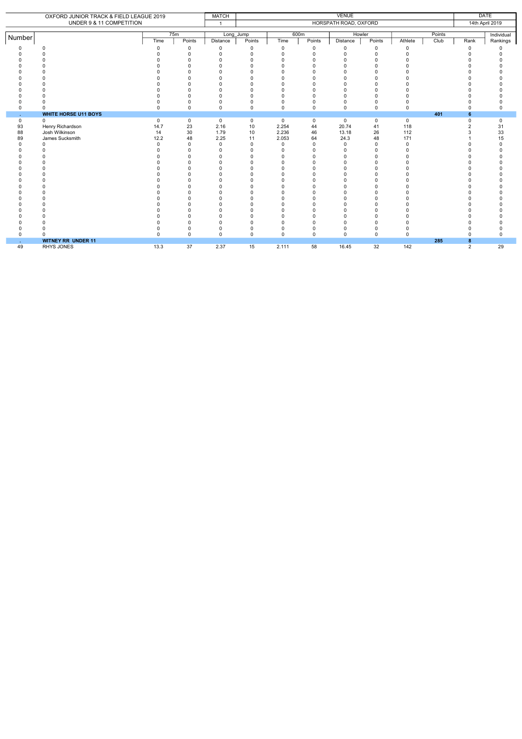|              | OXFORD JUNIOR TRACK & FIELD LEAGUE 2019 |              |             | <b>MATCH</b>   | <b>VENUE</b> |             |             |                       |             |             |        |          | <b>DATE</b>     |  |
|--------------|-----------------------------------------|--------------|-------------|----------------|--------------|-------------|-------------|-----------------------|-------------|-------------|--------|----------|-----------------|--|
|              | UNDER 9 & 11 COMPETITION                |              |             | $\overline{1}$ |              |             |             | HORSPATH ROAD, OXFORD |             |             |        |          | 14th April 2019 |  |
|              |                                         |              | 75m         |                | Long Jump    |             | 600m        | Howler                |             |             | Points |          | Individual      |  |
| Number       |                                         | Time         | Points      | Distance       | Points       | Time        | Points      | Distance              | Points      | Athlete     | Club   | Rank     | Rankings        |  |
|              | 0                                       | $\Omega$     | $\Omega$    | $\Omega$       | $\mathbf 0$  | $\mathbf 0$ | $\mathbf 0$ | $\Omega$              | $\mathbf 0$ | 0           |        |          |                 |  |
|              |                                         |              |             |                | $\Omega$     | $\Omega$    | $\Omega$    | O                     | $\Omega$    |             |        |          |                 |  |
|              |                                         |              |             |                | $\Omega$     | $\Omega$    |             |                       | $\Omega$    |             |        |          |                 |  |
|              |                                         |              |             |                | $\Omega$     | C           |             |                       | $\Omega$    |             |        |          |                 |  |
|              |                                         |              |             |                |              |             |             |                       | $\Omega$    |             |        |          |                 |  |
|              |                                         |              |             |                |              |             |             |                       |             |             |        |          |                 |  |
|              |                                         |              |             |                |              | $\Omega$    |             |                       | $\Omega$    |             |        |          |                 |  |
|              |                                         |              |             |                |              |             |             |                       | $\Omega$    |             |        |          |                 |  |
|              |                                         |              |             |                |              | $\Omega$    |             |                       | $\Omega$    |             |        |          |                 |  |
|              |                                         |              |             |                | $\Omega$     | $\mathbf 0$ |             |                       | $\Omega$    | O           |        |          |                 |  |
|              |                                         | $\Omega$     | $\Omega$    | $\Omega$       | $\Omega$     | $\mathbf 0$ | $\Omega$    | $\Omega$              | $\Omega$    | $\mathbf 0$ |        |          |                 |  |
| $\sim$       | <b>WHITE HORSE U11 BOYS</b>             |              |             |                |              |             |             |                       |             |             | 401    | 6        |                 |  |
| 0            | $\mathbf 0$                             | $\mathbf{0}$ | $\mathbf 0$ | $\mathbf 0$    | $\mathbf 0$  | $\mathsf 0$ | $\mathbf 0$ | 0                     | $\mathbf 0$ | $\mathbf 0$ |        | $\Omega$ | $\Omega$        |  |
| 93           | Henry Richardson                        | 14.7         | 23          | 2.16           | 10           | 2.254       | 44          | 20.74                 | 41          | 118         |        |          | 31              |  |
| 88           | Josh Wilkinson                          | 14           | 30          | 1.79           | 10           | 2.236       | 46          | 13.18                 | 26          | 112         |        |          | 33              |  |
| 89           | James Sucksmith                         | 12.2         | 48          | 2.25           | 11           | 2.053       | 64          | 24.3                  | 48          | 171         |        |          | 15              |  |
|              | U                                       | $\Omega$     | $\Omega$    | $\Omega$       | $\Omega$     | $\mathbf 0$ | $\Omega$    | $\Omega$              | $\Omega$    | $\Omega$    |        |          |                 |  |
|              |                                         |              |             | $\Omega$       | $\Omega$     | $\Omega$    | n           | O                     | $\Omega$    |             |        |          |                 |  |
|              |                                         |              |             |                | $\Omega$     | $\Omega$    |             |                       | $\Omega$    |             |        |          |                 |  |
|              |                                         |              |             |                |              | $\Omega$    |             |                       | $\Omega$    |             |        |          |                 |  |
|              |                                         |              |             |                |              | $\Omega$    |             |                       | $\Omega$    |             |        |          |                 |  |
|              |                                         |              |             |                |              |             |             |                       |             |             |        |          |                 |  |
|              |                                         |              |             |                |              |             |             |                       |             |             |        |          |                 |  |
|              |                                         |              |             |                |              |             |             |                       | $\Omega$    |             |        |          |                 |  |
|              |                                         |              |             |                |              |             |             |                       | O           |             |        |          |                 |  |
|              |                                         |              |             |                |              |             |             |                       | $\Omega$    |             |        |          |                 |  |
|              |                                         |              |             |                |              |             |             |                       | $\Omega$    |             |        |          |                 |  |
|              |                                         |              |             |                | $\Omega$     | $\Omega$    | n           |                       | $\Omega$    |             |        |          |                 |  |
|              |                                         |              |             |                | n            | $\Omega$    |             |                       | $\Omega$    |             |        |          |                 |  |
|              |                                         |              |             |                | $\Omega$     | $\Omega$    | n           |                       | $\Omega$    | n           |        |          |                 |  |
|              |                                         |              |             |                | $\Omega$     | $\Omega$    |             |                       | $\Omega$    | n           |        |          |                 |  |
|              |                                         | $\Omega$     | $\Omega$    | $\Omega$       | $\Omega$     | $\mathbf 0$ | $\Omega$    | $\Omega$              | $\Omega$    | $\mathbf 0$ |        |          |                 |  |
| $\mathbf{r}$ | <b>WITNEY RR UNDER 11</b>               |              |             |                |              |             |             |                       |             |             | 285    | 8        |                 |  |
| 49           | <b>RHYS JONES</b>                       | 13.3         | 37          | 2.37           | 15           | 2.111       | 58          | 16.45                 | 32          | 142         |        | 2        | 29              |  |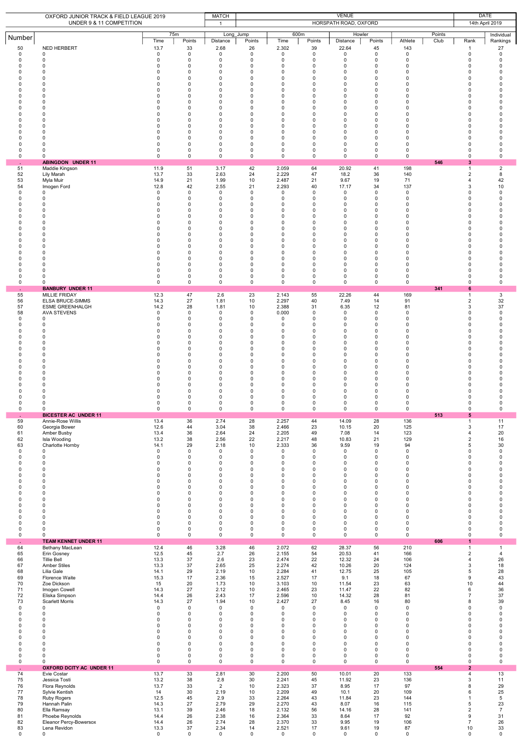|                                                                                                                                          | OXFORD JUNIOR TRACK & FIELD LEAGUE 2019<br>UNDER 9 & 11 COMPETITION                                                                                                                                                                                                                                                          |                                                                                                                                                                                                                                |                                                                                                                                                                                                                                                                       | <b>MATCH</b><br>$\overline{1}$                                                                                                                                                                                                                                               |                                                                                                                                                                                                                                         |                                                                                                                                                                                                                              |                                                                                                                                                                                                     | <b>VENUE</b><br>HORSPATH ROAD, OXFORD                                                                                                                                                                                                          |                                                                                                                                                                                                                                                            |                                                                                                                                                                                                               |                |                                                                                                                                                                                                                                                                            | DATE<br>14th April 2019                                                                                                                                                                                                                                   |
|------------------------------------------------------------------------------------------------------------------------------------------|------------------------------------------------------------------------------------------------------------------------------------------------------------------------------------------------------------------------------------------------------------------------------------------------------------------------------|--------------------------------------------------------------------------------------------------------------------------------------------------------------------------------------------------------------------------------|-----------------------------------------------------------------------------------------------------------------------------------------------------------------------------------------------------------------------------------------------------------------------|------------------------------------------------------------------------------------------------------------------------------------------------------------------------------------------------------------------------------------------------------------------------------|-----------------------------------------------------------------------------------------------------------------------------------------------------------------------------------------------------------------------------------------|------------------------------------------------------------------------------------------------------------------------------------------------------------------------------------------------------------------------------|-----------------------------------------------------------------------------------------------------------------------------------------------------------------------------------------------------|------------------------------------------------------------------------------------------------------------------------------------------------------------------------------------------------------------------------------------------------|------------------------------------------------------------------------------------------------------------------------------------------------------------------------------------------------------------------------------------------------------------|---------------------------------------------------------------------------------------------------------------------------------------------------------------------------------------------------------------|----------------|----------------------------------------------------------------------------------------------------------------------------------------------------------------------------------------------------------------------------------------------------------------------------|-----------------------------------------------------------------------------------------------------------------------------------------------------------------------------------------------------------------------------------------------------------|
| Number                                                                                                                                   |                                                                                                                                                                                                                                                                                                                              | 75m<br>Time                                                                                                                                                                                                                    | Points                                                                                                                                                                                                                                                                | Long Jump<br>Distance                                                                                                                                                                                                                                                        | Points                                                                                                                                                                                                                                  | 600m<br>Time                                                                                                                                                                                                                 | Points                                                                                                                                                                                              | Howler<br>Distance                                                                                                                                                                                                                             | Points                                                                                                                                                                                                                                                     | Athlete                                                                                                                                                                                                       | Points<br>Club | Rank                                                                                                                                                                                                                                                                       | Individual<br>Rankings                                                                                                                                                                                                                                    |
| 50<br>0<br>0<br>0<br>0<br>0<br>0<br>0                                                                                                    | <b>NED HERBERT</b><br>0<br>$\mathbf 0$<br>0<br>$\mathbf 0$<br>$\Omega$<br>$\mathbf 0$<br>$\mathbf 0$                                                                                                                                                                                                                         | 13.7<br>0<br>$\mathbf 0$<br>0<br>$\mathbf 0$<br>$\mathbf 0$<br>$\mathbf 0$<br>0                                                                                                                                                | 33<br>$\mathsf 0$<br>$\mathbf 0$<br>$\mathbf 0$<br>$\mathbf 0$<br>$\mathbf 0$<br>$\mathbf 0$<br>$\mathbf 0$                                                                                                                                                           | 2.68<br>$\mathbf 0$<br>$\mathbf 0$<br>$\mathbf 0$<br>$\mathbf 0$<br>$\Omega$<br>$\mathbf 0$<br>$\mathbf 0$                                                                                                                                                                   | 26<br>$\mathbf 0$<br>$\mathbf 0$<br>0<br>0<br>$\Omega$<br>0<br>$\mathbf 0$                                                                                                                                                              | 2.302<br>$\mathbf 0$<br>$\mathbf 0$<br>0<br>$\mathbf 0$<br>$\mathbf 0$<br>0<br>$\mathbf 0$                                                                                                                                   | 39<br>0<br>$\mathbf 0$<br>0<br>$\Omega$<br>$\mathbf 0$<br>$\mathbf 0$<br>$\Omega$                                                                                                                   | 22.64<br>0<br>$\mathbf 0$<br>0<br>$\mathbf 0$<br>0<br>$\mathbf 0$<br>$\mathbf 0$                                                                                                                                                               | 45<br>$\mathsf 0$<br>$\mathbf 0$<br>$\mathbf 0$<br>$\mathbf 0$<br>$\mathbf 0$<br>$\mathbf 0$<br>$\mathbf 0$                                                                                                                                                | 143<br>0<br>0<br>0<br>$\mathbf 0$<br>0<br>0<br>0                                                                                                                                                              |                | $\mathbf{1}$<br>$\mathsf 0$<br>$\mathbf 0$<br>0<br>0<br>$\mathbf 0$<br>0<br>0                                                                                                                                                                                              | 27<br>$\mathsf 0$<br>$\mathbf 0$<br>$\mathsf 0$<br>$\mathbf 0$<br>0<br>0<br>0                                                                                                                                                                             |
| 0<br>$\Omega$<br>0<br>0<br>0<br>$\Omega$<br>0<br>0<br>0<br>$\mathbf 0$<br>0                                                              | $\mathbf 0$<br>$\Omega$<br>$\mathbf 0$<br>$\mathbf 0$<br>0<br>$\mathbf 0$<br>$\mathbf 0$<br>$\mathbf 0$<br>$\Omega$<br>0<br>0<br><b>ABINGDON UNDER 11</b>                                                                                                                                                                    | $\Omega$<br>$\Omega$<br>0<br>$\mathbf 0$<br>$\Omega$<br>$\Omega$<br>0<br>$\mathbf 0$<br>$\mathbf 0$<br>$\mathsf 0$<br>$\mathbf 0$                                                                                              | $\mathbf 0$<br>$\mathbf 0$<br>$\mathbf 0$<br>$\mathbf 0$<br>$\mathbf 0$<br>$\mathbf 0$<br>$\mathbf 0$<br>$\mathbf 0$<br>$\mathbf 0$<br>$\mathbf 0$<br>$\mathbf 0$                                                                                                     | $\mathbf 0$<br>$\mathbf 0$<br>$\mathbf 0$<br>$\mathbf 0$<br>$^{\circ}$<br>$\mathbf 0$<br>$\mathbf 0$<br>$\mathbf 0$<br>$\mathbf 0$<br>$\mathbf 0$<br>$\mathbf 0$                                                                                                             | 0<br>$\mathbf 0$<br>0<br>0<br>$\Omega$<br>$\Omega$<br>$\Omega$<br>0<br>$\mathbf 0$<br>0<br>$\mathbf 0$                                                                                                                                  | 0<br>$\mathbf 0$<br>0<br>$\mathbf 0$<br>0<br>$\mathbf 0$<br>$\mathbf 0$<br>0<br>$\mathbf 0$<br>0<br>$\mathbf 0$                                                                                                              | 0<br>$\mathbf 0$<br>$\Omega$<br>$\Omega$<br>0<br>$\Omega$<br>$\Omega$<br>0<br>$\Omega$<br>$\mathbf 0$<br>0                                                                                          | $\pmb{0}$<br>$\mathbf 0$<br>0<br>$\mathbf 0$<br>0<br>$\mathbf 0$<br>0<br>$\pmb{0}$<br>$\mathbf 0$<br>$\mathbf 0$<br>$\mathbf 0$                                                                                                                | $\mathbf 0$<br>$\mathbf 0$<br>$\mathbf 0$<br>$\mathbf 0$<br>$\mathbf 0$<br>$\mathbf 0$<br>$\mathbf 0$<br>$\mathbf 0$<br>$\mathbf 0$<br>$\mathbf 0$<br>$\mathsf 0$                                                                                          | 0<br>$\Omega$<br>0<br>$\mathbf 0$<br>0<br>$\mathsf 0$<br>0<br>0<br>0<br>0<br>0                                                                                                                                | 546            | 0<br>$\mathbf 0$<br>0<br>0<br>0<br>$\mathsf 0$<br>0<br>0<br>$\mathbf 0$<br>0<br>0<br>$\overline{\mathbf{3}}$                                                                                                                                                               | $\mathbf 0$<br>$\mathbf 0$<br>$\mathbf 0$<br>$\mathbf 0$<br>0<br>0<br>0<br>$\mathbf 0$<br>0<br>$\mathsf 0$<br>$\mathbf 0$                                                                                                                                 |
| ä,<br>51<br>52<br>53<br>54<br>$\mathbf 0$<br>0<br>0<br>0<br>0<br>0<br>$\Omega$<br>0<br>$\Omega$<br>0<br>0<br>0<br>0<br>0<br>0<br>0<br>ä, | Maddie Kingson<br>Lily Marah<br>Myla Muir<br>Imogen Ford<br>$\mathbf 0$<br>$\mathsf 0$<br>$\Omega$<br>$\mathsf 0$<br>0<br>$\mathbf 0$<br>$\Omega$<br>$\mathbf 0$<br>$\mathbf 0$<br>$\Omega$<br>$\mathbf 0$<br>$\mathbf 0$<br>$\mathbf 0$<br>$\Omega$<br>0<br>$\mathbf 0$<br><b>BANBURY UNDER 11</b>                          | 11.9<br>13.7<br>14.9<br>12.8<br>0<br>0<br>0<br>$\mathbf 0$<br>$\mathbf 0$<br>0<br>$\Omega$<br>0<br>$\mathbf 0$<br>$\mathbf 0$<br>$\mathbf 0$<br>0<br>0<br>$\mathbf 0$<br>0<br>$\mathbf 0$                                      | 51<br>33<br>21<br>42<br>$\mathbf 0$<br>$\mathbf 0$<br>$\mathbf 0$<br>$\mathbf 0$<br>$\mathbf 0$<br>$\mathbf 0$<br>$\mathbf 0$<br>$\mathbf 0$<br>$\mathbf 0$<br>$\mathbf{0}$<br>$\mathbf 0$<br>$\mathbf 0$<br>$\mathbf 0$<br>$\mathbf 0$<br>$\mathbf 0$<br>$\mathbf 0$ | 3.17<br>2.63<br>1.99<br>2.55<br>0<br>$\mathbf 0$<br>$\mathbf 0$<br>$\mathbf 0$<br>$\mathbf 0$<br>$\mathbf 0$<br>$\mathbf 0$<br>$\mathbf 0$<br>$\mathbf 0$<br>$\Omega$<br>$\mathbf 0$<br>$\mathbf 0$<br>$\mathbf 0$<br>$\mathbf 0$<br>$\mathbf 0$<br>$\mathbf 0$              | 42<br>24<br>10<br>21<br>$^{\circ}$<br>0<br>$\Omega$<br>0<br>$\mathbf 0$<br>0<br>$\mathbf 0$<br>0<br>0<br>$\Omega$<br>0<br>$\mathbf 0$<br>0<br>$\mathbf 0$<br>0<br>$\mathbf 0$                                                           | 2.059<br>2.229<br>2.487<br>2.293<br>$^{\circ}$<br>0<br>0<br>$\mathbf 0$<br>$\mathbf 0$<br>0<br>$\mathbf 0$<br>0<br>$\mathbf 0$<br>$\mathbf 0$<br>$\mathbf 0$<br>$\mathbf 0$<br>0<br>$\mathbf 0$<br>0<br>$\mathbf 0$          | 64<br>47<br>21<br>40<br>0<br>0<br>$\Omega$<br>$\Omega$<br>$\Omega$<br>0<br>$\mathbf 0$<br>0<br>$\Omega$<br>$\Omega$<br>$\Omega$<br>$\Omega$<br>0<br>$\mathbf 0$<br>0<br>0                           | 20.92<br>18.2<br>9.67<br>17.17<br>0<br>$\pmb{0}$<br>0<br>$\mathbf 0$<br>$\mathbf 0$<br>$\pmb{0}$<br>$\mathbf 0$<br>0<br>$\mathbf 0$<br>0<br>$\mathbf 0$<br>$\mathbf 0$<br>$\pmb{0}$<br>$\Omega$<br>0<br>$\mathbf 0$                            | 41<br>36<br>19<br>34<br>$\mathsf 0$<br>$\mathsf 0$<br>$\mathbf 0$<br>$\mathbf 0$<br>$\mathbf 0$<br>$\mathbf 0$<br>$\mathbf 0$<br>$\mathbf 0$<br>$\mathbf 0$<br>$\mathbf 0$<br>$\mathbf 0$<br>$\mathbf 0$<br>$\mathbf 0$<br>$\mathbf 0$<br>0<br>$\mathsf 0$ | 198<br>140<br>71<br>137<br>0<br>$\mathsf 0$<br>0<br>0<br>0<br>0<br>$\Omega$<br>0<br>$\mathbf 0$<br>$\Omega$<br>$\mathsf 0$<br>0<br>0<br>0<br>0<br>0                                                           | 341            | $\mathbf{1}$<br>$\sqrt{2}$<br>4<br>3<br>0<br>$\mathsf 0$<br>$\mathbf 0$<br>0<br>0<br>0<br>$\mathbf 0$<br>0<br>0<br>$\mathbf 0$<br>$\mathsf 0$<br>0<br>0<br>$\mathbf 0$<br>0<br>0<br>6                                                                                      | $\overline{2}$<br>8<br>42<br>10<br>$\mathbf 0$<br>$\mathbf 0$<br>0<br>0<br>0<br>$\mathbf 0$<br>$\mathbf 0$<br>$\mathsf 0$<br>$\mathbf 0$<br>0<br>$\mathsf 0$<br>0<br>$\mathbf 0$<br>$\mathbf 0$<br>$\mathbf 0$<br>$\mathbf 0$                             |
| 55<br>56<br>57<br>58<br>$\mathbf 0$<br>0<br>0<br>0<br>0<br>0<br>$\Omega$<br>0<br>$\Omega$<br>0<br>0<br>0<br>0<br>$\mathbf 0$<br>0<br>0   | <b>MILLIE FRIDAY</b><br>ELSA BRUCE-SIMMS<br><b>ESME GREENHALGH</b><br><b>AVA STEVENS</b><br>$\mathbf 0$<br>$\mathsf 0$<br>$\Omega$<br>$\mathbf 0$<br>$\mathbf 0$<br>$\mathbf 0$<br>$\Omega$<br>$\mathbf 0$<br>$\mathbf 0$<br>$\Omega$<br>$\mathbf 0$<br>$\mathbf 0$<br>$\mathbf 0$<br>$\Omega$<br>$\mathsf 0$<br>$\mathbf 0$ | 12.3<br>14.3<br>14.2<br>$\mathbf 0$<br>0<br>$\mathbf 0$<br>0<br>$\mathbf 0$<br>0<br>0<br>$\Omega$<br>0<br>$\mathbf 0$<br>0<br>$\mathbf 0$<br>$\Omega$<br>$\Omega$<br>$\Omega$<br>0<br>$\pmb{0}$                                | 47<br>27<br>28<br>$\mathbf 0$<br>0<br>$\mathbf 0$<br>$\mathbf 0$<br>$\mathbf 0$<br>$\mathbf 0$<br>$\mathbf 0$<br>$\mathbf 0$<br>$\mathbf 0$<br>$\mathbf 0$<br>$\mathbf 0$<br>$\mathbf 0$<br>$\mathbf 0$<br>$\mathbf 0$<br>$\mathbf 0$<br>$\mathbf 0$<br>$\mathsf 0$   | 2.6<br>1.81<br>1.81<br>$\mathbf 0$<br>$\mathbf 0$<br>$\mathbf 0$<br>$\Omega$<br>$\mathbf 0$<br>$\mathbf 0$<br>$\mathbf 0$<br>$\mathbf 0$<br>$\mathbf 0$<br>$\mathbf 0$<br>$\Omega$<br>$\mathbf 0$<br>$\mathbf 0$<br>$\mathbf 0$<br>$\mathbf 0$<br>$\mathbf 0$<br>$\mathsf 0$ | 23<br>10<br>10<br>$\mathbf 0$<br>0<br>0<br>$\Omega$<br>0<br>$\mathbf 0$<br>0<br>$\mathbf 0$<br>0<br>0<br>$\Omega$<br>0<br>0<br>0<br>$\mathbf 0$<br>0<br>0                                                                               | 2.143<br>2.297<br>2.388<br>0.000<br>0<br>0<br>0<br>0<br>$\mathbf 0$<br>0<br>$\mathbf 0$<br>0<br>$\mathbf 0$<br>$\mathbf 0$<br>0<br>$\mathbf 0$<br>0<br>$\mathbf 0$<br>0<br>0                                                 | 55<br>40<br>31<br>$\mathbf 0$<br>$\mathbf 0$<br>0<br>$\Omega$<br>$\Omega$<br>$\Omega$<br>0<br>$\mathbf 0$<br>$\Omega$<br>$\Omega$<br>$\Omega$<br>$\Omega$<br>$\Omega$<br>0<br>$\mathbf 0$<br>0<br>0 | 22.26<br>7.49<br>6.35<br>$\mathbf 0$<br>0<br>$\pmb{0}$<br>0<br>$\mathbf 0$<br>$\mathbf 0$<br>$\pmb{0}$<br>$\mathbf 0$<br>0<br>$\mathbf 0$<br>0<br>$\mathbf 0$<br>0<br>$\pmb{0}$<br>$\mathbf 0$<br>0<br>0                                       | 44<br>14<br>12<br>$\mathbf 0$<br>0<br>$\mathsf 0$<br>$\mathbf 0$<br>$\mathbf 0$<br>$\mathbf 0$<br>$\mathbf 0$<br>$\mathbf 0$<br>$\mathbf 0$<br>$\mathbf 0$<br>$\mathbf 0$<br>$\mathbf 0$<br>$\mathbf 0$<br>$\mathbf 0$<br>$\Omega$<br>$\mathbf 0$<br>0     | 169<br>91<br>81<br>$\mathbf 0$<br>0<br>0<br>$\Omega$<br>0<br>0<br>0<br>$\Omega$<br>0<br>$\mathbf 0$<br>$\Omega$<br>0<br>0<br>0<br>0<br>0<br>0                                                                 |                | 1<br>$\sqrt{2}$<br>3<br>$\mathbf 0$<br>0<br>$\mathsf 0$<br>$\mathbf 0$<br>0<br>0<br>0<br>$\mathbf 0$<br>0<br>0<br>$\mathbf 0$<br>0<br>0<br>0<br>$\mathbf 0$<br>$\mathbf 0$<br>0<br>$5\phantom{.0}$                                                                         | 3<br>32<br>37<br>$\mathbf 0$<br>$\mathbf 0$<br>$\mathbf 0$<br>0<br>0<br>0<br>$\mathsf 0$<br>$\mathbf 0$<br>$\mathbf 0$<br>$\mathbf 0$<br>0<br>0<br>$\mathbf 0$<br>$\Omega$<br>0<br>0<br>0                                                                 |
| ä,<br>59<br>60<br>61<br>62<br>63<br>0<br>0<br>0<br>0<br>0<br>$\mathbf 0$<br>0<br>0<br>0<br>0<br>0<br>0<br>$\mathbf 0$<br>0<br>0          | <b>BICESTER AC UNDER 11</b><br>Annie-Rose Willis<br>Georgia Bower<br>Amber Busby<br>Isla Wooding<br>Charlotte Hornby<br>$\mathsf 0$<br>0<br>$\mathsf 0$<br>$\pmb{0}$<br>0<br>$\mathbf 0$<br>0<br>0<br>$\mathbf 0$<br>$\mathsf 0$<br>0<br>0<br>$\mathbf 0$<br>$\mathbf 0$<br>$\mathbf 0$                                      | 13.4<br>12.6<br>13.4<br>13.2<br>14.1<br>$\pmb{0}$<br>$\mathbf 0$<br>$\mathbf 0$<br>$\pmb{0}$<br>0<br>$\mathbf{0}$<br>0<br>$\pmb{0}$<br>$\mathbf 0$<br>$\mathbf 0$<br>0<br>$\pmb{0}$<br>$\mathbf 0$<br>$\mathbf 0$<br>$\pmb{0}$ | 36<br>44<br>36<br>38<br>29<br>$\mathbf 0$<br>$\mathbf 0$<br>$\mathbf 0$<br>$\pmb{0}$<br>$\mathbf 0$<br>$\mathbf 0$<br>$\mathbf 0$<br>$\mathbf 0$<br>$\mathbf{0}$<br>$\mathbf 0$<br>$\mathbf 0$<br>$\mathbf 0$<br>$\mathbf 0$<br>$\mathbf 0$<br>$\mathbf 0$            | 2.74<br>3.04<br>2.64<br>2.56<br>2.18<br>$\mathbf 0$<br>$\mathbf 0$<br>$\mathsf 0$<br>$\pmb{0}$<br>$\mathbf 0$<br>$\mathbf 0$<br>$\mathbf 0$<br>$\mathbf 0$<br>$\mathbf 0$<br>$\mathsf 0$<br>$\mathbf 0$<br>$\mathsf 0$<br>$\mathbf 0$<br>$\mathsf 0$<br>$\mathsf 0$          | 28<br>38<br>24<br>22<br>10<br>$\mathsf 0$<br>$\mathbf 0$<br>$\mathbf 0$<br>$\mathsf 0$<br>$\mathbf 0$<br>$\mathbf 0$<br>$\mathbf 0$<br>0<br>$\mathbf 0$<br>$\mathbf 0$<br>$\mathbf 0$<br>$\mathbf 0$<br>$\mathbf 0$<br>0<br>$\mathbf 0$ | 2.257<br>2.466<br>2.205<br>2.217<br>2.333<br>$\mathbf 0$<br>$\mathbf 0$<br>$\mathbf 0$<br>$\pmb{0}$<br>0<br>$\mathbf 0$<br>0<br>$\pmb{0}$<br>$\mathbf 0$<br>$\mathbf 0$<br>$\mathbf 0$<br>0<br>$\mathbf 0$<br>0<br>$\pmb{0}$ | 44<br>23<br>49<br>48<br>36<br>0<br>$\mathbf 0$<br>$\mathbf 0$<br>0<br>0<br>$\mathbf 0$<br>0<br>0<br>$\mathbf 0$<br>$\mathbf 0$<br>$\mathbf 0$<br>0<br>$\mathbf 0$<br>0<br>0                         | 14.09<br>10.15<br>7.08<br>10.83<br>9.59<br>0<br>$\mathbf 0$<br>$\mathbf 0$<br>$\mathbf 0$<br>0<br>$\mathbf 0$<br>$\mathbf 0$<br>$\mathbf 0$<br>$\mathbf 0$<br>$\mathbf 0$<br>$\mathbf 0$<br>$\pmb{0}$<br>$\mathbf 0$<br>$\pmb{0}$<br>$\pmb{0}$ | 28<br>20<br>14<br>21<br>19<br>$\mathsf 0$<br>$\mathbf 0$<br>$\mathbf 0$<br>$\mathbf 0$<br>$\mathbf 0$<br>$\mathbf 0$<br>$\mathbf 0$<br>$\mathbf 0$<br>$\mathbf 0$<br>$\mathbf 0$<br>$\mathbf 0$<br>$\mathbf 0$<br>$\mathbf 0$<br>$\mathbf 0$<br>0          | 136<br>125<br>123<br>129<br>94<br>$\mathsf 0$<br>$\mathbf 0$<br>$\mathsf 0$<br>$\mathsf 0$<br>0<br>$\mathsf 0$<br>0<br>$\mathsf 0$<br>0<br>$\mathsf 0$<br>0<br>0<br>$\mathsf 0$<br>$\mathsf 0$<br>$\mathsf 0$ | 513<br>606     | $\mathbf{1}$<br>3<br>4<br>$\sqrt{2}$<br>5<br>$\mathsf 0$<br>$\mathbf 0$<br>$\mathsf 0$<br>$\pmb{0}$<br>0<br>$\mathsf 0$<br>$\mathsf 0$<br>$\mathsf 0$<br>$\mathbf 0$<br>$\mathsf 0$<br>0<br>$\mathsf 0$<br>$\mathsf 0$<br>$\mathsf 0$<br>$\pmb{0}$<br>$\overline{1}$       | 11<br>17<br>20<br>16<br>30<br>$\mathbf 0$<br>$\mathbf 0$<br>$\mathsf 0$<br>$\pmb{0}$<br>$\mathbf 0$<br>$\mathbf 0$<br>$\mathsf 0$<br>$\mathsf 0$<br>$\mathbf 0$<br>$\mathsf 0$<br>$\mathbf 0$<br>$\mathsf 0$<br>$\mathbf 0$<br>$\mathsf 0$<br>$\mathsf 0$ |
| ×.<br>64<br>65<br>66<br>67<br>68<br>69<br>70<br>71<br>72<br>73<br>0<br>0<br>0<br>0<br>0<br>0<br>0<br>$\mathbf 0$<br>0<br>0               | <b>TEAM KENNET UNDER 11</b><br>Bethany MacLean<br>Erin Gosney<br><b>Tillie Bell</b><br><b>Amber Stiles</b><br>Lilia Gale<br>Florence Waite<br>Zoe Dickson<br>Imogen Cowell<br>Eliska Simpson<br><b>Scarlett Morris</b><br>0<br>0<br>$\mathbf 0$<br>0<br>$\mathbf 0$<br>0<br>0<br>$\mathsf 0$<br>0<br>$\mathbf 0$             | 12.4<br>12.5<br>13.3<br>13.3<br>14.1<br>15.3<br>15<br>14.3<br>14.4<br>14.3<br>$\mathbf{0}$<br>0<br>$\pmb{0}$<br>$\mathbf 0$<br>$\mathbf 0$<br>$\mathbf 0$<br>$\pmb{0}$<br>$\mathbf 0$<br>$\mathbf 0$<br>$\pmb{0}$              | 46<br>45<br>37<br>37<br>29<br>17<br>20<br>27<br>26<br>27<br>$\mathbf 0$<br>$\mathbf 0$<br>$\mathbf 0$<br>$\mathbf 0$<br>$\mathbf 0$<br>$\mathbf 0$<br>$\mathbf 0$<br>$\mathbf 0$<br>$\mathbf 0$<br>$\mathbf 0$                                                        | 3.28<br>2.7<br>2.6<br>2.65<br>2.19<br>2.36<br>1.73<br>2.12<br>2.43<br>1.94<br>$\mathbf 0$<br>$\mathsf 0$<br>$\mathbf 0$<br>$\mathbf 0$<br>$\mathsf 0$<br>$\mathbf 0$<br>$\mathsf 0$<br>$\mathbf 0$<br>$\mathsf 0$<br>$\mathsf 0$                                             | 46<br>26<br>23<br>25<br>10<br>15<br>10<br>10<br>17<br>10<br>$\mathbf 0$<br>$\mathbf 0$<br>$\mathsf 0$<br>$\mathbf 0$<br>$\mathbf 0$<br>$\mathbf 0$<br>$\mathbf 0$<br>$\mathbf 0$<br>0<br>$\mathbf 0$                                    | 2.072<br>2.155<br>2.474<br>2.274<br>2.284<br>2.527<br>3.103<br>2.465<br>2.596<br>2.427<br>$\mathbf 0$<br>0<br>0<br>$\mathbf 0$<br>0<br>$\mathbf 0$<br>0<br>$\mathbf 0$<br>0<br>0                                             | 62<br>54<br>22<br>42<br>41<br>17<br>10<br>23<br>10<br>27<br>$\mathbf 0$<br>0<br>0<br>$\Omega$<br>$\mathbf 0$<br>$\mathbf 0$<br>0<br>$\mathbf 0$<br>0<br>0                                           | 28.37<br>20.53<br>12.32<br>10.26<br>12.75<br>9.1<br>11.54<br>11.47<br>14.32<br>8.45<br>$\mathbf 0$<br>0<br>$\mathbf 0$<br>$\mathbf 0$<br>$\mathbf 0$<br>$\mathbf 0$<br>$\pmb{0}$<br>$\mathbf 0$<br>$\pmb{0}$<br>$\pmb{0}$                      | 56<br>41<br>24<br>20<br>25<br>18<br>23<br>22<br>28<br>16<br>$\mathbf 0$<br>$\mathsf 0$<br>$\mathbf 0$<br>$\mathbf 0$<br>$\pmb{0}$<br>$\mathbf 0$<br>$\mathbf 0$<br>$\mathbf 0$<br>$\mathsf 0$<br>0                                                         | 210<br>166<br>106<br>124<br>105<br>67<br>63<br>82<br>81<br>80<br>$\mathsf 0$<br>$\mathsf 0$<br>$\mathsf 0$<br>0<br>$\mathsf 0$<br>0<br>$\mathsf 0$<br>$\mathsf 0$<br>$\mathsf 0$<br>$\mathsf 0$               |                | $\mathbf{1}$<br>$\overline{\mathbf{c}}$<br>$\overline{4}$<br>$\mathsf 3$<br>$\,$ 5 $\,$<br>9<br>10<br>6<br>$\boldsymbol{7}$<br>8<br>$\mathsf 0$<br>$\mathsf 0$<br>$\mathsf 0$<br>$\mathbf 0$<br>$\mathsf 0$<br>0<br>$\mathsf 0$<br>$\mathsf 0$<br>$\mathsf 0$<br>$\pmb{0}$ | $\mathbf{1}$<br>$\overline{4}$<br>26<br>18<br>28<br>43<br>44<br>36<br>37<br>39<br>$\mathsf 0$<br>$\mathsf 0$<br>$\mathsf 0$<br>$\mathbf 0$<br>$\mathsf 0$<br>$\mathbf 0$<br>$\mathsf 0$<br>$\mathbf 0$<br>$\mathsf 0$<br>$\mathsf 0$                      |
| $\mathcal{L}_{\mathcal{C}}$<br>74<br>75<br>76<br>77<br>78<br>79<br>80<br>81<br>82<br>83<br>$\mathbf 0$                                   | <b>OXFORD DCITY AC UNDER 11</b><br>Evie Costar<br>Jessica Tosti<br>Flora Reynolds<br>Sylvie Kentish<br><b>Ruby Rogers</b><br>Hannah Palin<br>Ella Ramsay<br>Phoebe Reynolds<br>Eleanor Percy-Bowersox<br>Lena Revidon<br>0                                                                                                   | 13.7<br>13.2<br>13.7<br>14<br>12.5<br>14.3<br>13.1<br>14.4<br>14.4<br>13.3<br>$\mathbf 0$                                                                                                                                      | 33<br>38<br>33<br>30<br>45<br>27<br>39<br>26<br>26<br>37<br>$\mathsf 0$                                                                                                                                                                                               | 2.81<br>2.8<br>$\overline{2}$<br>2.19<br>2.9<br>2.79<br>2.46<br>2.38<br>2.74<br>2.34<br>$\mathbf 0$                                                                                                                                                                          | 30<br>30<br>10<br>10<br>33<br>29<br>18<br>16<br>28<br>14<br>$\mathbf{0}$                                                                                                                                                                | 2.200<br>2.241<br>2.323<br>2.209<br>2.264<br>2.270<br>2.132<br>2.364<br>2.370<br>2.521<br>$\mathbf 0$                                                                                                                        | 50<br>45<br>37<br>49<br>43<br>43<br>56<br>33<br>33<br>17<br>0                                                                                                                                       | 10.01<br>11.92<br>8.95<br>10.1<br>11.84<br>8.07<br>14.16<br>8.64<br>9.95<br>9.61<br>$\mathsf{O}$                                                                                                                                               | 20<br>23<br>17<br>20<br>23<br>16<br>28<br>17<br>19<br>19<br>$\mathbf 0$                                                                                                                                                                                    | 133<br>136<br>97<br>109<br>144<br>115<br>141<br>92<br>106<br>87<br>$\mathsf 0$                                                                                                                                | 554            | $\overline{2}$<br>4<br>$\ensuremath{\mathsf{3}}$<br>8<br>6<br>$\mathbf{1}$<br>5<br>$\overline{2}$<br>9<br>$\overline{7}$<br>10<br>$\mathsf 0$                                                                                                                              | 13<br>11<br>29<br>25<br>5<br>23<br>$\overline{7}$<br>31<br>26<br>33<br>$\mathsf 0$                                                                                                                                                                        |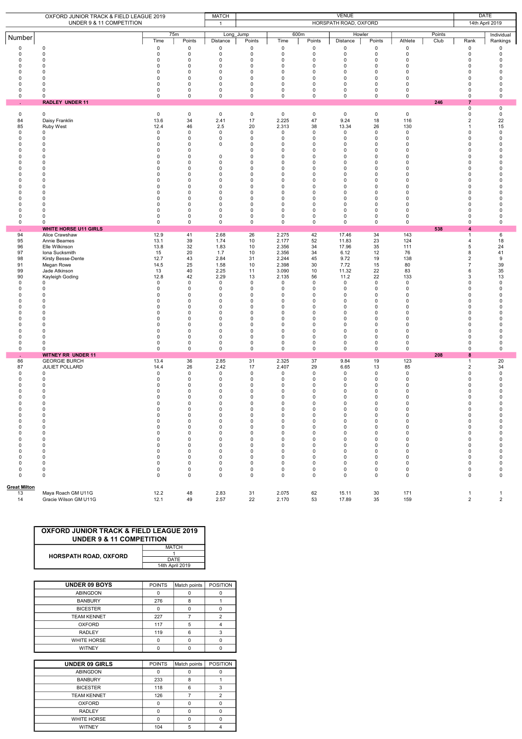|                                                                                                                                                                                                             | OXFORD JUNIOR TRACK & FIELD LEAGUE 2019<br>UNDER 9 & 11 COMPETITION                                                                                                                                                                 |                                                                                                                                                                                                                                                             |                                                                                                                                                                                                                          | <b>MATCH</b><br>$\mathbf{1}$                                                                                                                                                                                                          |                                                                                                                                                                                                                                                                   |                                                                                                                                                                                                                                                         |                                                                                                                                                                                                                                                       | <b>VENUE</b><br>HORSPATH ROAD, OXFORD                                                                                                                      |                                                                                                                                  |                                                                                                                                                                                                         |                |                                                                                                                                                                                                                                                                                | <b>DATE</b><br>14th April 2019                                                                                                                                                                                                                                           |
|-------------------------------------------------------------------------------------------------------------------------------------------------------------------------------------------------------------|-------------------------------------------------------------------------------------------------------------------------------------------------------------------------------------------------------------------------------------|-------------------------------------------------------------------------------------------------------------------------------------------------------------------------------------------------------------------------------------------------------------|--------------------------------------------------------------------------------------------------------------------------------------------------------------------------------------------------------------------------|---------------------------------------------------------------------------------------------------------------------------------------------------------------------------------------------------------------------------------------|-------------------------------------------------------------------------------------------------------------------------------------------------------------------------------------------------------------------------------------------------------------------|---------------------------------------------------------------------------------------------------------------------------------------------------------------------------------------------------------------------------------------------------------|-------------------------------------------------------------------------------------------------------------------------------------------------------------------------------------------------------------------------------------------------------|------------------------------------------------------------------------------------------------------------------------------------------------------------|----------------------------------------------------------------------------------------------------------------------------------|---------------------------------------------------------------------------------------------------------------------------------------------------------------------------------------------------------|----------------|--------------------------------------------------------------------------------------------------------------------------------------------------------------------------------------------------------------------------------------------------------------------------------|--------------------------------------------------------------------------------------------------------------------------------------------------------------------------------------------------------------------------------------------------------------------------|
| Number                                                                                                                                                                                                      |                                                                                                                                                                                                                                     | Time                                                                                                                                                                                                                                                        | 75m<br>Points                                                                                                                                                                                                            | Distance                                                                                                                                                                                                                              | Long_Jump<br>Points                                                                                                                                                                                                                                               | 600m<br>Time                                                                                                                                                                                                                                            | Points                                                                                                                                                                                                                                                | Howler<br>Distance                                                                                                                                         | Points                                                                                                                           | Athlete                                                                                                                                                                                                 | Points<br>Club | Rank                                                                                                                                                                                                                                                                           | Individual<br>Rankings                                                                                                                                                                                                                                                   |
| $\Omega$<br>$\Omega$<br>$\Omega$<br>$\Omega$<br>$\Omega$<br>$\Omega$<br>$\Omega$<br>0<br>0                                                                                                                  | 0<br>0<br>0<br>0<br>0<br>0<br>0<br>0<br>0<br><b>RADLEY UNDER 11</b>                                                                                                                                                                 | $\mathsf 0$<br>$\mathbf 0$<br>$\mathbf 0$<br>$\mathbf 0$<br>0<br>$\mathbf 0$<br>$\mathbf 0$<br>0<br>$\mathbf 0$                                                                                                                                             | 0<br>$\mathbf 0$<br>0<br>0<br>0<br>0<br>$\mathbf 0$<br>0<br>$\mathbf 0$                                                                                                                                                  | $\pmb{0}$<br>$\mathbf 0$<br>0<br>$\mathbf 0$<br>0<br>$\mathbf 0$<br>$\mathbf 0$<br>0<br>$\mathbf 0$                                                                                                                                   | $\mathsf 0$<br>$\mathbf 0$<br>$\mathbf 0$<br>$\mathbf 0$<br>$\mathbf 0$<br>$\mathbf 0$<br>$\mathbf 0$<br>$\mathbf 0$<br>$\mathbf 0$                                                                                                                               | $\mathsf 0$<br>$\mathbf 0$<br>0<br>$\mathbf 0$<br>0<br>$\mathbf 0$<br>$\mathbf 0$<br>$\mathbf 0$<br>$\mathbf 0$                                                                                                                                         | $\mathsf 0$<br>$\pmb{0}$<br>0<br>$\mathbf 0$<br>0<br>$\mathbf 0$<br>0<br>$\mathsf 0$<br>$\mathbf 0$                                                                                                                                                   | 0<br>0<br>0<br>0<br>0<br>0<br>0<br>0<br>$\mathbf 0$                                                                                                        | 0<br>$\mathbf 0$<br>0<br>0<br>0<br>0<br>0<br>0<br>0                                                                              | 0<br>$\mathsf 0$<br>0<br>0<br>0<br>$\mathsf 0$<br>0<br>0<br>0                                                                                                                                           | 246            | $\pmb{0}$<br>$\mathbf 0$<br>$\pmb{0}$<br>$\mathbf 0$<br>$\Omega$<br>$\mathbf 0$<br>$\Omega$<br>$\Omega$<br>$\mathbf 0$<br>$\overline{7}$                                                                                                                                       | $\pmb{0}$<br>$\mathbf 0$<br>$\mathbf 0$<br>$\mathbf 0$<br>$\mathbf 0$<br>$\pmb{0}$<br>$\mathbf 0$<br>$\mathsf 0$<br>$\mathbf 0$                                                                                                                                          |
| 0<br>84<br>85<br>0<br>$\mathbf 0$<br>0<br>$\Omega$<br>$\Omega$<br>0<br>$\Omega$<br>$\mathbf 0$<br>$\mathbf 0$<br>0<br>$\Omega$<br>$\Omega$<br>0<br>$\mathbf 0$<br>$\mathsf 0$<br>0                          | 0<br>Daisy Franklin<br>Ruby West<br>0<br>0<br>0<br>0<br>0<br>0<br>0<br>0<br>0<br>0<br>0<br>0<br>0<br>0<br>0<br>0<br><b>WHITE HORSE U11 GIRLS</b>                                                                                    | $\mathsf 0$<br>13.6<br>12.4<br>$\mathbf 0$<br>$\mathbf 0$<br>0<br>$\mathbf 0$<br>0<br>$\mathbf 0$<br>0<br>0<br>$\mathbf 0$<br>$\mathbf 0$<br>$\mathbf 0$<br>$\mathbf 0$<br>$\mathsf 0$<br>$\mathbf 0$<br>$\pmb{0}$<br>$\mathbf 0$                           | $\mathbf 0$<br>34<br>46<br>$\mathbf 0$<br>$\mathbf 0$<br>0<br>0<br>$\Omega$<br>0<br>$\Omega$<br>0<br>$\mathbf 0$<br>0<br>0<br>$\mathbf 0$<br>$\pmb{0}$<br>$\mathbf 0$<br>0<br>$\mathbf 0$                                | $\mathsf 0$<br>2.41<br>2.5<br>$\mathbf 0$<br>$\mathbf 0$<br>0<br>$\mathbf 0$<br>$\pmb{0}$<br>$\mathbf 0$<br>$\pmb{0}$<br>$\mathbf 0$<br>$\mathbf 0$<br>$\Omega$<br>$\Omega$<br>$\mathbf 0$<br>$\mathbf 0$<br>$\pmb{0}$<br>$\mathbf 0$ | $\mathbf 0$<br>17<br>20<br>$\mathbf 0$<br>$\mathbf 0$<br>$\mathbf 0$<br>$\mathbf 0$<br>$\mathbf 0$<br>$\mathbf 0$<br>$\mathbf 0$<br>$\mathbf 0$<br>$\mathbf 0$<br>$\mathbf 0$<br>$\mathbf 0$<br>$\Omega$<br>$\mathbf 0$<br>$\Omega$<br>$\mathbf 0$<br>$\mathbf 0$ | $\mathsf 0$<br>2.225<br>2.313<br>$\mathbf 0$<br>$\mathbf 0$<br>0<br>$\pmb{0}$<br>$\mathbf 0$<br>$\mathbf 0$<br>$\mathbf 0$<br>$\mathbf 0$<br>$\mathbf 0$<br>0<br>$\mathbf 0$<br>$\mathbf 0$<br>$\mathbf 0$<br>$\mathbf 0$<br>$\mathbf 0$<br>$\mathbf 0$ | 0<br>47<br>38<br>$\mathbf 0$<br>$\mathbf 0$<br>0<br>$\pmb{0}$<br>$\Omega$<br>$\pmb{0}$<br>0<br>$\mathsf 0$<br>$\Omega$<br>0<br>0<br>$\Omega$<br>$\pmb{0}$<br>$\mathsf 0$<br>$\mathsf 0$<br>$\mathbf 0$                                                | $\mathsf 0$<br>9.24<br>13.34<br>$\mathbf 0$<br>$\mathbf 0$<br>0<br>0<br>0<br>0<br>0<br>0<br>0<br>0<br>0<br>0<br>0<br>0<br>$\mathsf 0$<br>0                 | 0<br>18<br>26<br>0<br>$\mathbf 0$<br>0<br>0<br>0<br>0<br>0<br>0<br>0<br>0<br>0<br>0<br>0<br>0<br>0<br>0                          | $\mathsf 0$<br>116<br>130<br>0<br>$\mathbf 0$<br>0<br>0<br>$\mathbf 0$<br>$\mathsf 0$<br>0<br>$\pmb{0}$<br>$\mathbf 0$<br>$\pmb{0}$<br>0<br>$\mathbf 0$<br>$\mathsf 0$<br>0<br>0<br>0                   | 538            | $\pmb{0}$<br>$\mathbf 0$<br>$\overline{2}$<br>$\overline{1}$<br>0<br>$\mathbf 0$<br>0<br>$\Omega$<br>0<br>$\Omega$<br>$\Omega$<br>$\Omega$<br>$\mathbf 0$<br>0<br>$\mathbf 0$<br>0<br>$\mathbf 0$<br>$\Omega$<br>$\mathbf 0$<br>$\mathbf 0$<br>$\overline{\mathbf{4}}$         | $\mathbf 0$<br>0<br>22<br>15<br>$\mathsf 0$<br>$\mathbf 0$<br>$\mathbf 0$<br>$\mathbf 0$<br>$\mathbf 0$<br>$\pmb{0}$<br>$\mathbf 0$<br>$\mathbf 0$<br>$\mathbf 0$<br>$\mathbf 0$<br>$\mathbf 0$<br>$\mathbf 0$<br>$\mathbf 0$<br>$\mathbf 0$<br>$\pmb{0}$<br>$\mathbf 0$ |
| 94<br>95<br>96<br>97<br>98<br>91<br>99<br>90<br>$\mathbf 0$<br>$\mathbf 0$<br>$\Omega$<br>$\mathbf 0$<br>$\mathbf 0$<br>0<br>$\Omega$<br>$\Omega$<br>$\pmb{0}$<br>$\mathbf 0$<br>$\mathsf 0$<br>0           | Alice Crawshaw<br>Annie Beames<br>Elle Wilkinson<br>Iona Sucksmith<br>Kirsty Besse-Dente<br>Megan Rowe<br>Jade Atkinson<br>Kayleigh Goding<br>0<br>0<br>0<br>0<br>0<br>0<br>0<br>0<br>0<br>0<br>0<br>0<br><b>WITNEY RR UNDER 11</b> | 12.9<br>13.1<br>13.8<br>15<br>12.7<br>14.5<br>13<br>12.8<br>$\mathbf 0$<br>0<br>0<br>0<br>$\mathbf 0$<br>0<br>$\mathbf 0$<br>$\Omega$<br>$\mathsf 0$<br>$\mathbf 0$<br>$\mathbf 0$<br>$\mathbf 0$                                                           | 41<br>39<br>32<br>20<br>43<br>25<br>40<br>42<br>$\mathbf 0$<br>0<br>$\mathbf 0$<br>$\pmb{0}$<br>0<br>0<br>0<br>$\Omega$<br>$\pmb{0}$<br>$\mathbf 0$<br>0<br>0                                                            | 2.68<br>1.74<br>1.83<br>1.7<br>2.84<br>1.58<br>2.25<br>2.29<br>$\mathbf 0$<br>0<br>$\mathbf 0$<br>$\pmb{0}$<br>$\mathbf 0$<br>$\mathbf 0$<br>$\Omega$<br>$\Omega$<br>$\mathbf 0$<br>$\mathbf 0$<br>$\pmb{0}$<br>$\mathbf 0$           | 26<br>10<br>10<br>10<br>31<br>10<br>11<br>13<br>$\mathbf 0$<br>$\mathbf 0$<br>$\mathbf 0$<br>$\mathbf 0$<br>$\mathbf 0$<br>$\mathbf 0$<br>$\mathbf 0$<br>$\Omega$<br>$\mathbf 0$<br>$\mathbf 0$<br>$\mathbf 0$<br>$\mathbf 0$                                     | 2.275<br>2.177<br>2.356<br>2.356<br>2.244<br>2.398<br>3.090<br>2.135<br>$\mathbf 0$<br>0<br>0<br>$\mathbf 0$<br>$\mathbf 0$<br>$\mathbf 0$<br>$\mathbf 0$<br>$\mathbf 0$<br>$\pmb{0}$<br>$\mathbf 0$<br>$\mathbf 0$<br>$\mathbf 0$                      | 42<br>52<br>34<br>34<br>45<br>30<br>10<br>56<br>$\mathbf 0$<br>$\mathsf 0$<br>$\mathsf 0$<br>$\mathsf 0$<br>$\Omega$<br>$\mathsf 0$<br>$\mathbf 0$<br>$\Omega$<br>$\pmb{0}$<br>$\mathbf 0$<br>$\mathsf 0$<br>$\mathbf 0$                              | 17.46<br>11.83<br>17.96<br>6.12<br>9.72<br>7.72<br>11.32<br>11.2<br>$\mathbf 0$<br>$\mathsf 0$<br>0<br>0<br>0<br>0<br>0<br>0<br>0<br>0<br>$\mathsf 0$<br>0 | 34<br>23<br>35<br>12<br>19<br>15<br>22<br>22<br>0<br>0<br>0<br>0<br>$\mathbf 0$<br>0<br>0<br>0<br>0<br>0<br>0<br>0               | 143<br>124<br>111<br>76<br>138<br>80<br>83<br>133<br>0<br>$\mathsf 0$<br>0<br>0<br>$\mathbf 0$<br>$\pmb{0}$<br>0<br>$\mathbf 0$<br>$\mathsf 0$<br>0<br>0<br>0                                           | 208            | $\mathbf{1}$<br>$\overline{4}$<br>5<br>8<br>$\overline{2}$<br>$\overline{7}$<br>6<br>3<br>$\mathbf 0$<br>$\mathbf 0$<br>0<br>0<br>$\mathbf 0$<br>0<br>$\mathbf 0$<br>0<br>$\mathbf 0$<br>$\Omega$<br>$\pmb{0}$<br>$\mathbf 0$<br>8                                             | 6<br>18<br>24<br>41<br>9<br>39<br>35<br>13<br>$\mathsf 0$<br>$\mathbf 0$<br>$\mathbf 0$<br>$\mathbf 0$<br>$\mathbf 0$<br>$\mathbf 0$<br>$\mathbf 0$<br>$\mathbf 0$<br>$\mathbf 0$<br>$\mathbf 0$<br>$\mathsf 0$<br>$\mathbf 0$                                           |
| 86<br>87<br>0<br>$\mathbf 0$<br>$\Omega$<br>$\Omega$<br>$\mathbf 0$<br>$\mathbf 0$<br>$\Omega$<br>0<br>0<br>0<br>$\mathbf 0$<br>0<br>$\mathbf 0$<br>$\Omega$<br>$\mathbf 0$<br>$\Omega$<br>0<br>$\mathbf 0$ | <b>GEORGIE BURCH</b><br>JULIET POLLARD<br>0<br>0<br>0<br>0<br>0<br>0<br>0<br>0<br>0<br>0<br>0<br>0<br>0<br>0<br>0<br>0<br>0<br>0                                                                                                    | 13.4<br>14.4<br>$\mathbf 0$<br>$\mathsf 0$<br>0<br>$\Omega$<br>$\Omega$<br>$\Omega$<br>$\mathbf 0$<br>$\pmb{0}$<br>$\mathbf 0$<br>0<br>$\mathbf 0$<br>$\mathbf 0$<br>$\mathbf 0$<br>$\mathbf 0$<br>$\mathbf 0$<br>$\mathbf 0$<br>$\mathsf 0$<br>$\mathbf 0$ | 36<br>26<br>$\mathbf 0$<br>$\mathbf 0$<br>0<br>0<br>$\mathbf 0$<br>$\mathbf 0$<br>0<br>0<br>$\mathsf 0$<br>$\mathsf 0$<br>$\mathbf 0$<br>0<br>0<br>$\mathbf 0$<br>$\pmb{0}$<br>$\mathbf 0$<br>$\mathsf 0$<br>$\mathbf 0$ | 2.85<br>2.42<br>0<br>0<br>0<br>$\Omega$<br>$\Omega$<br>$\Omega$<br>0<br>$\mathbf 0$<br>$\mathbf 0$<br>0<br>$\Omega$<br>0<br>$\mathbf 0$<br>$\Omega$<br>$\mathbf 0$<br>$\mathbf 0$<br>0<br>$\Omega$                                    | 31<br>17<br>$\mathbf 0$<br>$\mathbf 0$<br>0<br>$\Omega$<br>$\Omega$<br>$\Omega$<br>$\mathbf 0$<br>$\mathbf 0$<br>$\mathbf 0$<br>0<br>$\mathbf 0$<br>$\mathbf 0$<br>$\mathbf 0$<br>$\mathbf 0$<br>$\mathbf 0$<br>$\mathbf 0$<br>$\mathbf 0$<br>$\mathbf 0$         | 2.325<br>2.407<br>0<br>0<br>0<br>$\Omega$<br>$\mathbf 0$<br>$\mathbf 0$<br>$\mathbf 0$<br>$\pmb{0}$<br>$\mathbf 0$<br>0<br>$\mathbf 0$<br>0<br>$\mathbf 0$<br>$\mathbf 0$<br>$\mathbf 0$<br>$\mathbf 0$<br>$\mathbf 0$<br>$\mathbf 0$                   | 37<br>29<br>$\mathbf 0$<br>$\mathsf 0$<br>$\mathsf 0$<br>$\Omega$<br>$\Omega$<br>$\mathbf 0$<br>$\mathbf 0$<br>$\pmb{0}$<br>$\mathsf 0$<br>$\mathsf 0$<br>$\Omega$<br>$\mathsf 0$<br>$\pmb{0}$<br>0<br>$\mathbf 0$<br>0<br>$\mathsf 0$<br>$\mathbf 0$ | 9.84<br>6.65<br>$\mathbf 0$<br>$\mathbf 0$<br>0<br>0<br>0<br>0<br>0<br>0<br>0<br>0<br>0<br>0<br>0<br>0<br>0<br>0<br>0<br>$\mathbf 0$                       | 19<br>13<br>0<br>0<br>0<br>0<br>0<br>0<br>0<br>0<br>0<br>0<br>$\mathbf 0$<br>0<br>0<br>0<br>$\mathbf 0$<br>0<br>0<br>$\mathbf 0$ | 123<br>85<br>0<br>0<br>0<br>0<br>$\mathbf 0$<br>$\mathbf 0$<br>0<br>$\mathsf 0$<br>$\mathsf 0$<br>0<br>$\mathsf 0$<br>$\mathsf 0$<br>$\mathsf 0$<br>0<br>$\mathsf 0$<br>0<br>$\mathsf 0$<br>$\mathbf 0$ |                | $\mathbf{1}$<br>$\overline{2}$<br>$\Omega$<br>$\mathbf 0$<br>$\Omega$<br>$\mathbf 0$<br>$\mathbf 0$<br>$\Omega$<br>0<br>$\pmb{0}$<br>$\mathbf 0$<br>$\Omega$<br>$\mathbf 0$<br>$\pmb{0}$<br>$\mathbf 0$<br>$\mathbf 0$<br>$\mathbf 0$<br>$\pmb{0}$<br>$\pmb{0}$<br>$\mathbf 0$ | 20<br>34<br>$\mathbf 0$<br>$\pmb{0}$<br>$\mathbf 0$<br>$\Omega$<br>$\Omega$<br>$\Omega$<br>0<br>$\pmb{0}$<br>$\pmb{0}$<br>$\mathbf 0$<br>$\pmb{0}$<br>$\pmb{0}$<br>$\pmb{0}$<br>$\mathbf 0$<br>$\pmb{0}$<br>$\mathbf 0$<br>$\pmb{0}$<br>$\pmb{0}$                        |
| <b>Great Milton</b><br>13<br>14                                                                                                                                                                             | Maya Roach GM U11G<br>Gracie Wilson GM U11G                                                                                                                                                                                         | 12.2<br>12.1                                                                                                                                                                                                                                                | 48<br>49                                                                                                                                                                                                                 | 2.83<br>2.57                                                                                                                                                                                                                          | 31<br>22                                                                                                                                                                                                                                                          | 2.075<br>2.170                                                                                                                                                                                                                                          | 62<br>53                                                                                                                                                                                                                                              | 15.11<br>17.89                                                                                                                                             | 30<br>35                                                                                                                         | 171<br>159                                                                                                                                                                                              |                | $\overline{1}$<br>$\overline{2}$                                                                                                                                                                                                                                               | $\mathbf{1}$<br>$\overline{2}$                                                                                                                                                                                                                                           |

| <b>OXFORD JUNIOR TRACK &amp; FIELD LEAGUE 2019</b><br><b>UNDER 9 &amp; 11 COMPETITION</b> |                 |
|-------------------------------------------------------------------------------------------|-----------------|
|                                                                                           | <b>MATCH</b>    |
| <b>HORSPATH ROAD, OXFORD</b>                                                              |                 |
|                                                                                           | DATE            |
|                                                                                           | 14th April 2019 |

| <b>UNDER 09 BOYS</b> | <b>POINTS</b> | Match points | <b>POSITION</b> |
|----------------------|---------------|--------------|-----------------|
| <b>ABINGDON</b>      | 0             | 0            | 0               |
| <b>BANBURY</b>       | 276           | 8            |                 |
| <b>BICESTER</b>      |               |              |                 |
| <b>TEAM KENNET</b>   | 227           |              | າ               |
| <b>OXFORD</b>        | 117           | 5            |                 |
| <b>RADLEY</b>        | 119           | 6            | 3               |
| WHITE HORSE          | 0             |              |                 |
| <b>WITNEY</b>        |               |              |                 |
|                      |               |              |                 |

| <b>UNDER 09 GIRLS</b> | <b>POINTS</b> | Match points | <b>POSITION</b> |
|-----------------------|---------------|--------------|-----------------|
| <b>ABINGDON</b>       |               |              |                 |
| <b>BANBURY</b>        | 233           | 8            |                 |
| <b>BICESTER</b>       | 118           | հ            | 3               |
| <b>TEAM KENNET</b>    | 126           |              |                 |
| <b>OXFORD</b>         | n             |              |                 |
| <b>RADLEY</b>         |               |              |                 |
| <b>WHITE HORSE</b>    |               |              |                 |
| <b>WITNEY</b>         | 104           |              |                 |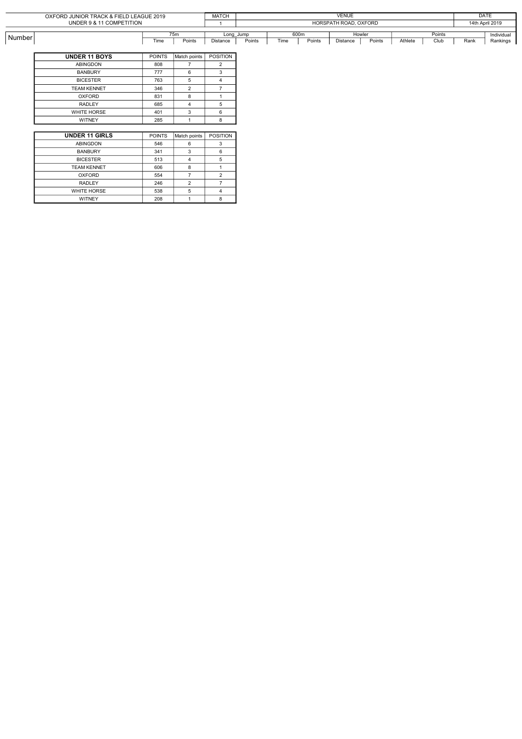| OXFORD JUNIOR TRACK & FIELD LEAGUE 2019 |  |      |        | <b>MATCH</b>          | <b>VENUE</b> |      |        |          | DATE            |         |        |      |           |
|-----------------------------------------|--|------|--------|-----------------------|--------------|------|--------|----------|-----------------|---------|--------|------|-----------|
| UNDER 9 & 11 COMPETITION                |  |      |        | HORSPATH ROAD, OXFORD |              |      |        |          | 14th April 2019 |         |        |      |           |
|                                         |  |      |        |                       |              |      |        |          |                 |         |        |      |           |
| Number                                  |  |      | 75m    | Lona                  | Jump         |      | 600m   |          | Howler          |         | Points |      | Individua |
|                                         |  | ⊺ime | Points | <b>Distance</b>       | Points       | Time | Points | Distance | Points          | Athlete | Club   | Rank | Rankings  |

| <b>UNDER 11 BOYS</b> | <b>POINTS</b> | Match points   | <b>POSITION</b>   |
|----------------------|---------------|----------------|-------------------|
|                      |               |                |                   |
| <b>ABINGDON</b>      | 808           |                | $\overline{2}$    |
| <b>BANBURY</b>       | 777           | 6              | 3                 |
| <b>BICESTER</b>      | 763           | 5              |                   |
| <b>TEAM KENNET</b>   | 346           | $\overline{2}$ |                   |
| <b>OXFORD</b>        | 831           | 8              |                   |
| <b>RADLEY</b>        | 685           |                | 5                 |
| WHITE HORSE          | 401           | 3              | 6                 |
| <b>WITNEY</b>        | 285           |                | 8                 |
|                      |               |                |                   |
| .                    | _ _ _ _ _ _   | .              | _ _ _ _ _ _ _ _ _ |

| <b>UNDER 11 GIRLS</b> | <b>POINTS</b> | Match points | <b>POSITION</b> |
|-----------------------|---------------|--------------|-----------------|
| <b>ABINGDON</b>       | 546           | 6            |                 |
| <b>BANBURY</b>        | 341           |              |                 |
| <b>BICESTER</b>       | 513           |              |                 |
| <b>TEAM KENNET</b>    | 606           | 8            |                 |
| <b>OXFORD</b>         | 554           |              |                 |
| RADLEY                | 246           | 2            |                 |
| WHITE HORSE           | 538           | 5            |                 |
| <b>WITNEY</b>         | 208           |              |                 |